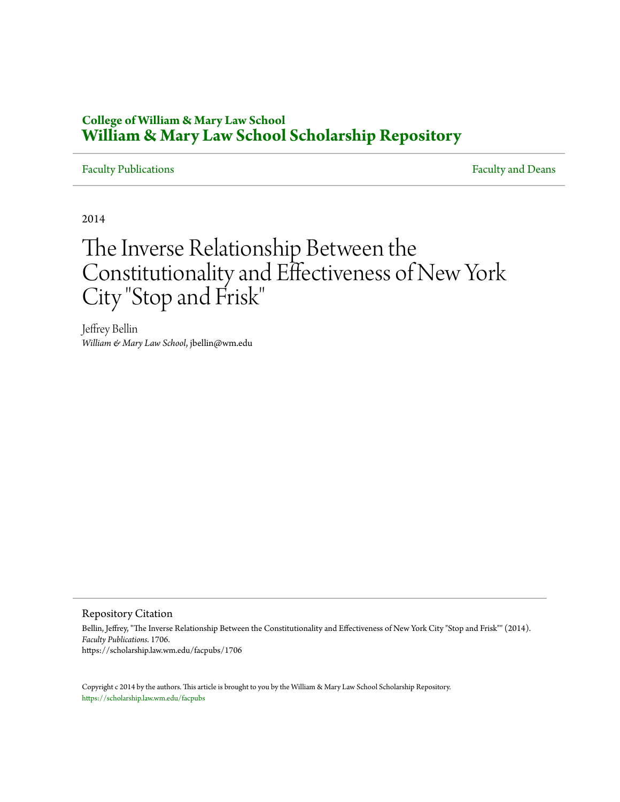# **College of William & Mary Law School [William & Mary Law School Scholarship Repository](https://scholarship.law.wm.edu)**

# [Faculty Publications](https://scholarship.law.wm.edu/facpubs) **Faculty** and Deans

2014

# The Inverse Relationship Between the Constitutionality and Effectiveness of New York City "Stop and Frisk"

Jeffrey Bellin *William & Mary Law School*, jbellin@wm.edu

# Repository Citation

Bellin, Jeffrey, "The Inverse Relationship Between the Constitutionality and Effectiveness of New York City "Stop and Frisk"" (2014). *Faculty Publications*. 1706. https://scholarship.law.wm.edu/facpubs/1706

Copyright c 2014 by the authors. This article is brought to you by the William & Mary Law School Scholarship Repository. <https://scholarship.law.wm.edu/facpubs>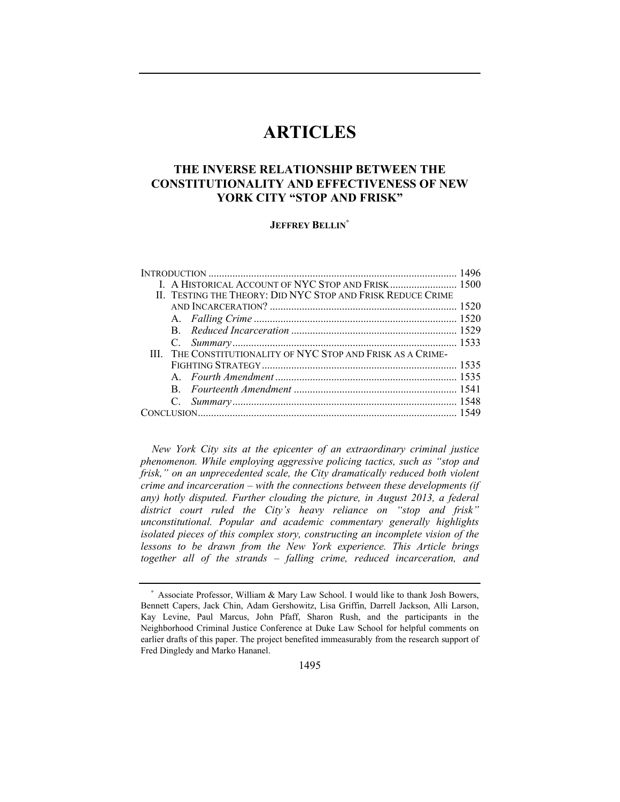# **ARTICLES**

# **THE INVERSE RELATIONSHIP BETWEEN THE CONSTITUTIONALITY AND EFFECTIVENESS OF NEW YORK CITY "STOP AND FRISK"**

# **JEFFREY BELLIN**<sup>∗</sup>

| I. A HISTORICAL ACCOUNT OF NYC STOP AND FRISK 1500           |  |
|--------------------------------------------------------------|--|
| II. TESTING THE THEORY: DID NYC STOP AND FRISK REDUCE CRIME  |  |
|                                                              |  |
|                                                              |  |
|                                                              |  |
|                                                              |  |
| III. THE CONSTITUTIONALITY OF NYC STOP AND FRISK AS A CRIME- |  |
|                                                              |  |
|                                                              |  |
|                                                              |  |
|                                                              |  |
|                                                              |  |
|                                                              |  |

*New York City sits at the epicenter of an extraordinary criminal justice phenomenon. While employing aggressive policing tactics, such as "stop and frisk," on an unprecedented scale, the City dramatically reduced both violent crime and incarceration – with the connections between these developments (if*  any) hotly disputed. Further clouding the picture, in August 2013, a federal *district court ruled the City's heavy reliance on "stop and frisk" unconstitutional. Popular and academic commentary generally highlights isolated pieces of this complex story, constructing an incomplete vision of the lessons to be drawn from the New York experience. This Article brings together all of the strands – falling crime, reduced incarceration, and* 

<sup>∗</sup> Associate Professor, William & Mary Law School. I would like to thank Josh Bowers, Bennett Capers, Jack Chin, Adam Gershowitz, Lisa Griffin, Darrell Jackson, Alli Larson, Kay Levine, Paul Marcus, John Pfaff, Sharon Rush, and the participants in the Neighborhood Criminal Justice Conference at Duke Law School for helpful comments on earlier drafts of this paper. The project benefited immeasurably from the research support of Fred Dingledy and Marko Hananel.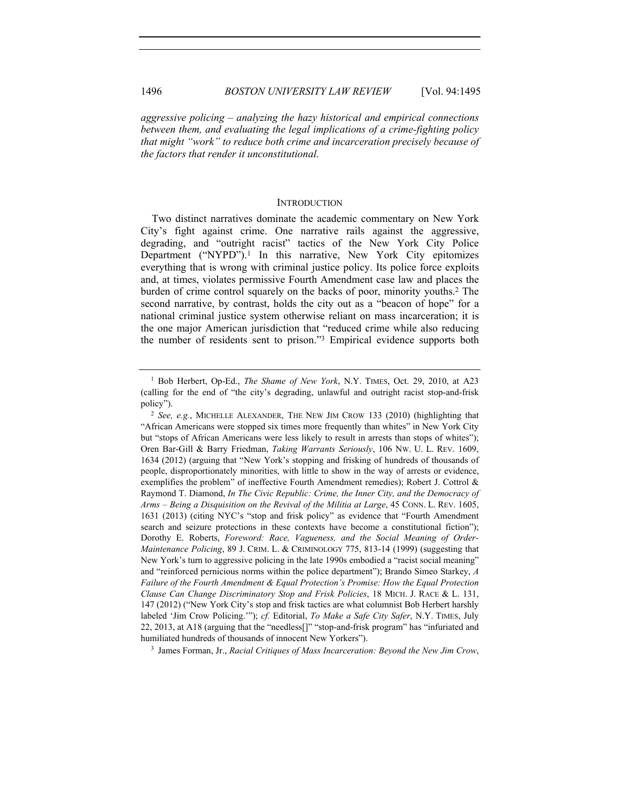*aggressive policing – analyzing the hazy historical and empirical connections between them, and evaluating the legal implications of a crime-fighting policy that might "work" to reduce both crime and incarceration precisely because of the factors that render it unconstitutional.*

#### **INTRODUCTION**

Two distinct narratives dominate the academic commentary on New York City's fight against crime. One narrative rails against the aggressive, degrading, and "outright racist" tactics of the New York City Police Department ("NYPD").<sup>1</sup> In this narrative, New York City epitomizes everything that is wrong with criminal justice policy. Its police force exploits and, at times, violates permissive Fourth Amendment case law and places the burden of crime control squarely on the backs of poor, minority youths.2 The second narrative, by contrast, holds the city out as a "beacon of hope" for a national criminal justice system otherwise reliant on mass incarceration; it is the one major American jurisdiction that "reduced crime while also reducing the number of residents sent to prison."3 Empirical evidence supports both

<sup>3</sup> James Forman, Jr., *Racial Critiques of Mass Incarceration: Beyond the New Jim Crow*,

<sup>1</sup> Bob Herbert, Op-Ed., *The Shame of New York*, N.Y. TIMES, Oct. 29, 2010, at A23 (calling for the end of "the city's degrading, unlawful and outright racist stop-and-frisk

policy").<br><sup>2</sup> *See, e.g.*, MICHELLE ALEXANDER, THE NEW JIM CROW 133 (2010) (highlighting that "African Americans were stopped six times more frequently than whites" in New York City but "stops of African Americans were less likely to result in arrests than stops of whites"); Oren Bar-Gill & Barry Friedman, *Taking Warrants Seriously*, 106 NW. U. L. REV. 1609, 1634 (2012) (arguing that "New York's stopping and frisking of hundreds of thousands of people, disproportionately minorities, with little to show in the way of arrests or evidence, exemplifies the problem" of ineffective Fourth Amendment remedies); Robert J. Cottrol & Raymond T. Diamond, *In The Civic Republic: Crime, the Inner City, and the Democracy of Arms – Being a Disquisition on the Revival of the Militia at Large*, 45 CONN. L. REV. 1605, 1631 (2013) (citing NYC's "stop and frisk policy" as evidence that "Fourth Amendment search and seizure protections in these contexts have become a constitutional fiction"); Dorothy E. Roberts, *Foreword: Race, Vagueness, and the Social Meaning of Order-Maintenance Policing*, 89 J. CRIM. L. & CRIMINOLOGY 775, 813-14 (1999) (suggesting that New York's turn to aggressive policing in the late 1990s embodied a "racist social meaning" and "reinforced pernicious norms within the police department"); Brando Simeo Starkey, *A Failure of the Fourth Amendment & Equal Protection's Promise: How the Equal Protection Clause Can Change Discriminatory Stop and Frisk Policies*, 18 MICH. J. RACE & L. 131, 147 (2012) ("New York City's stop and frisk tactics are what columnist Bob Herbert harshly labeled 'Jim Crow Policing.'"); *cf.* Editorial, *To Make a Safe City Safer*, N.Y. TIMES, July 22, 2013, at A18 (arguing that the "needless[]" "stop-and-frisk program" has "infuriated and humiliated hundreds of thousands of innocent New Yorkers").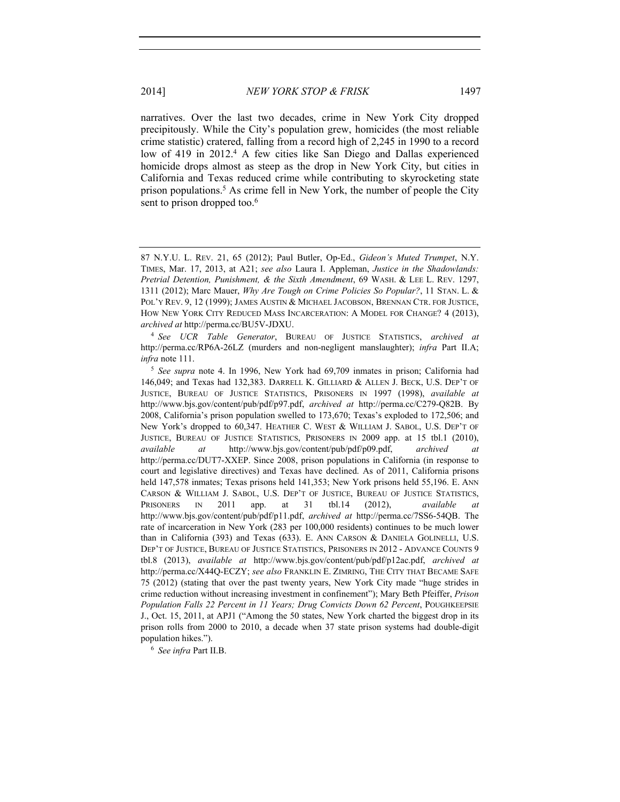narratives. Over the last two decades, crime in New York City dropped precipitously. While the City's population grew, homicides (the most reliable crime statistic) cratered, falling from a record high of 2,245 in 1990 to a record low of 419 in 2012.<sup>4</sup> A few cities like San Diego and Dallas experienced homicide drops almost as steep as the drop in New York City, but cities in California and Texas reduced crime while contributing to skyrocketing state prison populations.5 As crime fell in New York, the number of people the City sent to prison dropped too.<sup>6</sup>

http://perma.cc/RP6A-26LZ (murders and non-negligent manslaughter); *infra* Part II.A; *infra* note 111.

<sup>6</sup> *See infra* Part II.B.

<sup>87</sup> N.Y.U. L. REV. 21, 65 (2012); Paul Butler, Op-Ed., *Gideon's Muted Trumpet*, N.Y. TIMES, Mar. 17, 2013, at A21; *see also* Laura I. Appleman, *Justice in the Shadowlands: Pretrial Detention, Punishment, & the Sixth Amendment*, 69 WASH. & LEE L. REV. 1297, 1311 (2012); Marc Mauer, *Why Are Tough on Crime Policies So Popular?*, 11 STAN. L. & POL'Y REV. 9, 12 (1999); JAMES AUSTIN & MICHAEL JACOBSON, BRENNAN CTR. FOR JUSTICE, HOW NEW YORK CITY REDUCED MASS INCARCERATION: A MODEL FOR CHANGE? 4 (2013), *archived at* http://perma.cc/BU5V-JDXU. 4 *See UCR Table Generator*, BUREAU OF JUSTICE STATISTICS, *archived at*

<sup>5</sup> *See supra* note 4. In 1996, New York had 69,709 inmates in prison; California had 146,049; and Texas had 132,383. DARRELL K. GILLIARD & ALLEN J. BECK, U.S. DEP'T OF JUSTICE, BUREAU OF JUSTICE STATISTICS, PRISONERS IN 1997 (1998), *available at*  http://www.bjs.gov/content/pub/pdf/p97.pdf, *archived at* http://perma.cc/C279-Q82B. By 2008, California's prison population swelled to 173,670; Texas's exploded to 172,506; and New York's dropped to 60,347. HEATHER C. WEST & WILLIAM J. SABOL, U.S. DEP'T OF JUSTICE, BUREAU OF JUSTICE STATISTICS, PRISONERS IN 2009 app. at 15 tbl.1 (2010), *available at* http://www.bjs.gov/content/pub/pdf/p09.pdf, *archived at* http://perma.cc/DUT7-XXEP. Since 2008, prison populations in California (in response to court and legislative directives) and Texas have declined. As of 2011, California prisons held 147,578 inmates; Texas prisons held 141,353; New York prisons held 55,196. E. ANN CARSON & WILLIAM J. SABOL, U.S. DEP'T OF JUSTICE, BUREAU OF JUSTICE STATISTICS, PRISONERS IN 2011 app. at 31 tbl.14 (2012), *available at* http://www.bjs.gov/content/pub/pdf/p11.pdf, *archived at* http://perma.cc/7SS6-54QB. The rate of incarceration in New York (283 per 100,000 residents) continues to be much lower than in California (393) and Texas (633). E. ANN CARSON & DANIELA GOLINELLI, U.S. DEP'T OF JUSTICE, BUREAU OF JUSTICE STATISTICS, PRISONERS IN 2012 - ADVANCE COUNTS 9 tbl.8 (2013), *available at* http://www.bjs.gov/content/pub/pdf/p12ac.pdf, *archived at* http://perma.cc/X44Q-ECZY; *see also* FRANKLIN E. ZIMRING, THE CITY THAT BECAME SAFE 75 (2012) (stating that over the past twenty years, New York City made "huge strides in crime reduction without increasing investment in confinement"); Mary Beth Pfeiffer, *Prison Population Falls 22 Percent in 11 Years; Drug Convicts Down 62 Percent*, POUGHKEEPSIE J., Oct. 15, 2011, at APJ1 ("Among the 50 states, New York charted the biggest drop in its prison rolls from 2000 to 2010, a decade when 37 state prison systems had double-digit population hikes.").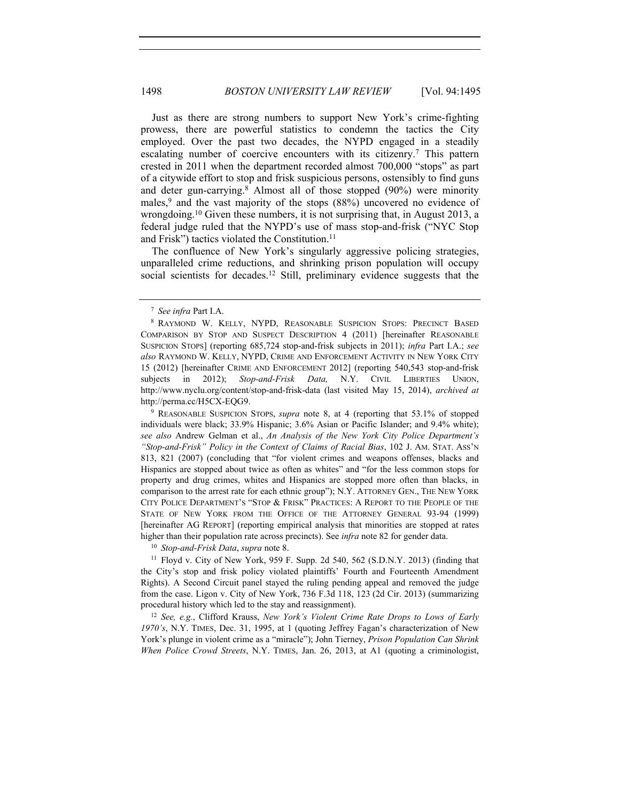Just as there are strong numbers to support New York's crime-fighting prowess, there are powerful statistics to condemn the tactics the City employed. Over the past two decades, the NYPD engaged in a steadily escalating number of coercive encounters with its citizenry.<sup>7</sup> This pattern crested in 2011 when the department recorded almost 700,000 "stops" as part of a citywide effort to stop and frisk suspicious persons, ostensibly to find guns and deter gun-carrying.<sup>8</sup> Almost all of those stopped  $(90\%)$  were minority males,<sup>9</sup> and the vast majority of the stops (88%) uncovered no evidence of wrongdoing.10 Given these numbers, it is not surprising that, in August 2013, a federal judge ruled that the NYPD's use of mass stop-and-frisk ("NYC Stop and Frisk") tactics violated the Constitution.<sup>11</sup>

The confluence of New York's singularly aggressive policing strategies, unparalleled crime reductions, and shrinking prison population will occupy social scientists for decades.<sup>12</sup> Still, preliminary evidence suggests that the

<sup>11</sup> Floyd v. City of New York, 959 F. Supp. 2d 540, 562 (S.D.N.Y. 2013) (finding that the City's stop and frisk policy violated plaintiffs' Fourth and Fourteenth Amendment Rights). A Second Circuit panel stayed the ruling pending appeal and removed the judge from the case. Ligon v. City of New York, 736 F.3d 118, 123 (2d Cir. 2013) (summarizing procedural history which led to the stay and reassignment).

<sup>12</sup> *See, e.g.*, Clifford Krauss, *New York's Violent Crime Rate Drops to Lows of Early 1970's*, N.Y. TIMES, Dec. 31, 1995, at 1 (quoting Jeffrey Fagan's characterization of New York's plunge in violent crime as a "miracle"); John Tierney, *Prison Population Can Shrink When Police Crowd Streets*, N.Y. TIMES, Jan. 26, 2013, at A1 (quoting a criminologist,

<sup>7</sup> *See infra* Part I.A.

<sup>8</sup> RAYMOND W. KELLY, NYPD, REASONABLE SUSPICION STOPS: PRECINCT BASED COMPARISON BY STOP AND SUSPECT DESCRIPTION 4 (2011) [hereinafter REASONABLE SUSPICION STOPS] (reporting 685,724 stop-and-frisk subjects in 2011); *infra* Part I.A.; *see also* RAYMOND W. KELLY, NYPD, CRIME AND ENFORCEMENT ACTIVITY IN NEW YORK CITY 15 (2012) [hereinafter CRIME AND ENFORCEMENT 2012] (reporting 540,543 stop-and-frisk subjects in 2012); *Stop-and-Frisk Data*, N.Y. CIVIL LIBERTIES UNION, http://www.nyclu.org/content/stop-and-frisk-data (last visited May 15, 2014), *archived at* http://perma.cc/H5CX-EQG9.

<sup>9</sup> REASONABLE SUSPICION STOPS, *supra* note 8, at 4 (reporting that 53.1% of stopped individuals were black; 33.9% Hispanic; 3.6% Asian or Pacific Islander; and 9.4% white); *see also* Andrew Gelman et al., *An Analysis of the New York City Police Department's "Stop-and-Frisk" Policy in the Context of Claims of Racial Bias*, 102 J. AM. STAT. ASS'N 813, 821 (2007) (concluding that "for violent crimes and weapons offenses, blacks and Hispanics are stopped about twice as often as whites" and "for the less common stops for property and drug crimes, whites and Hispanics are stopped more often than blacks, in comparison to the arrest rate for each ethnic group"); N.Y. ATTORNEY GEN., THE NEW YORK CITY POLICE DEPARTMENT'S "STOP & FRISK" PRACTICES: A REPORT TO THE PEOPLE OF THE STATE OF NEW YORK FROM THE OFFICE OF THE ATTORNEY GENERAL 93-94 (1999) [hereinafter AG REPORT] (reporting empirical analysis that minorities are stopped at rates higher than their population rate across precincts). See *infra* note 82 for gender data. 10 *Stop-and-Frisk Data*, *supra* note 8.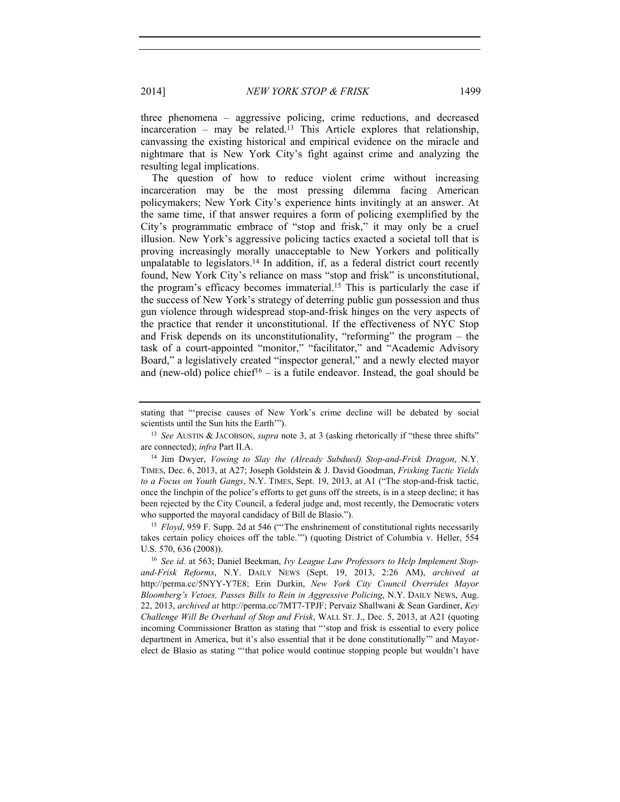three phenomena – aggressive policing, crime reductions, and decreased incarceration – may be related.<sup>13</sup> This Article explores that relationship, canvassing the existing historical and empirical evidence on the miracle and nightmare that is New York City's fight against crime and analyzing the resulting legal implications.

The question of how to reduce violent crime without increasing incarceration may be the most pressing dilemma facing American policymakers; New York City's experience hints invitingly at an answer. At the same time, if that answer requires a form of policing exemplified by the City's programmatic embrace of "stop and frisk," it may only be a cruel illusion. New York's aggressive policing tactics exacted a societal toll that is proving increasingly morally unacceptable to New Yorkers and politically unpalatable to legislators.<sup>14</sup> In addition, if, as a federal district court recently found, New York City's reliance on mass "stop and frisk" is unconstitutional, the program's efficacy becomes immaterial.15 This is particularly the case if the success of New York's strategy of deterring public gun possession and thus gun violence through widespread stop-and-frisk hinges on the very aspects of the practice that render it unconstitutional. If the effectiveness of NYC Stop and Frisk depends on its unconstitutionality, "reforming" the program – the task of a court-appointed "monitor," "facilitator," and "Academic Advisory Board," a legislatively created "inspector general," and a newly elected mayor and (new-old) police chief<sup>16</sup> – is a futile endeavor. Instead, the goal should be

takes certain policy choices off the table.'") (quoting District of Columbia v. Heller, 554 U.S. 570, 636 (2008)).<br><sup>16</sup> *See id.* at 563; Daniel Beekman, *Ivy League Law Professors to Help Implement Stop-*

*and-Frisk Reforms*, N.Y. DAILY NEWS (Sept. 19, 2013, 2:26 AM), *archived at* http://perma.cc/5NYY-Y7E8; Erin Durkin, *New York City Council Overrides Mayor Bloomberg's Vetoes, Passes Bills to Rein in Aggressive Policing*, N.Y. DAILY NEWS, Aug. 22, 2013, *archived at* http://perma.cc/7MT7-TPJF; Pervaiz Shallwani & Sean Gardiner, *Key Challenge Will Be Overhaul of Stop and Frisk*, WALL ST. J., Dec. 5, 2013, at A21 (quoting incoming Commissioner Bratton as stating that "'stop and frisk is essential to every police department in America, but it's also essential that it be done constitutionally'" and Mayorelect de Blasio as stating "'that police would continue stopping people but wouldn't have

stating that "'precise causes of New York's crime decline will be debated by social scientists until the Sun hits the Earth'").

<sup>13</sup> *See* AUSTIN & JACOBSON, *supra* note 3, at 3 (asking rhetorically if "these three shifts" are connected); *infra* Part II.A.

<sup>14</sup> Jim Dwyer, *Vowing to Slay the (Already Subdued) Stop-and-Frisk Dragon*, N.Y. TIMES, Dec. 6, 2013, at A27; Joseph Goldstein & J. David Goodman, *Frisking Tactic Yields to a Focus on Youth Gangs*, N.Y. TIMES, Sept. 19, 2013, at A1 ("The stop-and-frisk tactic, once the linchpin of the police's efforts to get guns off the streets, is in a steep decline; it has been rejected by the City Council, a federal judge and, most recently, the Democratic voters who supported the mayoral candidacy of Bill de Blasio.").<br><sup>15</sup> *Floyd*, 959 F. Supp. 2d at 546 ("The enshrinement of constitutional rights necessarily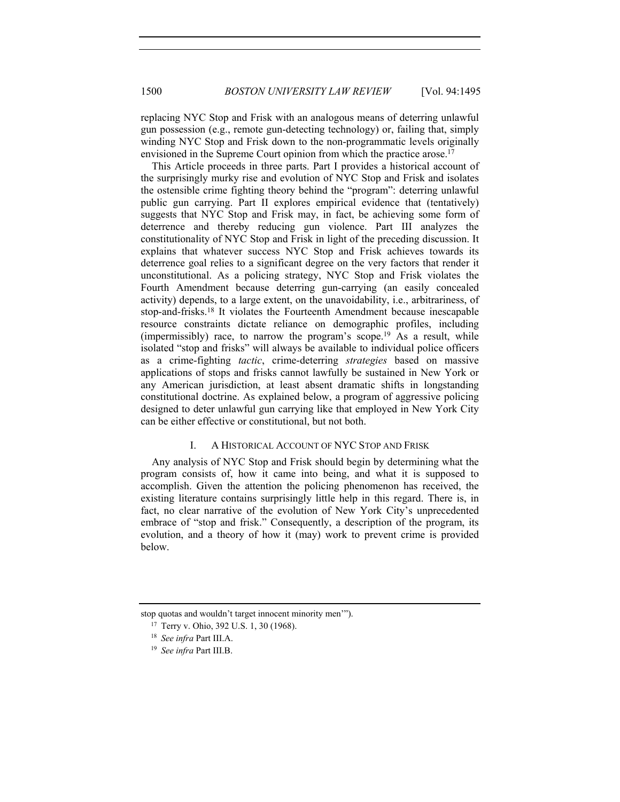replacing NYC Stop and Frisk with an analogous means of deterring unlawful gun possession (e.g., remote gun-detecting technology) or, failing that, simply winding NYC Stop and Frisk down to the non-programmatic levels originally envisioned in the Supreme Court opinion from which the practice arose.<sup>17</sup>

This Article proceeds in three parts. Part I provides a historical account of the surprisingly murky rise and evolution of NYC Stop and Frisk and isolates the ostensible crime fighting theory behind the "program": deterring unlawful public gun carrying. Part II explores empirical evidence that (tentatively) suggests that NYC Stop and Frisk may, in fact, be achieving some form of deterrence and thereby reducing gun violence. Part III analyzes the constitutionality of NYC Stop and Frisk in light of the preceding discussion. It explains that whatever success NYC Stop and Frisk achieves towards its deterrence goal relies to a significant degree on the very factors that render it unconstitutional. As a policing strategy, NYC Stop and Frisk violates the Fourth Amendment because deterring gun-carrying (an easily concealed activity) depends, to a large extent, on the unavoidability, i.e., arbitrariness, of stop-and-frisks.18 It violates the Fourteenth Amendment because inescapable resource constraints dictate reliance on demographic profiles, including (impermissibly) race, to narrow the program's scope.<sup>19</sup> As a result, while isolated "stop and frisks" will always be available to individual police officers as a crime-fighting *tactic*, crime-deterring *strategies* based on massive applications of stops and frisks cannot lawfully be sustained in New York or any American jurisdiction, at least absent dramatic shifts in longstanding constitutional doctrine. As explained below, a program of aggressive policing designed to deter unlawful gun carrying like that employed in New York City can be either effective or constitutional, but not both.

# I. A HISTORICAL ACCOUNT OF NYC STOP AND FRISK

Any analysis of NYC Stop and Frisk should begin by determining what the program consists of, how it came into being, and what it is supposed to accomplish. Given the attention the policing phenomenon has received, the existing literature contains surprisingly little help in this regard. There is, in fact, no clear narrative of the evolution of New York City's unprecedented embrace of "stop and frisk." Consequently, a description of the program, its evolution, and a theory of how it (may) work to prevent crime is provided below.

stop quotas and wouldn't target innocent minority men'").

<sup>17</sup> Terry v. Ohio, 392 U.S. 1, 30 (1968).

<sup>18</sup> *See infra* Part III.A.

<sup>19</sup> *See infra* Part III.B.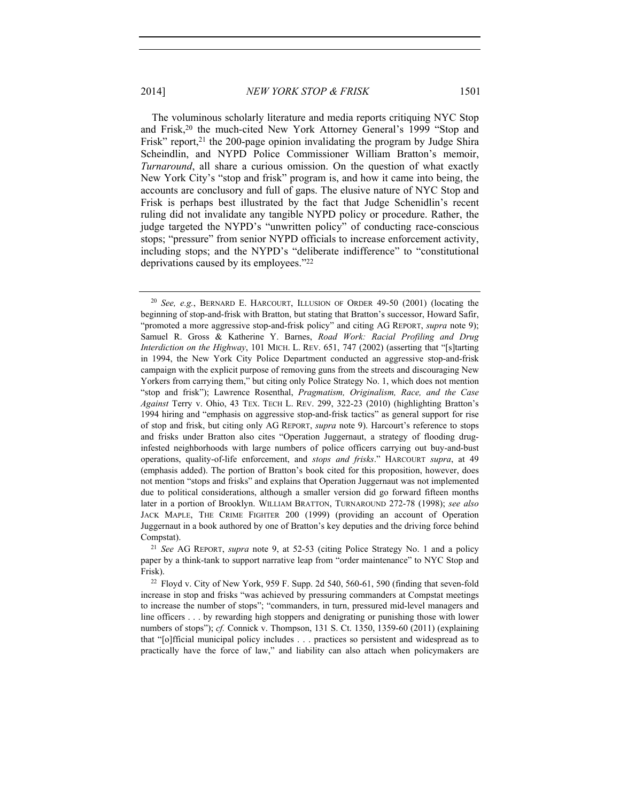The voluminous scholarly literature and media reports critiquing NYC Stop and Frisk,20 the much-cited New York Attorney General's 1999 "Stop and Frisk" report, $21$  the 200-page opinion invalidating the program by Judge Shira Scheindlin, and NYPD Police Commissioner William Bratton's memoir, *Turnaround*, all share a curious omission. On the question of what exactly New York City's "stop and frisk" program is, and how it came into being, the accounts are conclusory and full of gaps. The elusive nature of NYC Stop and Frisk is perhaps best illustrated by the fact that Judge Schenidlin's recent ruling did not invalidate any tangible NYPD policy or procedure. Rather, the judge targeted the NYPD's "unwritten policy" of conducting race-conscious stops; "pressure" from senior NYPD officials to increase enforcement activity, including stops; and the NYPD's "deliberate indifference" to "constitutional deprivations caused by its employees."22

paper by a think-tank to support narrative leap from "order maintenance" to NYC Stop and Frisk).

<sup>20</sup> *See, e.g.*, BERNARD E. HARCOURT, ILLUSION OF ORDER 49-50 (2001) (locating the beginning of stop-and-frisk with Bratton, but stating that Bratton's successor, Howard Safir, "promoted a more aggressive stop-and-frisk policy" and citing AG REPORT, *supra* note 9); Samuel R. Gross & Katherine Y. Barnes, *Road Work: Racial Profiling and Drug Interdiction on the Highway*, 101 MICH. L. REV. 651, 747 (2002) (asserting that "[s]tarting in 1994, the New York City Police Department conducted an aggressive stop-and-frisk campaign with the explicit purpose of removing guns from the streets and discouraging New Yorkers from carrying them," but citing only Police Strategy No. 1, which does not mention "stop and frisk"); Lawrence Rosenthal, *Pragmatism, Originalism, Race, and the Case Against* Terry v. Ohio, 43 TEX. TECH L. REV. 299, 322-23 (2010) (highlighting Bratton's 1994 hiring and "emphasis on aggressive stop-and-frisk tactics" as general support for rise of stop and frisk, but citing only AG REPORT, *supra* note 9). Harcourt's reference to stops and frisks under Bratton also cites "Operation Juggernaut, a strategy of flooding druginfested neighborhoods with large numbers of police officers carrying out buy-and-bust operations, quality-of-life enforcement, and *stops and frisks*." HARCOURT *supra*, at 49 (emphasis added). The portion of Bratton's book cited for this proposition, however, does not mention "stops and frisks" and explains that Operation Juggernaut was not implemented due to political considerations, although a smaller version did go forward fifteen months later in a portion of Brooklyn. WILLIAM BRATTON, TURNAROUND 272-78 (1998); *see also* JACK MAPLE, THE CRIME FIGHTER 200 (1999) (providing an account of Operation Juggernaut in a book authored by one of Bratton's key deputies and the driving force behind Compstat). 21 *See* AG REPORT, *supra* note 9, at 52-53 (citing Police Strategy No. 1 and a policy

 $22$  Floyd v. City of New York, 959 F. Supp. 2d 540, 560-61, 590 (finding that seven-fold increase in stop and frisks "was achieved by pressuring commanders at Compstat meetings to increase the number of stops"; "commanders, in turn, pressured mid-level managers and line officers . . . by rewarding high stoppers and denigrating or punishing those with lower numbers of stops"); *cf.* Connick v. Thompson, 131 S. Ct. 1350, 1359-60 (2011) (explaining that "[o]fficial municipal policy includes . . . practices so persistent and widespread as to practically have the force of law," and liability can also attach when policymakers are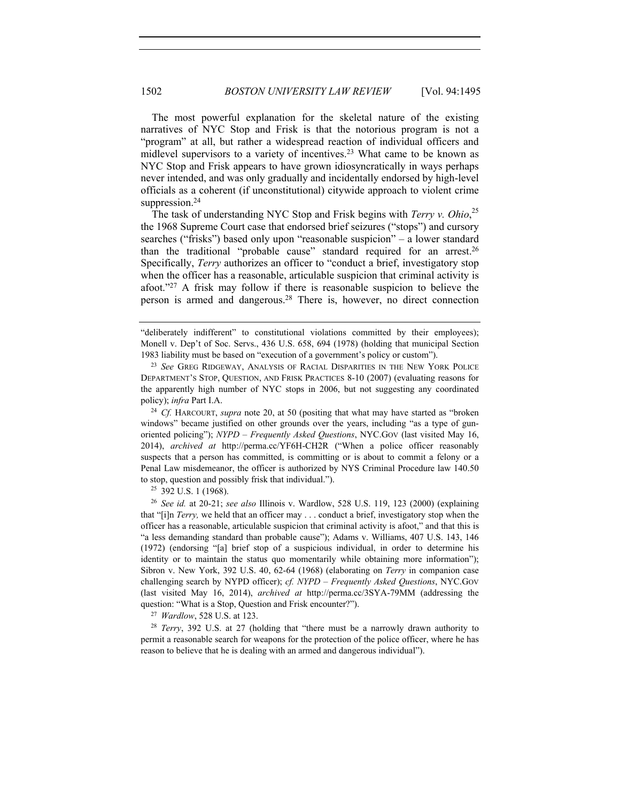The most powerful explanation for the skeletal nature of the existing narratives of NYC Stop and Frisk is that the notorious program is not a "program" at all, but rather a widespread reaction of individual officers and midlevel supervisors to a variety of incentives.23 What came to be known as NYC Stop and Frisk appears to have grown idiosyncratically in ways perhaps never intended, and was only gradually and incidentally endorsed by high-level officials as a coherent (if unconstitutional) citywide approach to violent crime suppression.<sup>24</sup>

The task of understanding NYC Stop and Frisk begins with *Terry v. Ohio*, 25 the 1968 Supreme Court case that endorsed brief seizures ("stops") and cursory searches ("frisks") based only upon "reasonable suspicion" – a lower standard than the traditional "probable cause" standard required for an arrest.26 Specifically, *Terry* authorizes an officer to "conduct a brief, investigatory stop when the officer has a reasonable, articulable suspicion that criminal activity is afoot."27 A frisk may follow if there is reasonable suspicion to believe the person is armed and dangerous.28 There is, however, no direct connection

windows" became justified on other grounds over the years, including "as a type of gunoriented policing"); *NYPD – Frequently Asked Questions*, NYC.GOV (last visited May 16, 2014), *archived at* http://perma.cc/YF6H-CH2R ("When a police officer reasonably suspects that a person has committed, is committing or is about to commit a felony or a Penal Law misdemeanor, the officer is authorized by NYS Criminal Procedure law 140.50 to stop, question and possibly frisk that individual."). 25 392 U.S. 1 (1968). 26 *See id.* at 20-21; *see also* Illinois v. Wardlow, 528 U.S. 119, 123 (2000) (explaining

that "[i]n *Terry,* we held that an officer may . . . conduct a brief, investigatory stop when the officer has a reasonable, articulable suspicion that criminal activity is afoot," and that this is "a less demanding standard than probable cause"); Adams v. Williams, 407 U.S. 143, 146 (1972) (endorsing "[a] brief stop of a suspicious individual, in order to determine his identity or to maintain the status quo momentarily while obtaining more information"); Sibron v. New York, 392 U.S. 40, 62-64 (1968) (elaborating on *Terry* in companion case challenging search by NYPD officer); *cf. NYPD – Frequently Asked Questions*, NYC.GOV (last visited May 16, 2014), *archived at* http://perma.cc/3SYA-79MM (addressing the question: "What is a Stop, Question and Frisk encounter?"). 27 *Wardlow*, 528 U.S. at 123.

<sup>28</sup> *Terry*, 392 U.S. at 27 (holding that "there must be a narrowly drawn authority to permit a reasonable search for weapons for the protection of the police officer, where he has reason to believe that he is dealing with an armed and dangerous individual").

<sup>&</sup>quot;deliberately indifferent" to constitutional violations committed by their employees); Monell v. Dep't of Soc. Servs., 436 U.S. 658, 694 (1978) (holding that municipal Section 1983 liability must be based on "execution of a government's policy or custom"). 23 *See* GREG RIDGEWAY, ANALYSIS OF RACIAL DISPARITIES IN THE NEW YORK POLICE

DEPARTMENT'S STOP, QUESTION, AND FRISK PRACTICES 8-10 (2007) (evaluating reasons for the apparently high number of NYC stops in 2006, but not suggesting any coordinated policy); *infra* Part I.A.<br><sup>24</sup> *Cf.* HARCOURT, *supra* note 20, at 50 (positing that what may have started as "broken"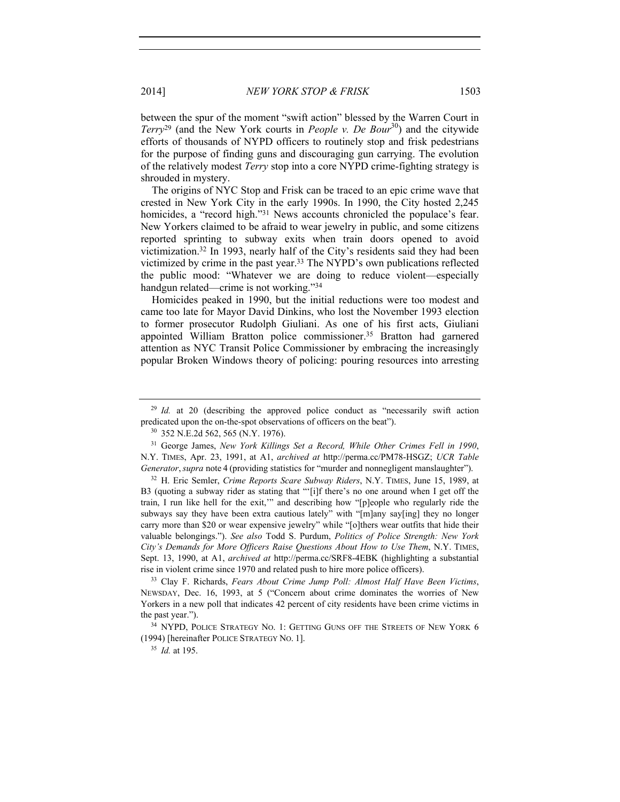between the spur of the moment "swift action" blessed by the Warren Court in *Terry*<sup>29</sup> (and the New York courts in *People v. De Bour*<sup>30</sup>) and the citywide efforts of thousands of NYPD officers to routinely stop and frisk pedestrians for the purpose of finding guns and discouraging gun carrying. The evolution of the relatively modest *Terry* stop into a core NYPD crime-fighting strategy is shrouded in mystery.

The origins of NYC Stop and Frisk can be traced to an epic crime wave that crested in New York City in the early 1990s. In 1990, the City hosted 2,245 homicides, a "record high."<sup>31</sup> News accounts chronicled the populace's fear. New Yorkers claimed to be afraid to wear jewelry in public, and some citizens reported sprinting to subway exits when train doors opened to avoid victimization.32 In 1993, nearly half of the City's residents said they had been victimized by crime in the past year.33 The NYPD's own publications reflected the public mood: "Whatever we are doing to reduce violent—especially handgun related—crime is not working."34

Homicides peaked in 1990, but the initial reductions were too modest and came too late for Mayor David Dinkins, who lost the November 1993 election to former prosecutor Rudolph Giuliani. As one of his first acts, Giuliani appointed William Bratton police commissioner.<sup>35</sup> Bratton had garnered attention as NYC Transit Police Commissioner by embracing the increasingly popular Broken Windows theory of policing: pouring resources into arresting

<sup>&</sup>lt;sup>29</sup> *Id.* at 20 (describing the approved police conduct as "necessarily swift action predicated upon the on-the-spot observations of officers on the beat").<br><sup>30</sup> 352 N.E.2d 562, 565 (N.Y. 1976).

<sup>31</sup> George James, *New York Killings Set a Record, While Other Crimes Fell in 1990*, N.Y. TIMES, Apr. 23, 1991, at A1, *archived at* http://perma.cc/PM78-HSGZ; *UCR Table Generator*, *supra* note 4 (providing statistics for "murder and nonnegligent manslaughter").

<sup>32</sup> H. Eric Semler, *Crime Reports Scare Subway Riders*, N.Y. TIMES, June 15, 1989, at B3 (quoting a subway rider as stating that "'[i]f there's no one around when I get off the train, I run like hell for the exit,'" and describing how "[p]eople who regularly ride the subways say they have been extra cautious lately" with "[m]any say[ing] they no longer carry more than \$20 or wear expensive jewelry" while "[o]thers wear outfits that hide their valuable belongings."). *See also* Todd S. Purdum, *Politics of Police Strength: New York City's Demands for More Officers Raise Questions About How to Use Them*, N.Y. TIMES, Sept. 13, 1990, at A1, *archived at* http://perma.cc/SRF8-4EBK (highlighting a substantial rise in violent crime since 1970 and related push to hire more police officers). 33 Clay F. Richards, *Fears About Crime Jump Poll: Almost Half Have Been Victims*,

NEWSDAY, Dec. 16, 1993, at 5 ("Concern about crime dominates the worries of New Yorkers in a new poll that indicates 42 percent of city residents have been crime victims in the past year."). 34 NYPD, POLICE STRATEGY NO. 1: GETTING GUNS OFF THE STREETS OF NEW YORK 6

<sup>(1994) [</sup>hereinafter POLICE STRATEGY NO. 1].

<sup>35</sup> *Id.* at 195.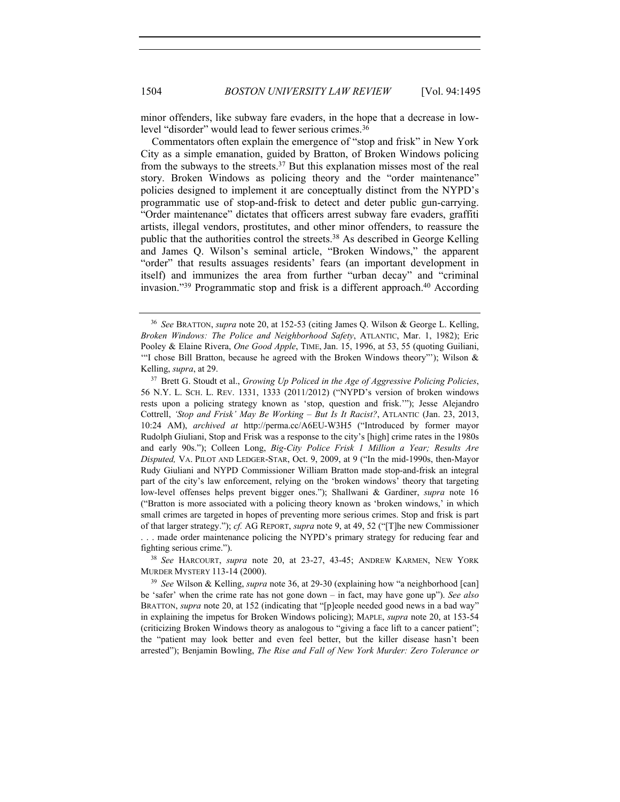minor offenders, like subway fare evaders, in the hope that a decrease in lowlevel "disorder" would lead to fewer serious crimes.36

Commentators often explain the emergence of "stop and frisk" in New York City as a simple emanation, guided by Bratton, of Broken Windows policing from the subways to the streets.37 But this explanation misses most of the real story. Broken Windows as policing theory and the "order maintenance" policies designed to implement it are conceptually distinct from the NYPD's programmatic use of stop-and-frisk to detect and deter public gun-carrying. "Order maintenance" dictates that officers arrest subway fare evaders, graffiti artists, illegal vendors, prostitutes, and other minor offenders, to reassure the public that the authorities control the streets.<sup>38</sup> As described in George Kelling and James Q. Wilson's seminal article, "Broken Windows," the apparent "order" that results assuages residents' fears (an important development in itself) and immunizes the area from further "urban decay" and "criminal invasion."<sup>39</sup> Programmatic stop and frisk is a different approach.<sup>40</sup> According

fighting serious crime."). 38 *See* HARCOURT, *supra* note 20, at 23-27, 43-45; ANDREW KARMEN, NEW YORK MURDER MYSTERY 113-14 (2000).

<sup>39</sup> *See* Wilson & Kelling, *supra* note 36, at 29-30 (explaining how "a neighborhood [can] be 'safer' when the crime rate has not gone down – in fact, may have gone up"). *See also*  BRATTON, *supra* note 20, at 152 (indicating that "[p]eople needed good news in a bad way" in explaining the impetus for Broken Windows policing); MAPLE, *supra* note 20, at 153-54 (criticizing Broken Windows theory as analogous to "giving a face lift to a cancer patient"; the "patient may look better and even feel better, but the killer disease hasn't been arrested"); Benjamin Bowling, *The Rise and Fall of New York Murder: Zero Tolerance or* 

<sup>36</sup> *See* BRATTON, *supra* note 20, at 152-53 (citing James Q. Wilson & George L. Kelling, *Broken Windows: The Police and Neighborhood Safety*, ATLANTIC, Mar. 1, 1982); Eric Pooley & Elaine Rivera, *One Good Apple*, TIME, Jan. 15, 1996, at 53, 55 (quoting Guiliani, '"I chose Bill Bratton, because he agreed with the Broken Windows theory"'); Wilson & Kelling, *supra*, at 29.<br><sup>37</sup> Brett G. Stoudt et al., *Growing Up Policed in the Age of Aggressive Policing Policies*,

<sup>56</sup> N.Y. L. SCH. L. REV. 1331, 1333 (2011/2012) ("NYPD's version of broken windows rests upon a policing strategy known as 'stop, question and frisk.'"); Jesse Alejandro Cottrell, *'Stop and Frisk' May Be Working – But Is It Racist?*, ATLANTIC (Jan. 23, 2013, 10:24 AM), *archived at* http://perma.cc/A6EU-W3H5 ("Introduced by former mayor Rudolph Giuliani, Stop and Frisk was a response to the city's [high] crime rates in the 1980s and early 90s."); Colleen Long, *Big-City Police Frisk 1 Million a Year; Results Are Disputed,* VA. PILOT AND LEDGER-STAR, Oct. 9, 2009, at 9 ("In the mid-1990s, then-Mayor Rudy Giuliani and NYPD Commissioner William Bratton made stop-and-frisk an integral part of the city's law enforcement, relying on the 'broken windows' theory that targeting low-level offenses helps prevent bigger ones."); Shallwani & Gardiner, *supra* note 16 ("Bratton is more associated with a policing theory known as 'broken windows,' in which small crimes are targeted in hopes of preventing more serious crimes. Stop and frisk is part of that larger strategy."); *cf.* AG REPORT, *supra* note 9, at 49, 52 ("[T]he new Commissioner . . . made order maintenance policing the NYPD's primary strategy for reducing fear and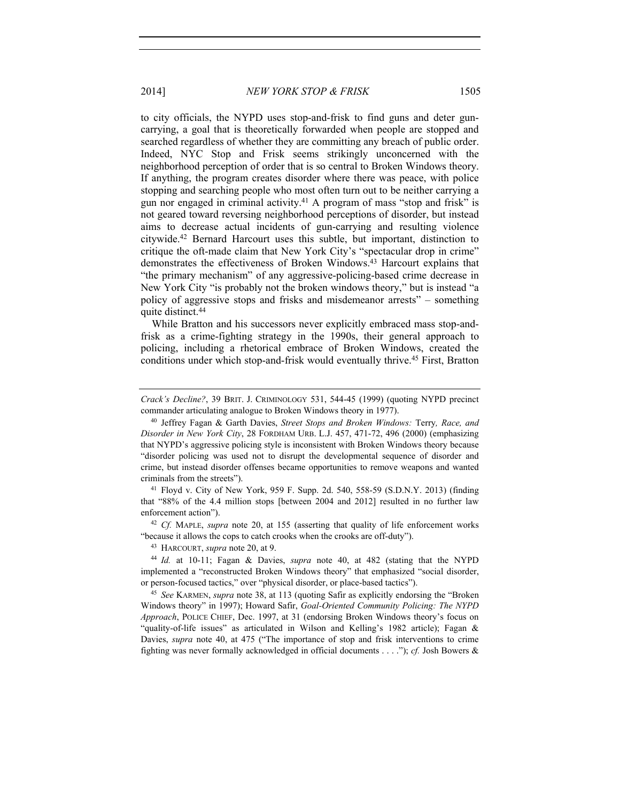to city officials, the NYPD uses stop-and-frisk to find guns and deter guncarrying, a goal that is theoretically forwarded when people are stopped and searched regardless of whether they are committing any breach of public order. Indeed, NYC Stop and Frisk seems strikingly unconcerned with the neighborhood perception of order that is so central to Broken Windows theory. If anything, the program creates disorder where there was peace, with police stopping and searching people who most often turn out to be neither carrying a gun nor engaged in criminal activity.41 A program of mass "stop and frisk" is not geared toward reversing neighborhood perceptions of disorder, but instead aims to decrease actual incidents of gun-carrying and resulting violence citywide.42 Bernard Harcourt uses this subtle, but important, distinction to critique the oft-made claim that New York City's "spectacular drop in crime" demonstrates the effectiveness of Broken Windows.43 Harcourt explains that "the primary mechanism" of any aggressive-policing-based crime decrease in New York City "is probably not the broken windows theory," but is instead "a policy of aggressive stops and frisks and misdemeanor arrests" – something quite distinct.44

While Bratton and his successors never explicitly embraced mass stop-andfrisk as a crime-fighting strategy in the 1990s, their general approach to policing, including a rhetorical embrace of Broken Windows, created the conditions under which stop-and-frisk would eventually thrive.45 First, Bratton

that "88% of the 4.4 million stops [between 2004 and 2012] resulted in no further law enforcement action").<br><sup>42</sup> *Cf.* MAPLE, *supra* note 20, at 155 (asserting that quality of life enforcement works

"because it allows the cops to catch crooks when the crooks are off-duty"). 43 HARCOURT, *supra* note 20, at 9.

<sup>44</sup> *Id.* at 10-11; Fagan & Davies, *supra* note 40, at 482 (stating that the NYPD implemented a "reconstructed Broken Windows theory" that emphasized "social disorder,

or person-focused tactics," over "physical disorder, or place-based tactics"). 45 *See* KARMEN, *supra* note 38, at 113 (quoting Safir as explicitly endorsing the "Broken Windows theory" in 1997); Howard Safir, *Goal-Oriented Community Policing: The NYPD Approach*, POLICE CHIEF, Dec. 1997, at 31 (endorsing Broken Windows theory's focus on "quality-of-life issues" as articulated in Wilson and Kelling's 1982 article); Fagan & Davies, *supra* note 40, at 475 ("The importance of stop and frisk interventions to crime fighting was never formally acknowledged in official documents . . . ."); *cf.* Josh Bowers &

*Crack's Decline?*, 39 BRIT. J. CRIMINOLOGY 531, 544-45 (1999) (quoting NYPD precinct commander articulating analogue to Broken Windows theory in 1977).

<sup>40</sup> Jeffrey Fagan & Garth Davies, *Street Stops and Broken Windows:* Terry*, Race, and Disorder in New York City*, 28 FORDHAM URB. L.J. 457, 471-72, 496 (2000) (emphasizing that NYPD's aggressive policing style is inconsistent with Broken Windows theory because "disorder policing was used not to disrupt the developmental sequence of disorder and crime, but instead disorder offenses became opportunities to remove weapons and wanted criminals from the streets"). 41 Floyd v. City of New York, 959 F. Supp. 2d. 540, 558-59 (S.D.N.Y. 2013) (finding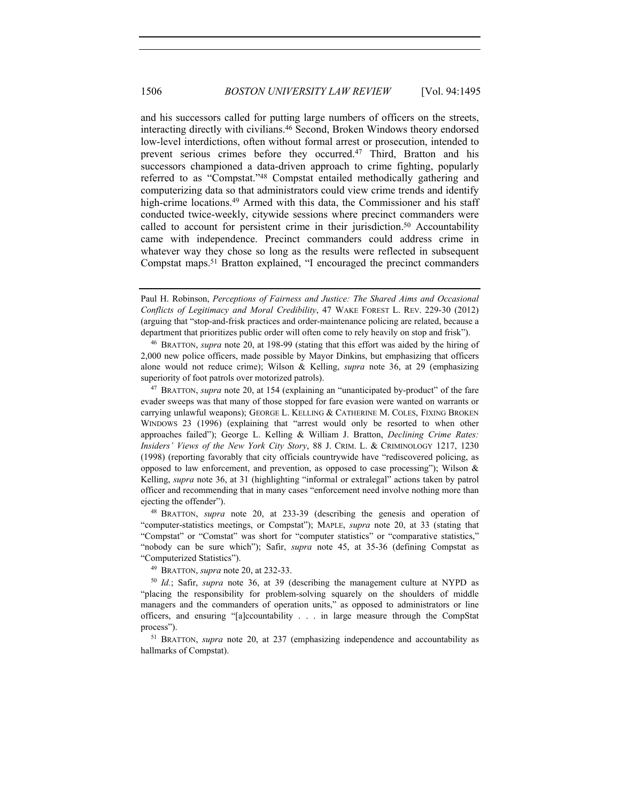and his successors called for putting large numbers of officers on the streets, interacting directly with civilians.46 Second, Broken Windows theory endorsed low-level interdictions, often without formal arrest or prosecution, intended to prevent serious crimes before they occurred.47 Third, Bratton and his successors championed a data-driven approach to crime fighting, popularly referred to as "Compstat."48 Compstat entailed methodically gathering and computerizing data so that administrators could view crime trends and identify high-crime locations.<sup>49</sup> Armed with this data, the Commissioner and his staff conducted twice-weekly, citywide sessions where precinct commanders were called to account for persistent crime in their jurisdiction.<sup>50</sup> Accountability came with independence. Precinct commanders could address crime in whatever way they chose so long as the results were reflected in subsequent Compstat maps.51 Bratton explained, "I encouraged the precinct commanders

2,000 new police officers, made possible by Mayor Dinkins, but emphasizing that officers alone would not reduce crime); Wilson & Kelling, *supra* note 36, at 29 (emphasizing superiority of foot patrols over motorized patrols).<br><sup>47</sup> BRATTON, *supra* note 20, at 154 (explaining an "unanticipated by-product" of the fare

evader sweeps was that many of those stopped for fare evasion were wanted on warrants or carrying unlawful weapons); GEORGE L. KELLING & CATHERINE M. COLES, FIXING BROKEN WINDOWS 23 (1996) (explaining that "arrest would only be resorted to when other approaches failed"); George L. Kelling & William J. Bratton, *Declining Crime Rates: Insiders' Views of the New York City Story*, 88 J. CRIM. L. & CRIMINOLOGY 1217, 1230 (1998) (reporting favorably that city officials countrywide have "rediscovered policing, as opposed to law enforcement, and prevention, as opposed to case processing"); Wilson  $\&$ Kelling, *supra* note 36, at 31 (highlighting "informal or extralegal" actions taken by patrol officer and recommending that in many cases "enforcement need involve nothing more than ejecting the offender").

<sup>48</sup> BRATTON, *supra* note 20, at 233-39 (describing the genesis and operation of "computer-statistics meetings, or Compstat"); MAPLE, *supra* note 20, at 33 (stating that "Compstat" or "Comstat" was short for "computer statistics" or "comparative statistics," "nobody can be sure which"); Safir, *supra* note 45, at 35-36 (defining Compstat as "Computerized Statistics"). 49 BRATTON, *supra* note 20, at 232-33.

<sup>50</sup> *Id.*; Safir, *supra* note 36, at 39 (describing the management culture at NYPD as "placing the responsibility for problem-solving squarely on the shoulders of middle managers and the commanders of operation units," as opposed to administrators or line officers, and ensuring "[a]ccountability . . . in large measure through the CompStat process"). 51 BRATTON, *supra* note 20, at 237 (emphasizing independence and accountability as

hallmarks of Compstat).

Paul H. Robinson, *Perceptions of Fairness and Justice: The Shared Aims and Occasional Conflicts of Legitimacy and Moral Credibility*, 47 WAKE FOREST L. REV. 229-30 (2012) (arguing that "stop-and-frisk practices and order-maintenance policing are related, because a department that prioritizes public order will often come to rely heavily on stop and frisk"). 46 BRATTON, *supra* note 20, at 198-99 (stating that this effort was aided by the hiring of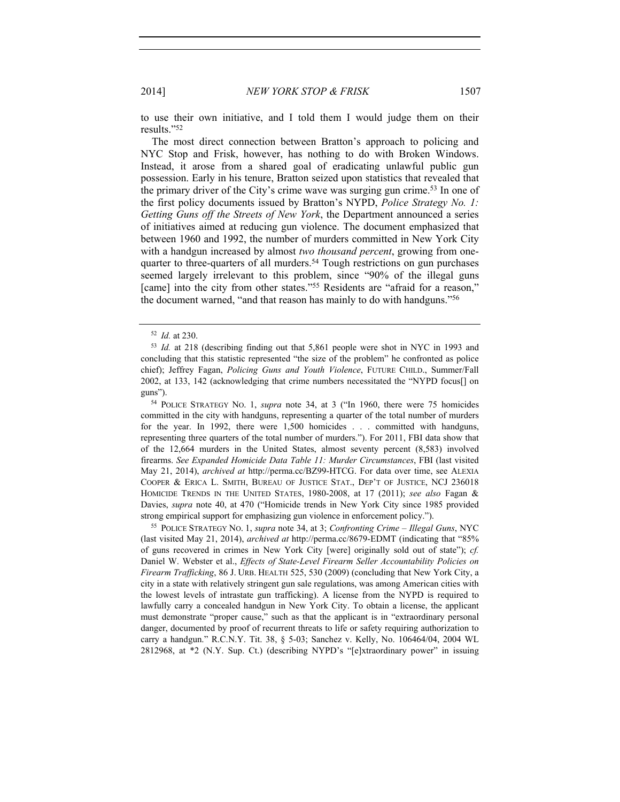to use their own initiative, and I told them I would judge them on their results."52

The most direct connection between Bratton's approach to policing and NYC Stop and Frisk, however, has nothing to do with Broken Windows. Instead, it arose from a shared goal of eradicating unlawful public gun possession. Early in his tenure, Bratton seized upon statistics that revealed that the primary driver of the City's crime wave was surging gun crime.53 In one of the first policy documents issued by Bratton's NYPD, *Police Strategy No. 1: Getting Guns off the Streets of New York*, the Department announced a series of initiatives aimed at reducing gun violence. The document emphasized that between 1960 and 1992, the number of murders committed in New York City with a handgun increased by almost *two thousand percent*, growing from onequarter to three-quarters of all murders.<sup>54</sup> Tough restrictions on gun purchases seemed largely irrelevant to this problem, since "90% of the illegal guns [came] into the city from other states."<sup>55</sup> Residents are "afraid for a reason," the document warned, "and that reason has mainly to do with handguns."56

<sup>54</sup> POLICE STRATEGY NO. 1, *supra* note 34, at 3 ("In 1960, there were 75 homicides committed in the city with handguns, representing a quarter of the total number of murders for the year. In 1992, there were 1,500 homicides . . . committed with handguns, representing three quarters of the total number of murders."). For 2011, FBI data show that of the 12,664 murders in the United States, almost seventy percent (8,583) involved firearms. *See Expanded Homicide Data Table 11: Murder Circumstances*, FBI (last visited May 21, 2014), *archived at* http://perma.cc/BZ99-HTCG. For data over time, see ALEXIA COOPER & ERICA L. SMITH, BUREAU OF JUSTICE STAT., DEP'T OF JUSTICE, NCJ 236018 HOMICIDE TRENDS IN THE UNITED STATES, 1980-2008, at 17 (2011); *see also* Fagan & Davies, *supra* note 40, at 470 ("Homicide trends in New York City since 1985 provided

strong empirical support for emphasizing gun violence in enforcement policy."). 55 POLICE STRATEGY NO. 1, *supra* note 34, at 3; *Confronting Crime – Illegal Guns*, NYC (last visited May 21, 2014), *archived at* http://perma.cc/8679-EDMT (indicating that "85% of guns recovered in crimes in New York City [were] originally sold out of state"); *cf.*  Daniel W. Webster et al., *Effects of State-Level Firearm Seller Accountability Policies on Firearm Trafficking*, 86 J. URB. HEALTH 525, 530 (2009) (concluding that New York City, a city in a state with relatively stringent gun sale regulations, was among American cities with the lowest levels of intrastate gun trafficking). A license from the NYPD is required to lawfully carry a concealed handgun in New York City. To obtain a license, the applicant must demonstrate "proper cause," such as that the applicant is in "extraordinary personal danger, documented by proof of recurrent threats to life or safety requiring authorization to carry a handgun." R.C.N.Y. Tit. 38, § 5-03; Sanchez v. Kelly, No. 106464/04, 2004 WL 2812968, at \*2 (N.Y. Sup. Ct.) (describing NYPD's "[e]xtraordinary power" in issuing

<sup>52</sup> *Id.* at 230.

<sup>53</sup> *Id.* at 218 (describing finding out that 5,861 people were shot in NYC in 1993 and concluding that this statistic represented "the size of the problem" he confronted as police chief); Jeffrey Fagan, *Policing Guns and Youth Violence*, FUTURE CHILD., Summer/Fall 2002, at 133, 142 (acknowledging that crime numbers necessitated the "NYPD focus[] on guns").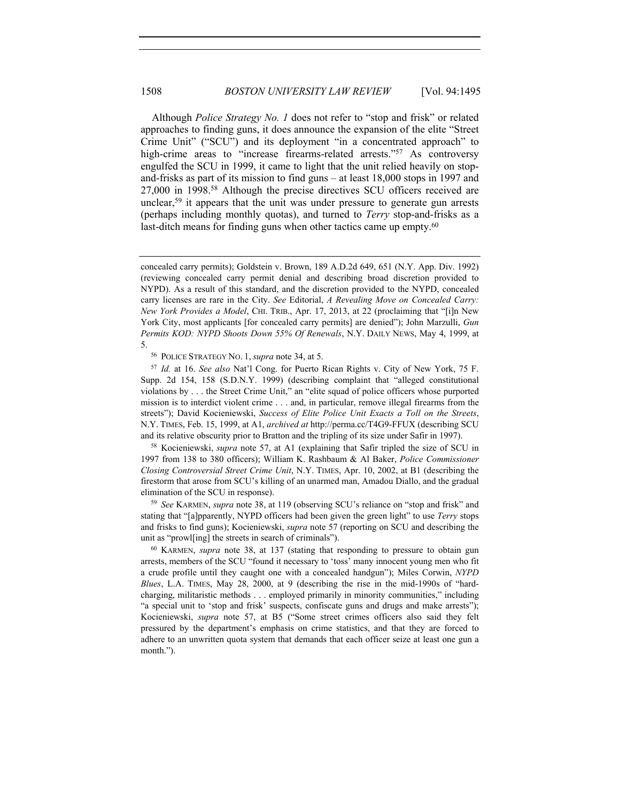Although *Police Strategy No. 1* does not refer to "stop and frisk" or related approaches to finding guns, it does announce the expansion of the elite "Street Crime Unit" ("SCU") and its deployment "in a concentrated approach" to high-crime areas to "increase firearms-related arrests."<sup>57</sup> As controversy engulfed the SCU in 1999, it came to light that the unit relied heavily on stopand-frisks as part of its mission to find guns – at least 18,000 stops in 1997 and 27,000 in 1998.58 Although the precise directives SCU officers received are unclear,<sup>59</sup> it appears that the unit was under pressure to generate gun arrests (perhaps including monthly quotas), and turned to *Terry* stop-and-frisks as a last-ditch means for finding guns when other tactics came up empty.<sup>60</sup>

<sup>56</sup> POLICE STRATEGY NO. 1, *supra* note 34, at 5. 57 *Id.* at 16. *See also* Nat'l Cong. for Puerto Rican Rights v. City of New York, 75 F. Supp. 2d 154, 158 (S.D.N.Y. 1999) (describing complaint that "alleged constitutional violations by . . . the Street Crime Unit," an "elite squad of police officers whose purported mission is to interdict violent crime . . . and, in particular, remove illegal firearms from the streets"); David Kocieniewski, *Success of Elite Police Unit Exacts a Toll on the Streets*, N.Y. TIMES, Feb. 15, 1999, at A1, *archived at* http://perma.cc/T4G9-FFUX (describing SCU and its relative obscurity prior to Bratton and the tripling of its size under Safir in 1997).

<sup>58</sup> Kocieniewski, *supra* note 57, at A1 (explaining that Safir tripled the size of SCU in 1997 from 138 to 380 officers); William K. Rashbaum & Al Baker, *Police Commissioner Closing Controversial Street Crime Unit*, N.Y. TIMES, Apr. 10, 2002, at B1 (describing the firestorm that arose from SCU's killing of an unarmed man, Amadou Diallo, and the gradual elimination of the SCU in response).

<sup>59</sup> *See* KARMEN, *supra* note 38, at 119 (observing SCU's reliance on "stop and frisk" and stating that "[a]pparently, NYPD officers had been given the green light" to use *Terry* stops and frisks to find guns); Kocieniewski, *supra* note 57 (reporting on SCU and describing the unit as "prowl[ing] the streets in search of criminals").

<sup>60</sup> KARMEN, *supra* note 38, at 137 (stating that responding to pressure to obtain gun arrests, members of the SCU "found it necessary to 'toss' many innocent young men who fit a crude profile until they caught one with a concealed handgun"); Miles Corwin, *NYPD Blues*, L.A. TIMES, May 28, 2000, at 9 (describing the rise in the mid-1990s of "hardcharging, militaristic methods . . . employed primarily in minority communities," including "a special unit to 'stop and frisk' suspects, confiscate guns and drugs and make arrests"); Kocieniewski, *supra* note 57, at B5 ("Some street crimes officers also said they felt pressured by the department's emphasis on crime statistics, and that they are forced to adhere to an unwritten quota system that demands that each officer seize at least one gun a month.").

concealed carry permits); Goldstein v. Brown, 189 A.D.2d 649, 651 (N.Y. App. Div. 1992) (reviewing concealed carry permit denial and describing broad discretion provided to NYPD). As a result of this standard, and the discretion provided to the NYPD, concealed carry licenses are rare in the City. *See* Editorial, *A Revealing Move on Concealed Carry: New York Provides a Model*, CHI. TRIB., Apr. 17, 2013, at 22 (proclaiming that "[i]n New York City, most applicants [for concealed carry permits] are denied"); John Marzulli, *Gun Permits KOD: NYPD Shoots Down 55% Of Renewals*, N.Y. DAILY NEWS, May 4, 1999, at 5.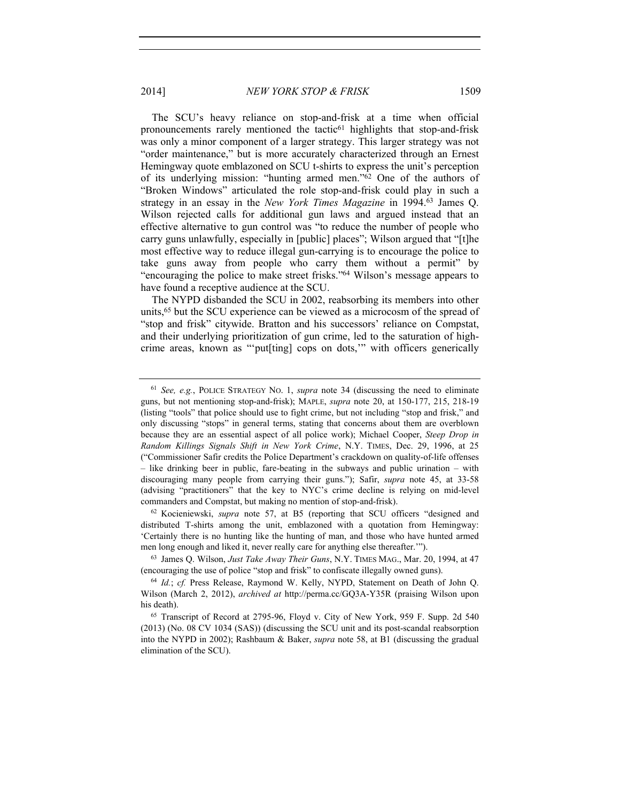The SCU's heavy reliance on stop-and-frisk at a time when official pronouncements rarely mentioned the tactic<sup>61</sup> highlights that stop-and-frisk was only a minor component of a larger strategy. This larger strategy was not "order maintenance," but is more accurately characterized through an Ernest Hemingway quote emblazoned on SCU t-shirts to express the unit's perception of its underlying mission: "hunting armed men."62 One of the authors of "Broken Windows" articulated the role stop-and-frisk could play in such a strategy in an essay in the *New York Times Magazine* in 1994.63 James Q. Wilson rejected calls for additional gun laws and argued instead that an effective alternative to gun control was "to reduce the number of people who carry guns unlawfully, especially in [public] places"; Wilson argued that "[t]he most effective way to reduce illegal gun-carrying is to encourage the police to take guns away from people who carry them without a permit" by "encouraging the police to make street frisks."64 Wilson's message appears to have found a receptive audience at the SCU.

The NYPD disbanded the SCU in 2002, reabsorbing its members into other units,<sup>65</sup> but the SCU experience can be viewed as a microcosm of the spread of "stop and frisk" citywide. Bratton and his successors' reliance on Compstat, and their underlying prioritization of gun crime, led to the saturation of highcrime areas, known as "'put[ting] cops on dots,'" with officers generically

<sup>62</sup> Kocieniewski, *supra* note 57, at B5 (reporting that SCU officers "designed and distributed T-shirts among the unit, emblazoned with a quotation from Hemingway: 'Certainly there is no hunting like the hunting of man, and those who have hunted armed men long enough and liked it, never really care for anything else thereafter.'").

<sup>63</sup> James Q. Wilson, *Just Take Away Their Guns*, N.Y. TIMES MAG., Mar. 20, 1994, at 47 (encouraging the use of police "stop and frisk" to confiscate illegally owned guns).

<sup>61</sup> *See, e.g.*, POLICE STRATEGY NO. 1, *supra* note 34 (discussing the need to eliminate guns, but not mentioning stop-and-frisk); MAPLE, *supra* note 20, at 150-177, 215, 218-19 (listing "tools" that police should use to fight crime, but not including "stop and frisk," and only discussing "stops" in general terms, stating that concerns about them are overblown because they are an essential aspect of all police work); Michael Cooper, *Steep Drop in Random Killings Signals Shift in New York Crime*, N.Y. TIMES, Dec. 29, 1996, at 25 ("Commissioner Safir credits the Police Department's crackdown on quality-of-life offenses – like drinking beer in public, fare-beating in the subways and public urination – with discouraging many people from carrying their guns."); Safir, *supra* note 45, at 33-58 (advising "practitioners" that the key to NYC's crime decline is relying on mid-level commanders and Compstat, but making no mention of stop-and-frisk).

<sup>64</sup> *Id.*; *cf.* Press Release, Raymond W. Kelly, NYPD, Statement on Death of John Q. Wilson (March 2, 2012), *archived at* http://perma.cc/GQ3A-Y35R (praising Wilson upon his death).

<sup>65</sup> Transcript of Record at 2795-96, Floyd v. City of New York, 959 F. Supp. 2d 540 (2013) (No. 08 CV 1034 (SAS)) (discussing the SCU unit and its post-scandal reabsorption into the NYPD in 2002); Rashbaum & Baker, *supra* note 58, at B1 (discussing the gradual elimination of the SCU).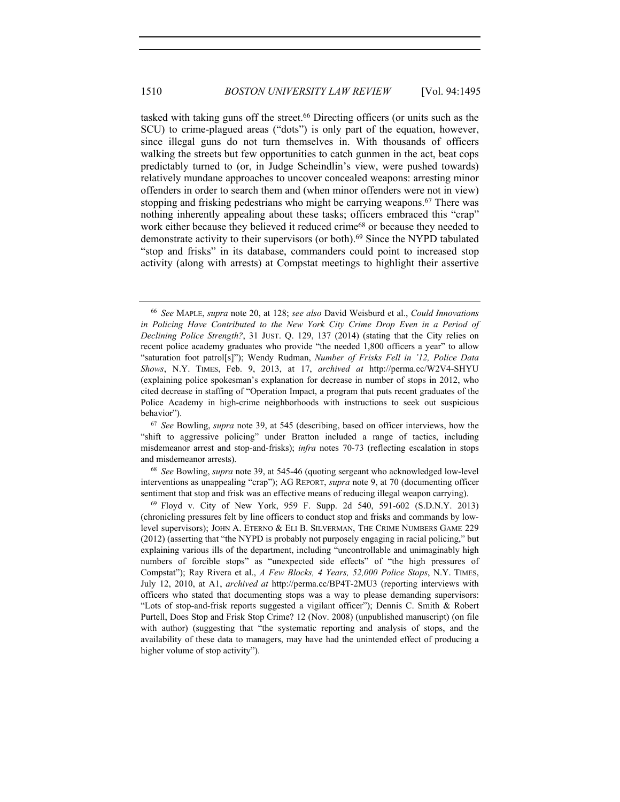tasked with taking guns off the street.66 Directing officers (or units such as the SCU) to crime-plagued areas ("dots") is only part of the equation, however, since illegal guns do not turn themselves in. With thousands of officers walking the streets but few opportunities to catch gunmen in the act, beat cops predictably turned to (or, in Judge Scheindlin's view, were pushed towards) relatively mundane approaches to uncover concealed weapons: arresting minor offenders in order to search them and (when minor offenders were not in view) stopping and frisking pedestrians who might be carrying weapons.<sup>67</sup> There was nothing inherently appealing about these tasks; officers embraced this "crap" work either because they believed it reduced crime<sup>68</sup> or because they needed to demonstrate activity to their supervisors (or both).69 Since the NYPD tabulated "stop and frisks" in its database, commanders could point to increased stop activity (along with arrests) at Compstat meetings to highlight their assertive

<sup>68</sup> *See* Bowling, *supra* note 39, at 545-46 (quoting sergeant who acknowledged low-level interventions as unappealing "crap"); AG REPORT, *supra* note 9, at 70 (documenting officer sentiment that stop and frisk was an effective means of reducing illegal weapon carrying).<br><sup>69</sup> Floyd v. City of New York, 959 F. Supp. 2d 540, 591-602 (S.D.N.Y. 2013)

<sup>66</sup> *See* MAPLE, *supra* note 20, at 128; *see also* David Weisburd et al., *Could Innovations in Policing Have Contributed to the New York City Crime Drop Even in a Period of Declining Police Strength?*, 31 JUST. Q. 129, 137 (2014) (stating that the City relies on recent police academy graduates who provide "the needed 1,800 officers a year" to allow "saturation foot patrol[s]"); Wendy Rudman, *Number of Frisks Fell in '12, Police Data Shows*, N.Y. TIMES, Feb. 9, 2013, at 17, *archived at* http://perma.cc/W2V4-SHYU (explaining police spokesman's explanation for decrease in number of stops in 2012, who cited decrease in staffing of "Operation Impact, a program that puts recent graduates of the Police Academy in high-crime neighborhoods with instructions to seek out suspicious behavior").

<sup>67</sup> *See* Bowling, *supra* note 39, at 545 (describing, based on officer interviews, how the "shift to aggressive policing" under Bratton included a range of tactics, including misdemeanor arrest and stop-and-frisks); *infra* notes 70-73 (reflecting escalation in stops and misdemeanor arrests).

<sup>(</sup>chronicling pressures felt by line officers to conduct stop and frisks and commands by lowlevel supervisors); JOHN A. ETERNO & ELI B. SILVERMAN, THE CRIME NUMBERS GAME 229 (2012) (asserting that "the NYPD is probably not purposely engaging in racial policing," but explaining various ills of the department, including "uncontrollable and unimaginably high numbers of forcible stops" as "unexpected side effects" of "the high pressures of Compstat"); Ray Rivera et al., *A Few Blocks, 4 Years, 52,000 Police Stops*, N.Y. TIMES, July 12, 2010, at A1, *archived at* http://perma.cc/BP4T-2MU3 (reporting interviews with officers who stated that documenting stops was a way to please demanding supervisors: "Lots of stop-and-frisk reports suggested a vigilant officer"); Dennis C. Smith & Robert Purtell, Does Stop and Frisk Stop Crime? 12 (Nov. 2008) (unpublished manuscript) (on file with author) (suggesting that "the systematic reporting and analysis of stops, and the availability of these data to managers, may have had the unintended effect of producing a higher volume of stop activity").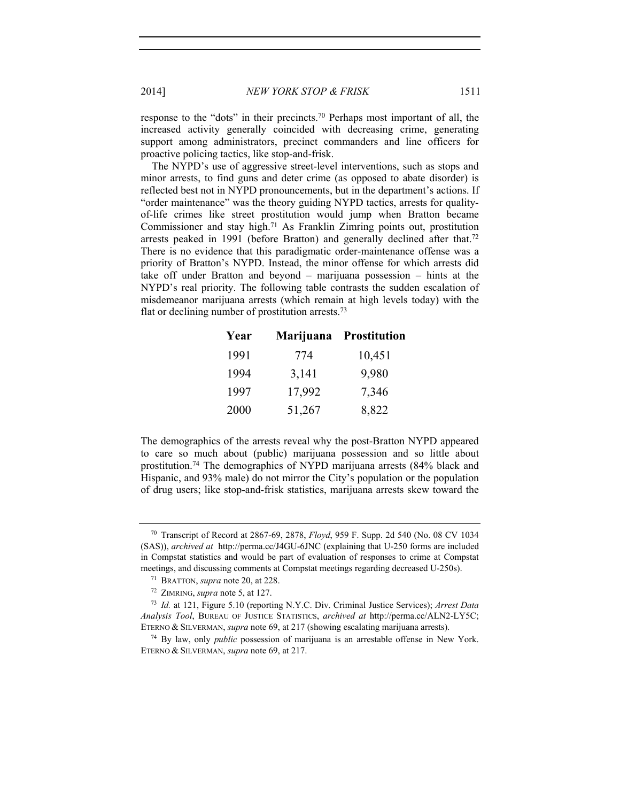2014] *NEW YORK STOP & FRISK* 1511

response to the "dots" in their precincts.70 Perhaps most important of all, the increased activity generally coincided with decreasing crime, generating support among administrators, precinct commanders and line officers for proactive policing tactics, like stop-and-frisk.

The NYPD's use of aggressive street-level interventions, such as stops and minor arrests, to find guns and deter crime (as opposed to abate disorder) is reflected best not in NYPD pronouncements, but in the department's actions. If "order maintenance" was the theory guiding NYPD tactics, arrests for qualityof-life crimes like street prostitution would jump when Bratton became Commissioner and stay high.71 As Franklin Zimring points out, prostitution arrests peaked in 1991 (before Bratton) and generally declined after that.<sup>72</sup> There is no evidence that this paradigmatic order-maintenance offense was a priority of Bratton's NYPD. Instead, the minor offense for which arrests did take off under Bratton and beyond – marijuana possession – hints at the NYPD's real priority. The following table contrasts the sudden escalation of misdemeanor marijuana arrests (which remain at high levels today) with the flat or declining number of prostitution arrests.<sup>73</sup>

| Year |        | Marijuana Prostitution |
|------|--------|------------------------|
| 1991 | 774    | 10,451                 |
| 1994 | 3,141  | 9,980                  |
| 1997 | 17,992 | 7,346                  |
| 2000 | 51,267 | 8,822                  |

The demographics of the arrests reveal why the post-Bratton NYPD appeared to care so much about (public) marijuana possession and so little about prostitution.74 The demographics of NYPD marijuana arrests (84% black and Hispanic, and 93% male) do not mirror the City's population or the population of drug users; like stop-and-frisk statistics, marijuana arrests skew toward the

<sup>70</sup> Transcript of Record at 2867-69, 2878, *Floyd*, 959 F. Supp. 2d 540 (No. 08 CV 1034 (SAS)), *archived at* http://perma.cc/J4GU-6JNC (explaining that U-250 forms are included in Compstat statistics and would be part of evaluation of responses to crime at Compstat meetings, and discussing comments at Compstat meetings regarding decreased U-250s).

<sup>71</sup> BRATTON, *supra* note 20, at 228.

<sup>72</sup> ZIMRING, *supra* note 5, at 127.

<sup>73</sup> *Id.* at 121, Figure 5.10 (reporting N.Y.C. Div. Criminal Justice Services); *Arrest Data Analysis Tool*, BUREAU OF JUSTICE STATISTICS, *archived at* http://perma.cc/ALN2-LY5C; ETERNO & SILVERMAN, *supra* note 69, at 217 (showing escalating marijuana arrests).

<sup>74</sup> By law, only *public* possession of marijuana is an arrestable offense in New York. ETERNO & SILVERMAN, *supra* note 69, at 217.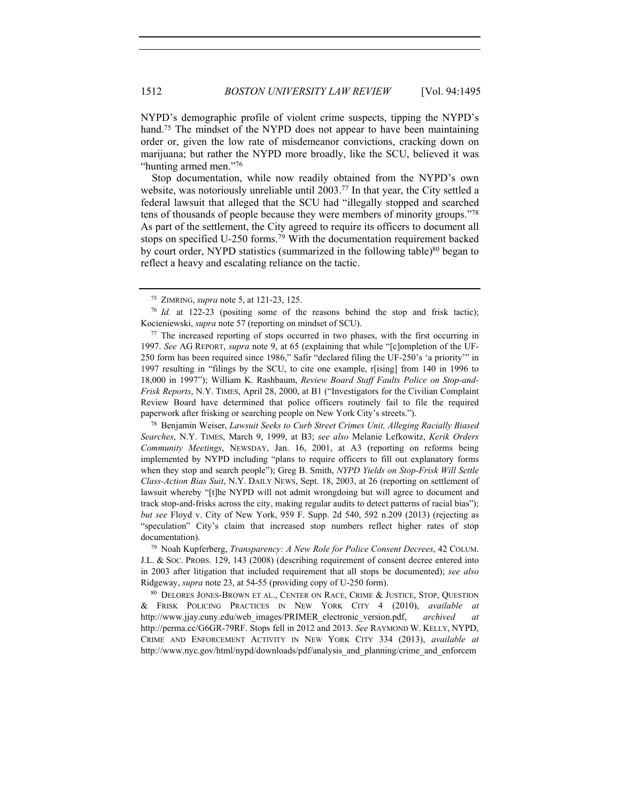NYPD's demographic profile of violent crime suspects, tipping the NYPD's hand.<sup>75</sup> The mindset of the NYPD does not appear to have been maintaining order or, given the low rate of misdemeanor convictions, cracking down on marijuana; but rather the NYPD more broadly, like the SCU, believed it was "hunting armed men."76

 Stop documentation, while now readily obtained from the NYPD's own website, was notoriously unreliable until 2003.77 In that year, the City settled a federal lawsuit that alleged that the SCU had "illegally stopped and searched tens of thousands of people because they were members of minority groups."78 As part of the settlement, the City agreed to require its officers to document all stops on specified U-250 forms.79 With the documentation requirement backed by court order, NYPD statistics (summarized in the following table)<sup>80</sup> began to reflect a heavy and escalating reliance on the tactic.

<sup>78</sup> Benjamin Weiser, *Lawsuit Seeks to Curb Street Crimes Unit, Alleging Racially Biased Searches*, N.Y. TIMES, March 9, 1999, at B3; *see also* Melanie Lefkowitz, *Kerik Orders Community Meetings*, NEWSDAY, Jan. 16, 2001, at A3 (reporting on reforms being implemented by NYPD including "plans to require officers to fill out explanatory forms when they stop and search people"); Greg B. Smith, *NYPD Yields on Stop-Frisk Will Settle Class-Action Bias Suit*, N.Y. DAILY NEWS, Sept. 18, 2003, at 26 (reporting on settlement of lawsuit whereby "[t]he NYPD will not admit wrongdoing but will agree to document and track stop-and-frisks across the city, making regular audits to detect patterns of racial bias"); *but see* Floyd v. City of New York, 959 F. Supp. 2d 540, 592 n.209 (2013) (rejecting as "speculation" City's claim that increased stop numbers reflect higher rates of stop

documentation). 79 Noah Kupferberg, *Transparency: A New Role for Police Consent Decrees*, 42 COLUM. J.L. & SOC. PROBS. 129, 143 (2008) (describing requirement of consent decree entered into in 2003 after litigation that included requirement that all stops be documented); *see also* Ridgeway, *supra* note 23, at 54-55 (providing copy of U-250 form).<br><sup>80</sup> DELORES JONES-BROWN ET AL., CENTER ON RACE, CRIME & JUSTICE, STOP, QUESTION

& FRISK POLICING PRACTICES IN NEW YORK CITY 4 (2010), *available at* http://www.jjay.cuny.edu/web\_images/PRIMER\_electronic\_version.pdf, *archived at* http://perma.cc/G6GR-79RF. Stops fell in 2012 and 2013. *See* RAYMOND W. KELLY, NYPD, CRIME AND ENFORCEMENT ACTIVITY IN NEW YORK CITY 334 (2013), *available at*  http://www.nyc.gov/html/nypd/downloads/pdf/analysis\_and\_planning/crime\_and\_enforcem

<sup>75</sup> ZIMRING, *supra* note 5, at 121-23, 125. 76 *Id.* at 122-23 (positing some of the reasons behind the stop and frisk tactic); Kocieniewski, *supra* note 57 (reporting on mindset of SCU).

<sup>&</sup>lt;sup>77</sup> The increased reporting of stops occurred in two phases, with the first occurring in 1997. *See* AG REPORT, *supra* note 9, at 65 (explaining that while "[c]ompletion of the UF-250 form has been required since 1986," Safir "declared filing the UF-250's 'a priority'" in 1997 resulting in "filings by the SCU, to cite one example, r[ising] from 140 in 1996 to 18,000 in 1997"); William K. Rashbaum, *Review Board Staff Faults Police on Stop-and-Frisk Reports*, N.Y. TIMES, April 28, 2000, at B1 ("Investigators for the Civilian Complaint Review Board have determined that police officers routinely fail to file the required paperwork after frisking or searching people on New York City's streets.").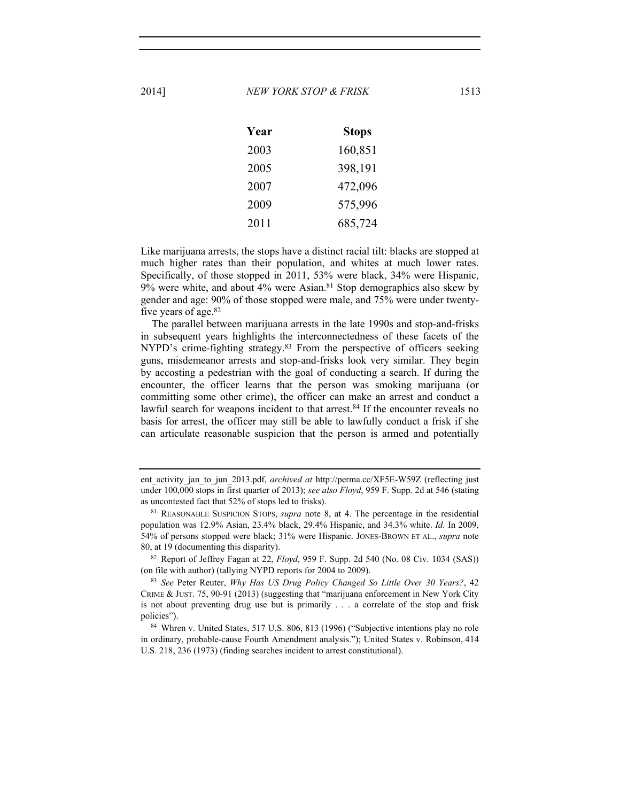| Year | <b>Stops</b> |
|------|--------------|
| 2003 | 160,851      |
| 2005 | 398,191      |
| 2007 | 472,096      |
| 2009 | 575,996      |
| 2011 | 685,724      |

Like marijuana arrests, the stops have a distinct racial tilt: blacks are stopped at much higher rates than their population, and whites at much lower rates. Specifically, of those stopped in 2011, 53% were black, 34% were Hispanic,  $9\%$  were white, and about  $4\%$  were Asian.<sup>81</sup> Stop demographics also skew by gender and age: 90% of those stopped were male, and 75% were under twentyfive years of age.82

The parallel between marijuana arrests in the late 1990s and stop-and-frisks in subsequent years highlights the interconnectedness of these facets of the NYPD's crime-fighting strategy.<sup>83</sup> From the perspective of officers seeking guns, misdemeanor arrests and stop-and-frisks look very similar. They begin by accosting a pedestrian with the goal of conducting a search. If during the encounter, the officer learns that the person was smoking marijuana (or committing some other crime), the officer can make an arrest and conduct a lawful search for weapons incident to that arrest.<sup>84</sup> If the encounter reveals no basis for arrest, the officer may still be able to lawfully conduct a frisk if she can articulate reasonable suspicion that the person is armed and potentially

<sup>82</sup> Report of Jeffrey Fagan at 22, *Floyd*, 959 F. Supp. 2d 540 (No. 08 Civ. 1034 (SAS)) (on file with author) (tallying NYPD reports for 2004 to 2009).

ent activity jan to jun 2013.pdf, *archived at* http://perma.cc/XF5E-W59Z (reflecting just under 100,000 stops in first quarter of 2013); *see also Floyd*, 959 F. Supp. 2d at 546 (stating as uncontested fact that 52% of stops led to frisks).

<sup>81</sup> REASONABLE SUSPICION STOPS, *supra* note 8, at 4. The percentage in the residential population was 12.9% Asian, 23.4% black, 29.4% Hispanic, and 34.3% white. *Id.* In 2009, 54% of persons stopped were black; 31% were Hispanic. JONES-BROWN ET AL., *supra* note 80, at 19 (documenting this disparity).

<sup>83</sup> *See* Peter Reuter, *Why Has US Drug Policy Changed So Little Over 30 Years?*, 42 CRIME & JUST. 75, 90-91 (2013) (suggesting that "marijuana enforcement in New York City is not about preventing drug use but is primarily . . . a correlate of the stop and frisk policies").<br><sup>84</sup> Whren v. United States, 517 U.S. 806, 813 (1996) ("Subjective intentions play no role

in ordinary, probable-cause Fourth Amendment analysis."); United States v. Robinson, 414 U.S. 218, 236 (1973) (finding searches incident to arrest constitutional).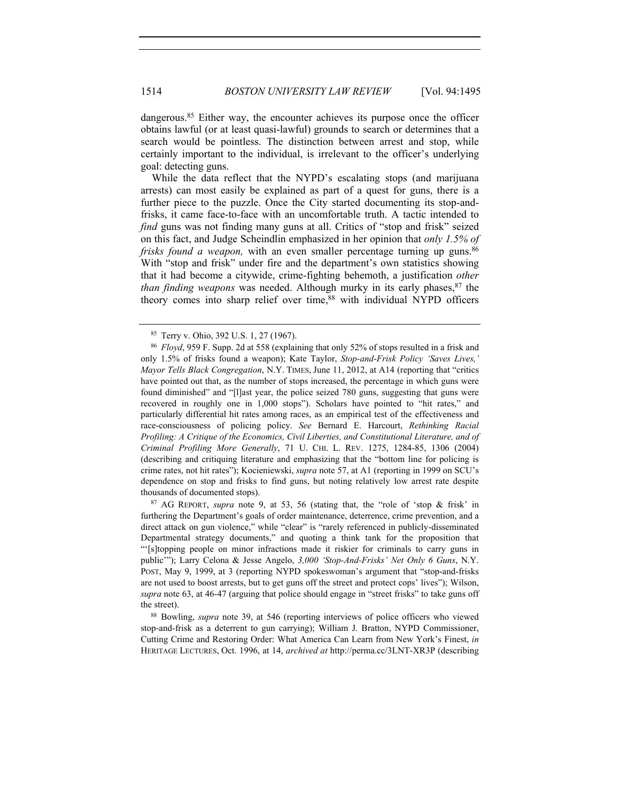dangerous.<sup>85</sup> Either way, the encounter achieves its purpose once the officer obtains lawful (or at least quasi-lawful) grounds to search or determines that a search would be pointless. The distinction between arrest and stop, while certainly important to the individual, is irrelevant to the officer's underlying goal: detecting guns.

While the data reflect that the NYPD's escalating stops (and marijuana arrests) can most easily be explained as part of a quest for guns, there is a further piece to the puzzle. Once the City started documenting its stop-andfrisks, it came face-to-face with an uncomfortable truth. A tactic intended to *find* guns was not finding many guns at all. Critics of "stop and frisk" seized on this fact, and Judge Scheindlin emphasized in her opinion that *only 1.5% of frisks found a weapon,* with an even smaller percentage turning up guns.<sup>86</sup> With "stop and frisk" under fire and the department's own statistics showing that it had become a citywide, crime-fighting behemoth, a justification *other than finding weapons* was needed. Although murky in its early phases, <sup>87</sup> the theory comes into sharp relief over time,<sup>88</sup> with individual NYPD officers

<sup>87</sup> AG REPORT, *supra* note 9, at 53, 56 (stating that, the "role of 'stop & frisk' in furthering the Department's goals of order maintenance, deterrence, crime prevention, and a direct attack on gun violence," while "clear" is "rarely referenced in publicly-disseminated Departmental strategy documents," and quoting a think tank for the proposition that "'[s]topping people on minor infractions made it riskier for criminals to carry guns in public'"); Larry Celona & Jesse Angelo, *3,000 'Stop-And-Frisks' Net Only 6 Guns*, N.Y. POST, May 9, 1999, at 3 (reporting NYPD spokeswoman's argument that "stop-and-frisks are not used to boost arrests, but to get guns off the street and protect cops' lives"); Wilson, *supra* note 63, at 46-47 (arguing that police should engage in "street frisks" to take guns off the street).

<sup>88</sup> Bowling, *supra* note 39, at 546 (reporting interviews of police officers who viewed stop-and-frisk as a deterrent to gun carrying); William J. Bratton, NYPD Commissioner, Cutting Crime and Restoring Order: What America Can Learn from New York's Finest, *in* HERITAGE LECTURES, Oct. 1996, at 14, *archived at* http://perma.cc/3LNT-XR3P (describing

<sup>85</sup> Terry v. Ohio, 392 U.S. 1, 27 (1967).

<sup>86</sup> *Floyd*, 959 F. Supp. 2d at 558 (explaining that only 52% of stops resulted in a frisk and only 1.5% of frisks found a weapon); Kate Taylor, *Stop-and-Frisk Policy 'Saves Lives,' Mayor Tells Black Congregation*, N.Y. TIMES, June 11, 2012, at A14 (reporting that "critics have pointed out that, as the number of stops increased, the percentage in which guns were found diminished" and "[l]ast year, the police seized 780 guns, suggesting that guns were recovered in roughly one in 1,000 stops"). Scholars have pointed to "hit rates," and particularly differential hit rates among races, as an empirical test of the effectiveness and race-consciousness of policing policy. *See* Bernard E. Harcourt, *Rethinking Racial Profiling: A Critique of the Economics, Civil Liberties, and Constitutional Literature, and of Criminal Profiling More Generally*, 71 U. CHI. L. REV. 1275, 1284-85, 1306 (2004) (describing and critiquing literature and emphasizing that the "bottom line for policing is crime rates, not hit rates"); Kocieniewski, *supra* note 57, at A1 (reporting in 1999 on SCU's dependence on stop and frisks to find guns, but noting relatively low arrest rate despite thousands of documented stops).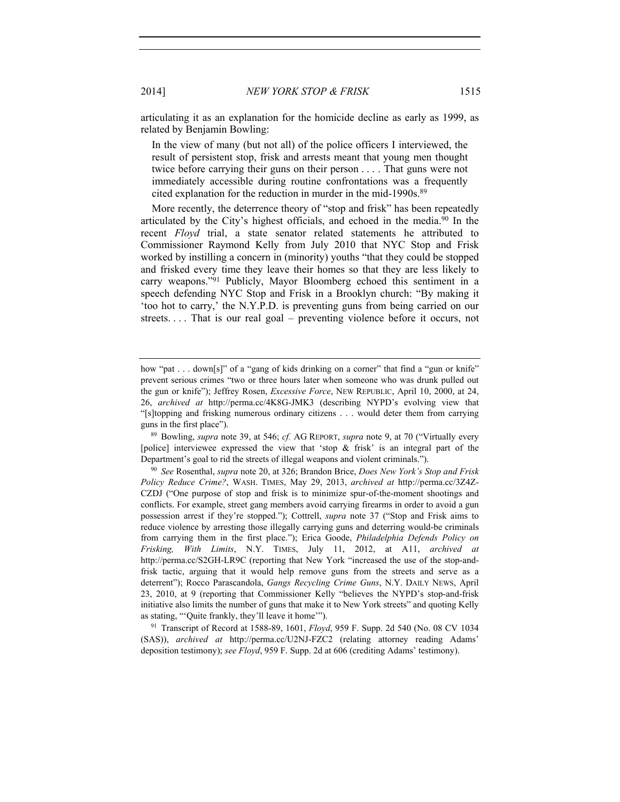articulating it as an explanation for the homicide decline as early as 1999, as related by Benjamin Bowling:

In the view of many (but not all) of the police officers I interviewed, the result of persistent stop, frisk and arrests meant that young men thought twice before carrying their guns on their person . . . . That guns were not immediately accessible during routine confrontations was a frequently cited explanation for the reduction in murder in the mid-1990s.<sup>89</sup>

More recently, the deterrence theory of "stop and frisk" has been repeatedly articulated by the City's highest officials, and echoed in the media.90 In the recent *Floyd* trial, a state senator related statements he attributed to Commissioner Raymond Kelly from July 2010 that NYC Stop and Frisk worked by instilling a concern in (minority) youths "that they could be stopped and frisked every time they leave their homes so that they are less likely to carry weapons."91 Publicly, Mayor Bloomberg echoed this sentiment in a speech defending NYC Stop and Frisk in a Brooklyn church: "By making it 'too hot to carry,' the N.Y.P.D. is preventing guns from being carried on our streets.... That is our real goal – preventing violence before it occurs, not

guns in the first place").<br><sup>89</sup> Bowling, *supra* note 39, at 546; *cf.* AG REPORT, *supra* note 9, at 70 ("Virtually every [police] interviewee expressed the view that 'stop & frisk' is an integral part of the Department's goal to rid the streets of illegal weapons and violent criminals.").

<sup>90</sup> *See* Rosenthal, *supra* note 20, at 326; Brandon Brice, *Does New York's Stop and Frisk Policy Reduce Crime?*, WASH. TIMES, May 29, 2013, *archived at* http://perma.cc/3Z4Z-CZDJ ("One purpose of stop and frisk is to minimize spur-of-the-moment shootings and conflicts. For example, street gang members avoid carrying firearms in order to avoid a gun possession arrest if they're stopped."); Cottrell, *supra* note 37 ("Stop and Frisk aims to reduce violence by arresting those illegally carrying guns and deterring would-be criminals from carrying them in the first place."); Erica Goode, *Philadelphia Defends Policy on Frisking, With Limits*, N.Y. TIMES, July 11, 2012, at A11, *archived at* http://perma.cc/S2GH-LR9C (reporting that New York "increased the use of the stop-andfrisk tactic, arguing that it would help remove guns from the streets and serve as a deterrent"); Rocco Parascandola, *Gangs Recycling Crime Guns*, N.Y. DAILY NEWS, April 23, 2010, at 9 (reporting that Commissioner Kelly "believes the NYPD's stop-and-frisk initiative also limits the number of guns that make it to New York streets" and quoting Kelly as stating, "'Quite frankly, they'll leave it home'").<br><sup>91</sup> Transcript of Record at 1588-89, 1601, *Floyd*, 959 F. Supp. 2d 540 (No. 08 CV 1034

(SAS)), *archived at* http://perma.cc/U2NJ-FZC2 (relating attorney reading Adams' deposition testimony); *see Floyd*, 959 F. Supp. 2d at 606 (crediting Adams' testimony).

how "pat . . . down[s]" of a "gang of kids drinking on a corner" that find a "gun or knife" prevent serious crimes "two or three hours later when someone who was drunk pulled out the gun or knife"); Jeffrey Rosen, *Excessive Force*, NEW REPUBLIC, April 10, 2000, at 24, 26, *archived at* http://perma.cc/4K8G-JMK3 (describing NYPD's evolving view that "[s]topping and frisking numerous ordinary citizens . . . would deter them from carrying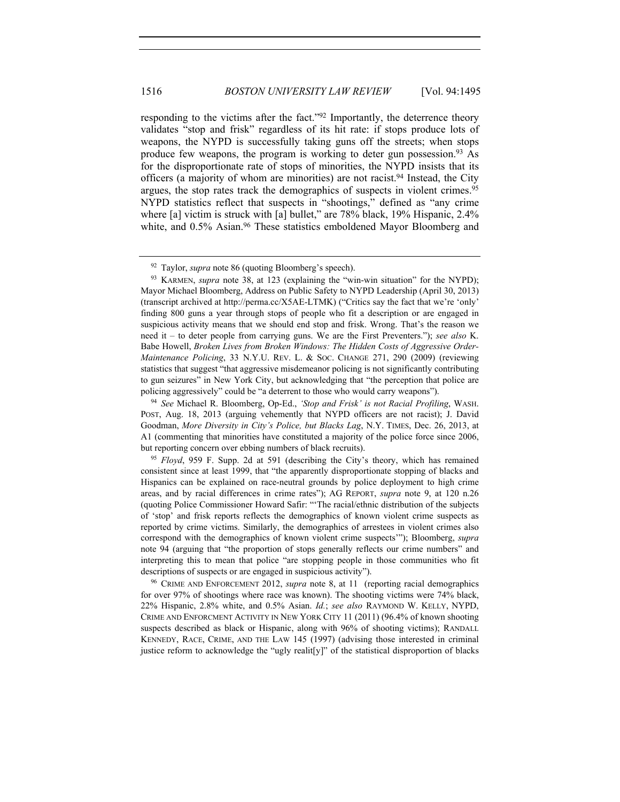responding to the victims after the fact."92 Importantly, the deterrence theory validates "stop and frisk" regardless of its hit rate: if stops produce lots of weapons, the NYPD is successfully taking guns off the streets; when stops produce few weapons, the program is working to deter gun possession.93 As for the disproportionate rate of stops of minorities, the NYPD insists that its officers (a majority of whom are minorities) are not racist.<sup>94</sup> Instead, the City argues, the stop rates track the demographics of suspects in violent crimes.<sup>95</sup> NYPD statistics reflect that suspects in "shootings," defined as "any crime where [a] victim is struck with [a] bullet," are 78% black, 19% Hispanic, 2.4% white, and 0.5% Asian.<sup>96</sup> These statistics emboldened Mayor Bloomberg and

<sup>92</sup> Taylor, *supra* note 86 (quoting Bloomberg's speech).

<sup>93</sup> KARMEN, *supra* note 38, at 123 (explaining the "win-win situation" for the NYPD); Mayor Michael Bloomberg, Address on Public Safety to NYPD Leadership (April 30, 2013) (transcript archived at http://perma.cc/X5AE-LTMK) ("Critics say the fact that we're 'only' finding 800 guns a year through stops of people who fit a description or are engaged in suspicious activity means that we should end stop and frisk. Wrong. That's the reason we need it – to deter people from carrying guns. We are the First Preventers."); *see also* K. Babe Howell, *Broken Lives from Broken Windows: The Hidden Costs of Aggressive Order-Maintenance Policing*, 33 N.Y.U. REV. L. & SOC. CHANGE 271, 290 (2009) (reviewing statistics that suggest "that aggressive misdemeanor policing is not significantly contributing to gun seizures" in New York City, but acknowledging that "the perception that police are policing aggressively" could be "a deterrent to those who would carry weapons"). 94 *See* Michael R. Bloomberg, Op-Ed., *'Stop and Frisk' is not Racial Profiling*, WASH.

POST, Aug. 18, 2013 (arguing vehemently that NYPD officers are not racist); J. David Goodman, *More Diversity in City's Police, but Blacks Lag*, N.Y. TIMES, Dec. 26, 2013, at A1 (commenting that minorities have constituted a majority of the police force since 2006, but reporting concern over ebbing numbers of black recruits). 95 *Floyd*, 959 F. Supp. 2d at 591 (describing the City's theory, which has remained

consistent since at least 1999, that "the apparently disproportionate stopping of blacks and Hispanics can be explained on race-neutral grounds by police deployment to high crime areas, and by racial differences in crime rates"); AG REPORT, *supra* note 9, at 120 n.26 (quoting Police Commissioner Howard Safir: "'The racial/ethnic distribution of the subjects of 'stop' and frisk reports reflects the demographics of known violent crime suspects as reported by crime victims. Similarly, the demographics of arrestees in violent crimes also correspond with the demographics of known violent crime suspects'"); Bloomberg, *supra* note 94 (arguing that "the proportion of stops generally reflects our crime numbers" and interpreting this to mean that police "are stopping people in those communities who fit descriptions of suspects or are engaged in suspicious activity").

<sup>96</sup> CRIME AND ENFORCEMENT 2012, *supra* note 8, at 11 (reporting racial demographics for over 97% of shootings where race was known). The shooting victims were 74% black, 22% Hispanic, 2.8% white, and 0.5% Asian. *Id.*; *see also* RAYMOND W. KELLY, NYPD, CRIME AND ENFORCMENT ACTIVITY IN NEW YORK CITY 11 (2011) (96.4% of known shooting suspects described as black or Hispanic, along with 96% of shooting victims); RANDALL KENNEDY, RACE, CRIME, AND THE LAW 145 (1997) (advising those interested in criminal justice reform to acknowledge the "ugly realit[y]" of the statistical disproportion of blacks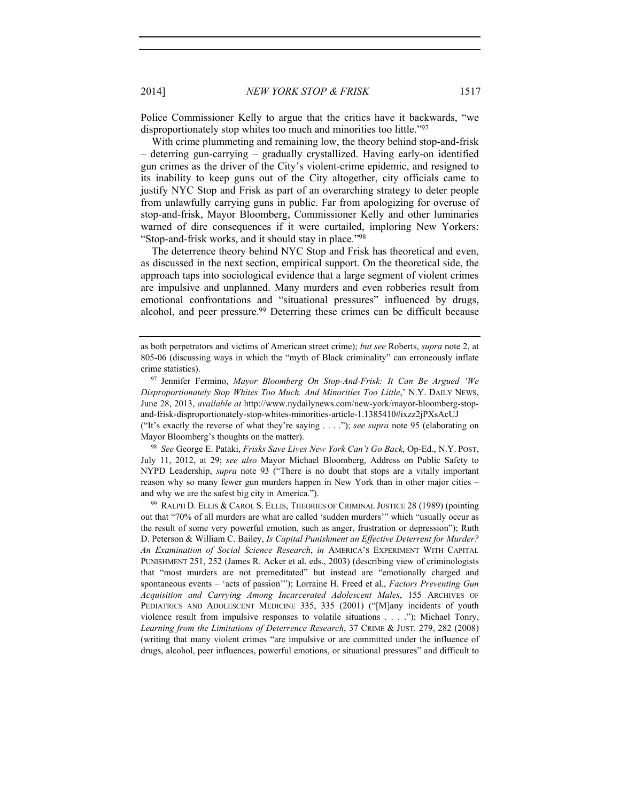Police Commissioner Kelly to argue that the critics have it backwards, "we disproportionately stop whites too much and minorities too little."97

With crime plummeting and remaining low, the theory behind stop-and-frisk – deterring gun-carrying – gradually crystallized. Having early-on identified gun crimes as the driver of the City's violent-crime epidemic, and resigned to its inability to keep guns out of the City altogether, city officials came to justify NYC Stop and Frisk as part of an overarching strategy to deter people from unlawfully carrying guns in public. Far from apologizing for overuse of stop-and-frisk, Mayor Bloomberg, Commissioner Kelly and other luminaries warned of dire consequences if it were curtailed, imploring New Yorkers: "Stop-and-frisk works, and it should stay in place."98

The deterrence theory behind NYC Stop and Frisk has theoretical and even, as discussed in the next section, empirical support. On the theoretical side, the approach taps into sociological evidence that a large segment of violent crimes are impulsive and unplanned. Many murders and even robberies result from emotional confrontations and "situational pressures" influenced by drugs, alcohol, and peer pressure.<sup>99</sup> Deterring these crimes can be difficult because

("It's exactly the reverse of what they're saying . . . ."); *see supra* note 95 (elaborating on Mayor Bloomberg's thoughts on the matter). 98 *See* George E. Pataki, *Frisks Save Lives New York Can't Go Back*, Op-Ed., N.Y. POST,

July 11, 2012, at 29; *see also* Mayor Michael Bloomberg, Address on Public Safety to NYPD Leadership, *supra* note 93 ("There is no doubt that stops are a vitally important reason why so many fewer gun murders happen in New York than in other major cities –

and why we are the safest big city in America.").<br><sup>99</sup> RALPH D. ELLIS & CAROL S. ELLIS, THEORIES OF CRIMINAL JUSTICE 28 (1989) (pointing out that "70% of all murders are what are called 'sudden murders'" which "usually occur as the result of some very powerful emotion, such as anger, frustration or depression"); Ruth D. Peterson & William C. Bailey, *Is Capital Punishment an Effective Deterrent for Murder? An Examination of Social Science Research*, *in* AMERICA'S EXPERIMENT WITH CAPITAL PUNISHMENT 251, 252 (James R. Acker et al. eds., 2003) (describing view of criminologists that "most murders are not premeditated" but instead are "emotionally charged and spontaneous events – 'acts of passion'"); Lorraine H. Freed et al., *Factors Preventing Gun Acquisition and Carrying Among Incarcerated Adolescent Males*, 155 ARCHIVES OF PEDIATRICS AND ADOLESCENT MEDICINE 335, 335 (2001) ("[M]any incidents of youth violence result from impulsive responses to volatile situations . . . ."); Michael Tonry, *Learning from the Limitations of Deterrence Research*, 37 CRIME & JUST. 279, 282 (2008) (writing that many violent crimes "are impulsive or are committed under the influence of drugs, alcohol, peer influences, powerful emotions, or situational pressures" and difficult to

as both perpetrators and victims of American street crime); *but see* Roberts, *supra* note 2, at 805-06 (discussing ways in which the "myth of Black criminality" can erroneously inflate crime statistics). 97 Jennifer Fermino, *Mayor Bloomberg On Stop-And-Frisk: It Can Be Argued 'We* 

*Disproportionately Stop Whites Too Much. And Minorities Too Little*,' N.Y. DAILY NEWS, June 28, 2013, *available at* http://www.nydailynews.com/new-york/mayor-bloomberg-stopand-frisk-disproportionately-stop-whites-minorities-article-1.1385410#ixzz2jPXsAcUJ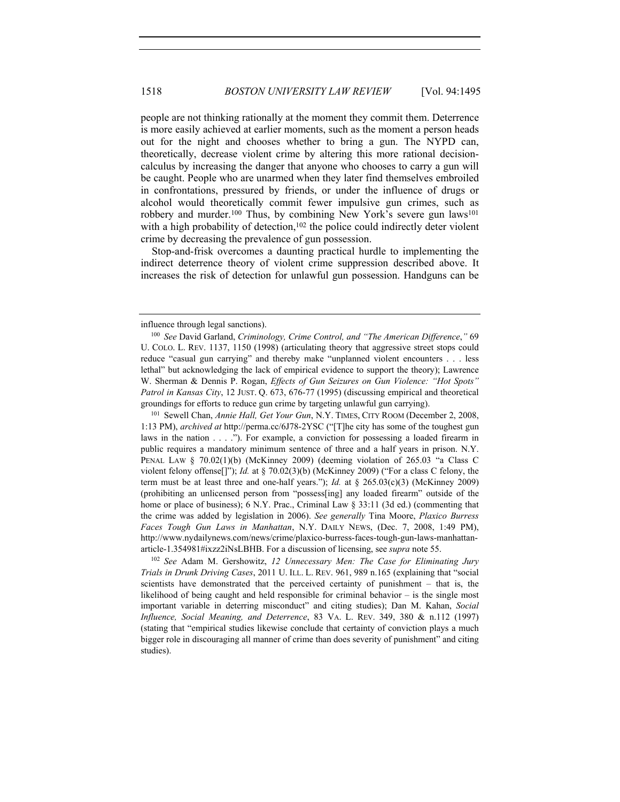people are not thinking rationally at the moment they commit them. Deterrence is more easily achieved at earlier moments, such as the moment a person heads out for the night and chooses whether to bring a gun. The NYPD can, theoretically, decrease violent crime by altering this more rational decisioncalculus by increasing the danger that anyone who chooses to carry a gun will be caught. People who are unarmed when they later find themselves embroiled in confrontations, pressured by friends, or under the influence of drugs or alcohol would theoretically commit fewer impulsive gun crimes, such as robbery and murder.<sup>100</sup> Thus, by combining New York's severe gun laws<sup>101</sup> with a high probability of detection, $102$  the police could indirectly deter violent crime by decreasing the prevalence of gun possession.

Stop-and-frisk overcomes a daunting practical hurdle to implementing the indirect deterrence theory of violent crime suppression described above. It increases the risk of detection for unlawful gun possession. Handguns can be

1:13 PM), *archived at* http://perma.cc/6J78-2YSC ("[T]he city has some of the toughest gun laws in the nation . . . ."). For example, a conviction for possessing a loaded firearm in public requires a mandatory minimum sentence of three and a half years in prison. N.Y. PENAL LAW § 70.02(1)(b) (McKinney 2009) (deeming violation of 265.03 "a Class C violent felony offense[]"); *Id.* at § 70.02(3)(b) (McKinney 2009) ("For a class C felony, the term must be at least three and one-half years."); *Id.* at  $\S$  265.03(c)(3) (McKinney 2009) (prohibiting an unlicensed person from "possess[ing] any loaded firearm" outside of the home or place of business); 6 N.Y. Prac., Criminal Law § 33:11 (3d ed.) (commenting that the crime was added by legislation in 2006). *See generally* Tina Moore, *Plaxico Burress Faces Tough Gun Laws in Manhattan*, N.Y. DAILY NEWS, (Dec. 7, 2008, 1:49 PM), http://www.nydailynews.com/news/crime/plaxico-burress-faces-tough-gun-laws-manhattanarticle-1.354981#ixzz2iNsLBHB. For a discussion of licensing, see *supra* note 55. 102 *See* Adam M. Gershowitz, *12 Unnecessary Men: The Case for Eliminating Jury* 

*Trials in Drunk Driving Cases*, 2011 U. ILL. L. REV. 961, 989 n.165 (explaining that "social scientists have demonstrated that the perceived certainty of punishment – that is, the likelihood of being caught and held responsible for criminal behavior – is the single most important variable in deterring misconduct" and citing studies); Dan M. Kahan, *Social Influence, Social Meaning, and Deterrence*, 83 VA. L. REV. 349, 380 & n.112 (1997) (stating that "empirical studies likewise conclude that certainty of conviction plays a much bigger role in discouraging all manner of crime than does severity of punishment" and citing studies).

influence through legal sanctions).

<sup>100</sup> *See* David Garland, *Criminology, Crime Control, and "The American Difference*,*"* 69 U. COLO. L. REV. 1137, 1150 (1998) (articulating theory that aggressive street stops could reduce "casual gun carrying" and thereby make "unplanned violent encounters . . . less lethal" but acknowledging the lack of empirical evidence to support the theory); Lawrence W. Sherman & Dennis P. Rogan, *Effects of Gun Seizures on Gun Violence: "Hot Spots" Patrol in Kansas City*, 12 JUST. Q. 673, 676-77 (1995) (discussing empirical and theoretical groundings for efforts to reduce gun crime by targeting unlawful gun carrying). 101 Sewell Chan, *Annie Hall, Get Your Gun*, N.Y. TIMES, CITY ROOM (December 2, 2008,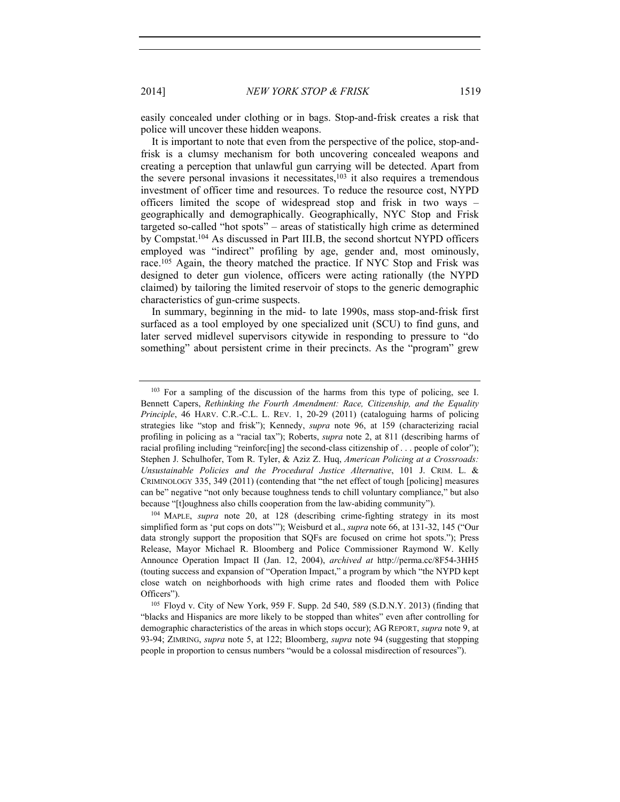easily concealed under clothing or in bags. Stop-and-frisk creates a risk that police will uncover these hidden weapons.

It is important to note that even from the perspective of the police, stop-andfrisk is a clumsy mechanism for both uncovering concealed weapons and creating a perception that unlawful gun carrying will be detected. Apart from the severe personal invasions it necessitates, $103$  it also requires a tremendous investment of officer time and resources. To reduce the resource cost, NYPD officers limited the scope of widespread stop and frisk in two ways – geographically and demographically. Geographically, NYC Stop and Frisk targeted so-called "hot spots" – areas of statistically high crime as determined by Compstat.104 As discussed in Part III.B, the second shortcut NYPD officers employed was "indirect" profiling by age, gender and, most ominously, race.105 Again, the theory matched the practice. If NYC Stop and Frisk was designed to deter gun violence, officers were acting rationally (the NYPD claimed) by tailoring the limited reservoir of stops to the generic demographic characteristics of gun-crime suspects.

In summary, beginning in the mid- to late 1990s, mass stop-and-frisk first surfaced as a tool employed by one specialized unit (SCU) to find guns, and later served midlevel supervisors citywide in responding to pressure to "do something" about persistent crime in their precincts. As the "program" grew

<sup>&</sup>lt;sup>103</sup> For a sampling of the discussion of the harms from this type of policing, see I. Bennett Capers, *Rethinking the Fourth Amendment: Race, Citizenship, and the Equality Principle*, 46 HARV. C.R.-C.L. L. REV. 1, 20-29 (2011) (cataloguing harms of policing strategies like "stop and frisk"); Kennedy, *supra* note 96, at 159 (characterizing racial profiling in policing as a "racial tax"); Roberts, *supra* note 2, at 811 (describing harms of racial profiling including "reinforc[ing] the second-class citizenship of . . . people of color"); Stephen J. Schulhofer, Tom R. Tyler, & Aziz Z. Huq, *American Policing at a Crossroads: Unsustainable Policies and the Procedural Justice Alternative*, 101 J. CRIM. L. & CRIMINOLOGY 335, 349 (2011) (contending that "the net effect of tough [policing] measures can be" negative "not only because toughness tends to chill voluntary compliance," but also because "[t]oughness also chills cooperation from the law-abiding community"). 104 MAPLE, *supra* note 20, at 128 (describing crime-fighting strategy in its most

simplified form as 'put cops on dots'"); Weisburd et al., *supra* note 66, at 131-32, 145 ("Our data strongly support the proposition that SQFs are focused on crime hot spots."); Press Release, Mayor Michael R. Bloomberg and Police Commissioner Raymond W. Kelly Announce Operation Impact II (Jan. 12, 2004), *archived at* http://perma.cc/8F54-3HH5 (touting success and expansion of "Operation Impact," a program by which "the NYPD kept close watch on neighborhoods with high crime rates and flooded them with Police Officers").<br><sup>105</sup> Floyd v. City of New York, 959 F. Supp. 2d 540, 589 (S.D.N.Y. 2013) (finding that

<sup>&</sup>quot;blacks and Hispanics are more likely to be stopped than whites" even after controlling for demographic characteristics of the areas in which stops occur); AG REPORT, *supra* note 9, at 93-94; ZIMRING, *supra* note 5, at 122; Bloomberg, *supra* note 94 (suggesting that stopping people in proportion to census numbers "would be a colossal misdirection of resources").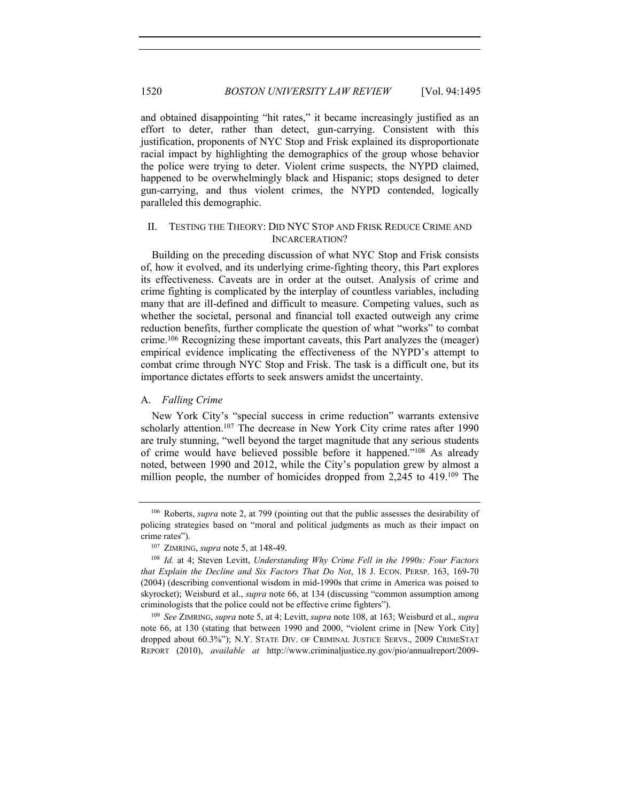and obtained disappointing "hit rates," it became increasingly justified as an effort to deter, rather than detect, gun-carrying. Consistent with this justification, proponents of NYC Stop and Frisk explained its disproportionate racial impact by highlighting the demographics of the group whose behavior the police were trying to deter. Violent crime suspects, the NYPD claimed, happened to be overwhelmingly black and Hispanic; stops designed to deter gun-carrying, and thus violent crimes, the NYPD contended, logically paralleled this demographic.

#### II. TESTING THE THEORY: DID NYC STOP AND FRISK REDUCE CRIME AND INCARCERATION?

Building on the preceding discussion of what NYC Stop and Frisk consists of, how it evolved, and its underlying crime-fighting theory, this Part explores its effectiveness. Caveats are in order at the outset. Analysis of crime and crime fighting is complicated by the interplay of countless variables, including many that are ill-defined and difficult to measure. Competing values, such as whether the societal, personal and financial toll exacted outweigh any crime reduction benefits, further complicate the question of what "works" to combat crime.106 Recognizing these important caveats, this Part analyzes the (meager) empirical evidence implicating the effectiveness of the NYPD's attempt to combat crime through NYC Stop and Frisk. The task is a difficult one, but its importance dictates efforts to seek answers amidst the uncertainty.

## A. *Falling Crime*

New York City's "special success in crime reduction" warrants extensive scholarly attention.<sup>107</sup> The decrease in New York City crime rates after 1990 are truly stunning, "well beyond the target magnitude that any serious students of crime would have believed possible before it happened."108 As already noted, between 1990 and 2012, while the City's population grew by almost a million people, the number of homicides dropped from 2,245 to 419.109 The

<sup>106</sup> Roberts, *supra* note 2, at 799 (pointing out that the public assesses the desirability of policing strategies based on "moral and political judgments as much as their impact on crime rates"). 107 ZIMRING, *supra* note 5, at 148-49.

<sup>108</sup> *Id.* at 4; Steven Levitt, *Understanding Why Crime Fell in the 1990s: Four Factors that Explain the Decline and Six Factors That Do Not*, 18 J. ECON. PERSP. 163, 169-70 (2004) (describing conventional wisdom in mid-1990s that crime in America was poised to skyrocket); Weisburd et al., *supra* note 66, at 134 (discussing "common assumption among criminologists that the police could not be effective crime fighters").

<sup>109</sup> *See* ZIMRING, *supra* note 5, at 4; Levitt, *supra* note 108, at 163; Weisburd et al., *supra* note 66, at 130 (stating that between 1990 and 2000, "violent crime in [New York City] dropped about 60.3%"); N.Y. STATE DIV. OF CRIMINAL JUSTICE SERVS., 2009 CRIMESTAT REPORT (2010), *available at* http://www.criminaljustice.ny.gov/pio/annualreport/2009-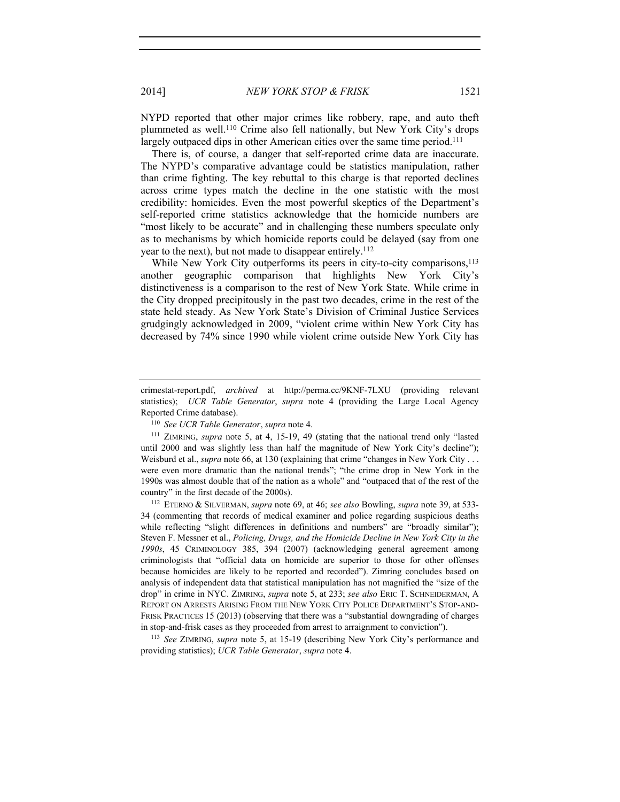2014] *NEW YORK STOP & FRISK* 1521

NYPD reported that other major crimes like robbery, rape, and auto theft plummeted as well.110 Crime also fell nationally, but New York City's drops largely outpaced dips in other American cities over the same time period.<sup>111</sup>

There is, of course, a danger that self-reported crime data are inaccurate. The NYPD's comparative advantage could be statistics manipulation, rather than crime fighting. The key rebuttal to this charge is that reported declines across crime types match the decline in the one statistic with the most credibility: homicides. Even the most powerful skeptics of the Department's self-reported crime statistics acknowledge that the homicide numbers are "most likely to be accurate" and in challenging these numbers speculate only as to mechanisms by which homicide reports could be delayed (say from one year to the next), but not made to disappear entirely.112

While New York City outperforms its peers in city-to-city comparisons,<sup>113</sup> another geographic comparison that highlights New York City's distinctiveness is a comparison to the rest of New York State. While crime in the City dropped precipitously in the past two decades, crime in the rest of the state held steady. As New York State's Division of Criminal Justice Services grudgingly acknowledged in 2009, "violent crime within New York City has decreased by 74% since 1990 while violent crime outside New York City has

<sup>112</sup> ETERNO & SILVERMAN, *supra* note 69, at 46; *see also* Bowling, *supra* note 39, at 533- 34 (commenting that records of medical examiner and police regarding suspicious deaths while reflecting "slight differences in definitions and numbers" are "broadly similar"); Steven F. Messner et al., *Policing, Drugs, and the Homicide Decline in New York City in the 1990s*, 45 CRIMINOLOGY 385, 394 (2007) (acknowledging general agreement among criminologists that "official data on homicide are superior to those for other offenses because homicides are likely to be reported and recorded"). Zimring concludes based on analysis of independent data that statistical manipulation has not magnified the "size of the drop" in crime in NYC. ZIMRING, *supra* note 5, at 233; *see also* ERIC T. SCHNEIDERMAN, A REPORT ON ARRESTS ARISING FROM THE NEW YORK CITY POLICE DEPARTMENT'S STOP-AND-FRISK PRACTICES 15 (2013) (observing that there was a "substantial downgrading of charges in stop-and-frisk cases as they proceeded from arrest to arraignment to conviction").<br><sup>113</sup> *See* ZIMRING, *supra* note 5, at 15-19 (describing New York City's performance and

providing statistics); *UCR Table Generator*, *supra* note 4.

crimestat-report.pdf, *archived* at http://perma.cc/9KNF-7LXU (providing relevant statistics); *UCR Table Generator*, *supra* note 4 (providing the Large Local Agency Reported Crime database). 110 *See UCR Table Generator*, *supra* note 4.

<sup>111</sup> ZIMRING, *supra* note 5, at 4, 15-19, 49 (stating that the national trend only "lasted until 2000 and was slightly less than half the magnitude of New York City's decline"); Weisburd et al., *supra* note 66, at 130 (explaining that crime "changes in New York City . . . were even more dramatic than the national trends"; "the crime drop in New York in the 1990s was almost double that of the nation as a whole" and "outpaced that of the rest of the country" in the first decade of the 2000s).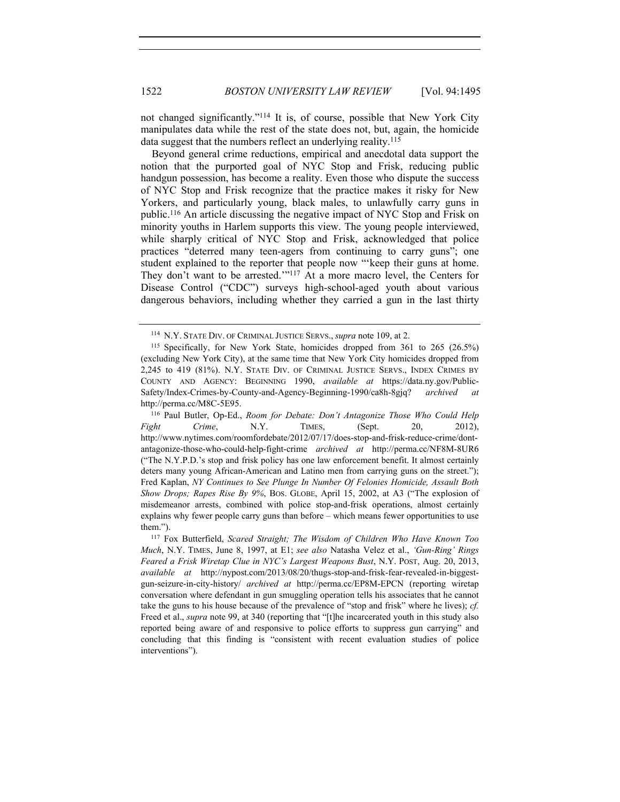not changed significantly."114 It is, of course, possible that New York City manipulates data while the rest of the state does not, but, again, the homicide data suggest that the numbers reflect an underlying reality.<sup>115</sup>

Beyond general crime reductions, empirical and anecdotal data support the notion that the purported goal of NYC Stop and Frisk, reducing public handgun possession, has become a reality. Even those who dispute the success of NYC Stop and Frisk recognize that the practice makes it risky for New Yorkers, and particularly young, black males, to unlawfully carry guns in public.116 An article discussing the negative impact of NYC Stop and Frisk on minority youths in Harlem supports this view. The young people interviewed, while sharply critical of NYC Stop and Frisk, acknowledged that police practices "deterred many teen-agers from continuing to carry guns"; one student explained to the reporter that people now "'keep their guns at home. They don't want to be arrested.'"<sup>117</sup> At a more macro level, the Centers for Disease Control ("CDC") surveys high-school-aged youth about various dangerous behaviors, including whether they carried a gun in the last thirty

http://perma.cc/M8C-5E95.<br><sup>116</sup> Paul Butler, Op-Ed., *Room for Debate: Don't Antagonize Those Who Could Help Fight Crime*, N.Y. TIMES, (Sept. 20, 2012), http://www.nytimes.com/roomfordebate/2012/07/17/does-stop-and-frisk-reduce-crime/dontantagonize-those-who-could-help-fight-crime *archived at* http://perma.cc/NF8M-8UR6 ("The N.Y.P.D.'s stop and frisk policy has one law enforcement benefit. It almost certainly deters many young African-American and Latino men from carrying guns on the street."); Fred Kaplan, *NY Continues to See Plunge In Number Of Felonies Homicide, Assault Both Show Drops; Rapes Rise By 9%*, BOS. GLOBE, April 15, 2002, at A3 ("The explosion of misdemeanor arrests, combined with police stop-and-frisk operations, almost certainly explains why fewer people carry guns than before – which means fewer opportunities to use them."). 117 Fox Butterfield, *Scared Straight; The Wisdom of Children Who Have Known Too* 

<sup>114</sup> N.Y. STATE DIV. OF CRIMINAL JUSTICE SERVS., *supra* note 109, at 2.

<sup>115</sup> Specifically, for New York State, homicides dropped from 361 to 265 (26.5%) (excluding New York City), at the same time that New York City homicides dropped from 2,245 to 419 (81%). N.Y. STATE DIV. OF CRIMINAL JUSTICE SERVS., INDEX CRIMES BY COUNTY AND AGENCY: BEGINNING 1990, *available at* https://data.ny.gov/Public-Safety/Index-Crimes-by-County-and-Agency-Beginning-1990/ca8h-8gjq? *archived at* 

*Much*, N.Y. TIMES, June 8, 1997, at E1; *see also* Natasha Velez et al., *'Gun-Ring' Rings Feared a Frisk Wiretap Clue in NYC's Largest Weapons Bust*, N.Y. POST, Aug. 20, 2013, *available at* http://nypost.com/2013/08/20/thugs-stop-and-frisk-fear-revealed-in-biggestgun-seizure-in-city-history/ *archived at* http://perma.cc/EP8M-EPCN (reporting wiretap conversation where defendant in gun smuggling operation tells his associates that he cannot take the guns to his house because of the prevalence of "stop and frisk" where he lives); *cf.* Freed et al., *supra* note 99, at 340 (reporting that "[t]he incarcerated youth in this study also reported being aware of and responsive to police efforts to suppress gun carrying" and concluding that this finding is "consistent with recent evaluation studies of police interventions").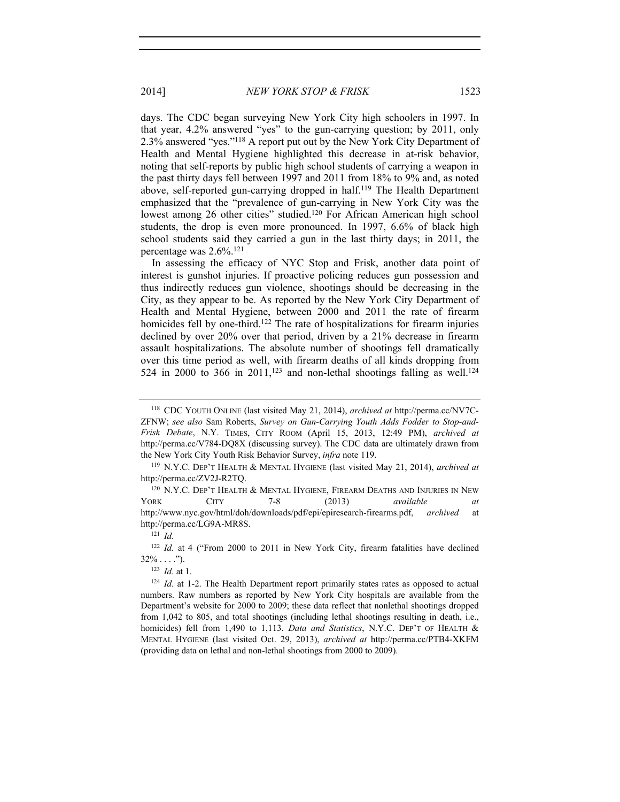days. The CDC began surveying New York City high schoolers in 1997. In that year, 4.2% answered "yes" to the gun-carrying question; by 2011, only 2.3% answered "yes."118 A report put out by the New York City Department of Health and Mental Hygiene highlighted this decrease in at-risk behavior, noting that self-reports by public high school students of carrying a weapon in the past thirty days fell between 1997 and 2011 from 18% to 9% and, as noted above, self-reported gun-carrying dropped in half.119 The Health Department emphasized that the "prevalence of gun-carrying in New York City was the lowest among 26 other cities" studied.<sup>120</sup> For African American high school students, the drop is even more pronounced. In 1997, 6.6% of black high school students said they carried a gun in the last thirty days; in 2011, the percentage was 2.6%.121

In assessing the efficacy of NYC Stop and Frisk, another data point of interest is gunshot injuries. If proactive policing reduces gun possession and thus indirectly reduces gun violence, shootings should be decreasing in the City, as they appear to be. As reported by the New York City Department of Health and Mental Hygiene, between 2000 and 2011 the rate of firearm homicides fell by one-third.<sup>122</sup> The rate of hospitalizations for firearm injuries declined by over 20% over that period, driven by a 21% decrease in firearm assault hospitalizations. The absolute number of shootings fell dramatically over this time period as well, with firearm deaths of all kinds dropping from 524 in 2000 to 366 in 2011,<sup>123</sup> and non-lethal shootings falling as well.<sup>124</sup>

<sup>118</sup> CDC YOUTH ONLINE (last visited May 21, 2014), *archived at* http://perma.cc/NV7C-ZFNW; *see also* Sam Roberts, *Survey on Gun-Carrying Youth Adds Fodder to Stop-and-Frisk Debate*, N.Y. TIMES, CITY ROOM (April 15, 2013, 12:49 PM), *archived at* http://perma.cc/V784-DQ8X (discussing survey). The CDC data are ultimately drawn from

the New York City Youth Risk Behavior Survey, *infra* note 119. 119 N.Y.C. DEP'T HEALTH & MENTAL HYGIENE (last visited May 21, 2014), *archived at*  http://perma.cc/ZV2J-R2TQ.

<sup>120</sup> N.Y.C. DEP'T HEALTH & MENTAL HYGIENE, FIREARM DEATHS AND INJURIES IN NEW YORK CITY 7-8 (2013) *available at* http://www.nyc.gov/html/doh/downloads/pdf/epi/epiresearch-firearms.pdf, *archived* at http://perma.cc/LG9A-MR8S. 121 *Id.*

<sup>&</sup>lt;sup>122</sup> *Id.* at 4 ("From 2000 to 2011 in New York City, firearm fatalities have declined  $32\% \dots$  .").

<sup>123</sup> *Id.* at 1.

<sup>&</sup>lt;sup>124</sup> *Id.* at 1-2. The Health Department report primarily states rates as opposed to actual numbers. Raw numbers as reported by New York City hospitals are available from the Department's website for 2000 to 2009; these data reflect that nonlethal shootings dropped from 1,042 to 805, and total shootings (including lethal shootings resulting in death, i.e., homicides) fell from 1,490 to 1,113. *Data and Statistics*, N.Y.C. DEP'T OF HEALTH & MENTAL HYGIENE (last visited Oct. 29, 2013), *archived at* http://perma.cc/PTB4-XKFM (providing data on lethal and non-lethal shootings from 2000 to 2009).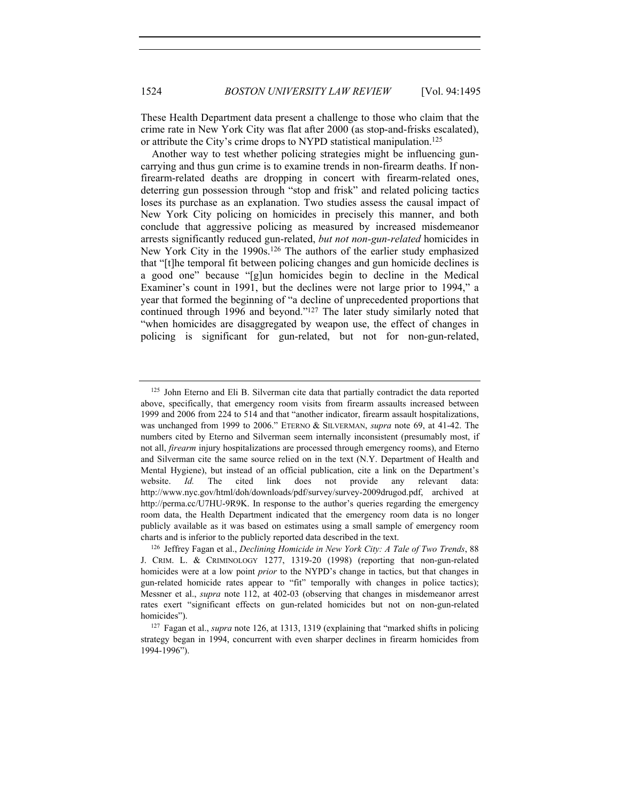These Health Department data present a challenge to those who claim that the crime rate in New York City was flat after 2000 (as stop-and-frisks escalated), or attribute the City's crime drops to NYPD statistical manipulation.<sup>125</sup>

Another way to test whether policing strategies might be influencing guncarrying and thus gun crime is to examine trends in non-firearm deaths. If nonfirearm-related deaths are dropping in concert with firearm-related ones, deterring gun possession through "stop and frisk" and related policing tactics loses its purchase as an explanation. Two studies assess the causal impact of New York City policing on homicides in precisely this manner, and both conclude that aggressive policing as measured by increased misdemeanor arrests significantly reduced gun-related, *but not non-gun-related* homicides in New York City in the 1990s.126 The authors of the earlier study emphasized that "[t]he temporal fit between policing changes and gun homicide declines is a good one" because "[g]un homicides begin to decline in the Medical Examiner's count in 1991, but the declines were not large prior to 1994," a year that formed the beginning of "a decline of unprecedented proportions that continued through 1996 and beyond."127 The later study similarly noted that "when homicides are disaggregated by weapon use, the effect of changes in policing is significant for gun-related, but not for non-gun-related,

<sup>125</sup> John Eterno and Eli B. Silverman cite data that partially contradict the data reported above, specifically, that emergency room visits from firearm assaults increased between 1999 and 2006 from 224 to 514 and that "another indicator, firearm assault hospitalizations, was unchanged from 1999 to 2006." ETERNO & SILVERMAN, *supra* note 69, at 41-42. The numbers cited by Eterno and Silverman seem internally inconsistent (presumably most, if not all, *firearm* injury hospitalizations are processed through emergency rooms), and Eterno and Silverman cite the same source relied on in the text (N.Y. Department of Health and Mental Hygiene), but instead of an official publication, cite a link on the Department's website. *Id.* The cited link does not provide any relevant data: http://www.nyc.gov/html/doh/downloads/pdf/survey/survey-2009drugod.pdf, archived at http://perma.cc/U7HU-9R9K. In response to the author's queries regarding the emergency room data, the Health Department indicated that the emergency room data is no longer publicly available as it was based on estimates using a small sample of emergency room charts and is inferior to the publicly reported data described in the text. 126 Jeffrey Fagan et al., *Declining Homicide in New York City: A Tale of Two Trends*, 88

J. CRIM. L. & CRIMINOLOGY 1277, 1319-20 (1998) (reporting that non-gun-related homicides were at a low point *prior* to the NYPD's change in tactics, but that changes in gun-related homicide rates appear to "fit" temporally with changes in police tactics); Messner et al., *supra* note 112, at 402-03 (observing that changes in misdemeanor arrest rates exert "significant effects on gun-related homicides but not on non-gun-related homicides").<br><sup>127</sup> Fagan et al., *supra* note 126, at 1313, 1319 (explaining that "marked shifts in policing

strategy began in 1994, concurrent with even sharper declines in firearm homicides from 1994-1996").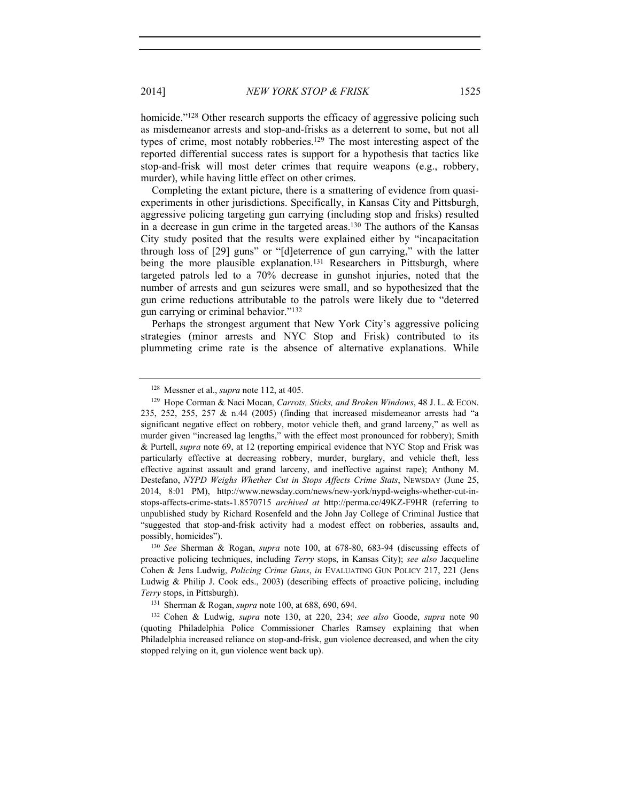2014] *NEW YORK STOP & FRISK* 1525

homicide."<sup>128</sup> Other research supports the efficacy of aggressive policing such as misdemeanor arrests and stop-and-frisks as a deterrent to some, but not all types of crime, most notably robberies.129 The most interesting aspect of the reported differential success rates is support for a hypothesis that tactics like stop-and-frisk will most deter crimes that require weapons (e.g., robbery, murder), while having little effect on other crimes.

Completing the extant picture, there is a smattering of evidence from quasiexperiments in other jurisdictions. Specifically, in Kansas City and Pittsburgh, aggressive policing targeting gun carrying (including stop and frisks) resulted in a decrease in gun crime in the targeted areas.130 The authors of the Kansas City study posited that the results were explained either by "incapacitation through loss of [29] guns" or "[d]eterrence of gun carrying," with the latter being the more plausible explanation.<sup>131</sup> Researchers in Pittsburgh, where targeted patrols led to a 70% decrease in gunshot injuries, noted that the number of arrests and gun seizures were small, and so hypothesized that the gun crime reductions attributable to the patrols were likely due to "deterred gun carrying or criminal behavior."132

Perhaps the strongest argument that New York City's aggressive policing strategies (minor arrests and NYC Stop and Frisk) contributed to its plummeting crime rate is the absence of alternative explanations. While

<sup>128</sup> Messner et al., *supra* note 112, at 405.

<sup>129</sup> Hope Corman & Naci Mocan, *Carrots, Sticks, and Broken Windows*, 48 J. L. & ECON. 235, 252, 255, 257 & n.44 (2005) (finding that increased misdemeanor arrests had "a significant negative effect on robbery, motor vehicle theft, and grand larceny," as well as murder given "increased lag lengths," with the effect most pronounced for robbery); Smith & Purtell, *supra* note 69, at 12 (reporting empirical evidence that NYC Stop and Frisk was particularly effective at decreasing robbery, murder, burglary, and vehicle theft, less effective against assault and grand larceny, and ineffective against rape); Anthony M. Destefano, *NYPD Weighs Whether Cut in Stops Affects Crime Stats*, NEWSDAY (June 25, 2014, 8:01 PM), http://www.newsday.com/news/new-york/nypd-weighs-whether-cut-instops-affects-crime-stats-1.8570715 *archived at* http://perma.cc/49KZ-F9HR (referring to unpublished study by Richard Rosenfeld and the John Jay College of Criminal Justice that "suggested that stop-and-frisk activity had a modest effect on robberies, assaults and, possibly, homicides"). 130 *See* Sherman & Rogan, *supra* note 100, at 678-80, 683-94 (discussing effects of

proactive policing techniques, including *Terry* stops, in Kansas City); *see also* Jacqueline Cohen & Jens Ludwig, *Policing Crime Guns*, *in* EVALUATING GUN POLICY 217, 221 (Jens Ludwig & Philip J. Cook eds., 2003) (describing effects of proactive policing, including *Terry* stops, in Pittsburgh).

<sup>131</sup> Sherman & Rogan, *supra* note 100, at 688, 690, 694.

<sup>132</sup> Cohen & Ludwig, *supra* note 130, at 220, 234; *see also* Goode, *supra* note 90 (quoting Philadelphia Police Commissioner Charles Ramsey explaining that when Philadelphia increased reliance on stop-and-frisk, gun violence decreased, and when the city stopped relying on it, gun violence went back up).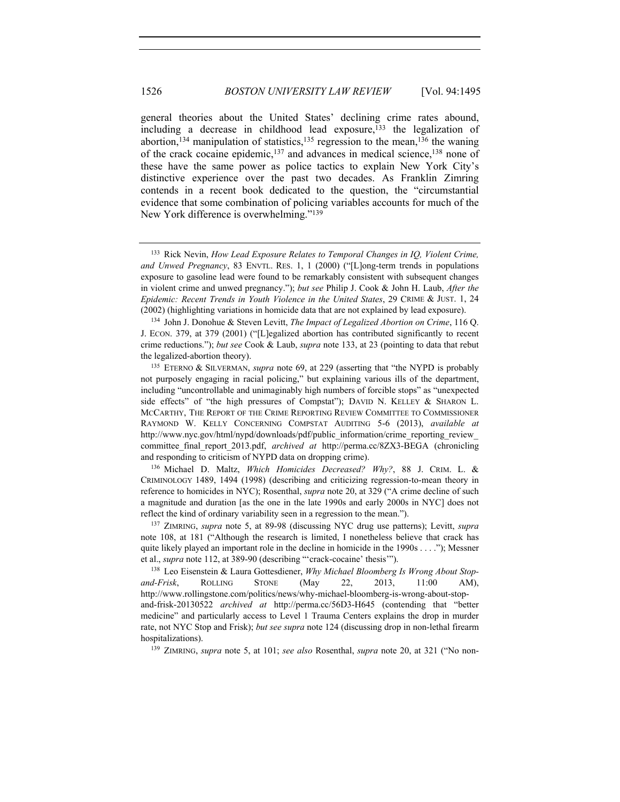general theories about the United States' declining crime rates abound, including a decrease in childhood lead exposure, $^{133}$  the legalization of abortion,<sup>134</sup> manipulation of statistics,<sup>135</sup> regression to the mean,<sup>136</sup> the waning of the crack cocaine epidemic,137 and advances in medical science,138 none of these have the same power as police tactics to explain New York City's distinctive experience over the past two decades. As Franklin Zimring contends in a recent book dedicated to the question, the "circumstantial evidence that some combination of policing variables accounts for much of the New York difference is overwhelming."139

CRIMINOLOGY 1489, 1494 (1998) (describing and criticizing regression-to-mean theory in reference to homicides in NYC); Rosenthal, *supra* note 20, at 329 ("A crime decline of such a magnitude and duration [as the one in the late 1990s and early 2000s in NYC] does not reflect the kind of ordinary variability seen in a regression to the mean.").

<sup>139</sup> ZIMRING, *supra* note 5, at 101; *see also* Rosenthal, *supra* note 20, at 321 ("No non-

<sup>133</sup> Rick Nevin, *How Lead Exposure Relates to Temporal Changes in IQ, Violent Crime, and Unwed Pregnancy*, 83 ENVTL. RES. 1, 1 (2000) ("[L]ong-term trends in populations exposure to gasoline lead were found to be remarkably consistent with subsequent changes in violent crime and unwed pregnancy."); *but see* Philip J. Cook & John H. Laub, *After the Epidemic: Recent Trends in Youth Violence in the United States*, 29 CRIME & JUST. 1, 24 (2002) (highlighting variations in homicide data that are not explained by lead exposure).

<sup>134</sup> John J. Donohue & Steven Levitt, *The Impact of Legalized Abortion on Crime*, 116 Q. J. ECON. 379, at 379 (2001) ("[L]egalized abortion has contributed significantly to recent crime reductions."); *but see* Cook & Laub, *supra* note 133, at 23 (pointing to data that rebut the legalized-abortion theory).

<sup>135</sup> ETERNO & SILVERMAN, *supra* note 69, at 229 (asserting that "the NYPD is probably not purposely engaging in racial policing," but explaining various ills of the department, including "uncontrollable and unimaginably high numbers of forcible stops" as "unexpected side effects" of "the high pressures of Compstat"); DAVID N. KELLEY & SHARON L. MCCARTHY, THE REPORT OF THE CRIME REPORTING REVIEW COMMITTEE TO COMMISSIONER RAYMOND W. KELLY CONCERNING COMPSTAT AUDITING 5-6 (2013), *available at* http://www.nyc.gov/html/nypd/downloads/pdf/public\_information/crime\_reporting\_review\_ committee final report 2013.pdf, *archived at* http://perma.cc/8ZX3-BEGA (chronicling and responding to criticism of NYPD data on dropping crime). 136 Michael D. Maltz, *Which Homicides Decreased? Why?*, 88 J. CRIM. L. &

<sup>137</sup> ZIMRING, *supra* note 5, at 89-98 (discussing NYC drug use patterns); Levitt, *supra* note 108, at 181 ("Although the research is limited, I nonetheless believe that crack has quite likely played an important role in the decline in homicide in the 1990s . . . ."); Messner et al., *supra* note 112, at 389-90 (describing "'crack-cocaine' thesis'").

<sup>138</sup> Leo Eisenstein & Laura Gottesdiener, *Why Michael Bloomberg Is Wrong About Stopand-Frisk*, ROLLING STONE (May 22, 2013, 11:00 AM), http://www.rollingstone.com/politics/news/why-michael-bloomberg-is-wrong-about-stopand-frisk-20130522 *archived at* http://perma.cc/56D3-H645 (contending that "better medicine" and particularly access to Level 1 Trauma Centers explains the drop in murder rate, not NYC Stop and Frisk); *but see supra* note 124 (discussing drop in non-lethal firearm hospitalizations).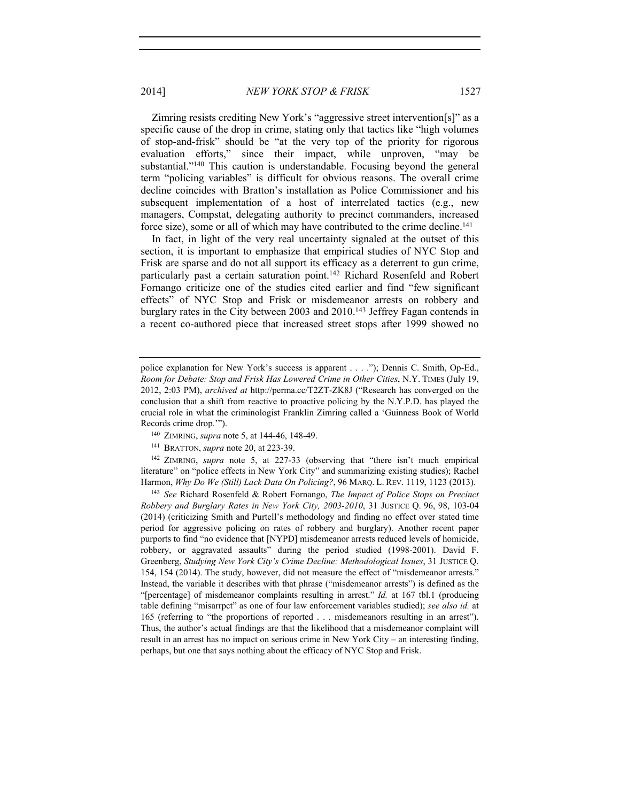2014] *NEW YORK STOP & FRISK* 1527

Zimring resists crediting New York's "aggressive street intervention[s]" as a specific cause of the drop in crime, stating only that tactics like "high volumes of stop-and-frisk" should be "at the very top of the priority for rigorous evaluation efforts," since their impact, while unproven, "may be substantial."140 This caution is understandable. Focusing beyond the general term "policing variables" is difficult for obvious reasons. The overall crime decline coincides with Bratton's installation as Police Commissioner and his subsequent implementation of a host of interrelated tactics (e.g., new managers, Compstat, delegating authority to precinct commanders, increased force size), some or all of which may have contributed to the crime decline.<sup>141</sup>

In fact, in light of the very real uncertainty signaled at the outset of this section, it is important to emphasize that empirical studies of NYC Stop and Frisk are sparse and do not all support its efficacy as a deterrent to gun crime, particularly past a certain saturation point.<sup>142</sup> Richard Rosenfeld and Robert Fornango criticize one of the studies cited earlier and find "few significant effects" of NYC Stop and Frisk or misdemeanor arrests on robbery and burglary rates in the City between 2003 and 2010.<sup>143</sup> Jeffrey Fagan contends in a recent co-authored piece that increased street stops after 1999 showed no

<sup>141</sup> BRATTON, *supra* note 20, at 223-39.<br><sup>142</sup> ZIMRING, *supra* note 5, at 227-33 (observing that "there isn't much empirical literature" on "police effects in New York City" and summarizing existing studies); Rachel Harmon, *Why Do We (Still) Lack Data On Policing?*, 96 MARQ. L. REV. 1119, 1123 (2013). 143 *See* Richard Rosenfeld & Robert Fornango, *The Impact of Police Stops on Precinct* 

*Robbery and Burglary Rates in New York City, 2003-2010*, 31 JUSTICE Q. 96, 98, 103-04 (2014) (criticizing Smith and Purtell's methodology and finding no effect over stated time period for aggressive policing on rates of robbery and burglary). Another recent paper purports to find "no evidence that [NYPD] misdemeanor arrests reduced levels of homicide, robbery, or aggravated assaults" during the period studied (1998-2001). David F. Greenberg, *Studying New York City's Crime Decline: Methodological Issues*, 31 JUSTICE Q. 154, 154 (2014). The study, however, did not measure the effect of "misdemeanor arrests." Instead, the variable it describes with that phrase ("misdemeanor arrests") is defined as the "[percentage] of misdemeanor complaints resulting in arrest." *Id.* at 167 tbl.1 (producing table defining "misarrpct" as one of four law enforcement variables studied); *see also id.* at 165 (referring to "the proportions of reported . . . misdemeanors resulting in an arrest"). Thus, the author's actual findings are that the likelihood that a misdemeanor complaint will result in an arrest has no impact on serious crime in New York City – an interesting finding, perhaps, but one that says nothing about the efficacy of NYC Stop and Frisk.

police explanation for New York's success is apparent . . . ."); Dennis C. Smith, Op-Ed., *Room for Debate: Stop and Frisk Has Lowered Crime in Other Cities*, N.Y. TIMES (July 19, 2012, 2:03 PM), *archived at* http://perma.cc/T2ZT-ZK8J ("Research has converged on the conclusion that a shift from reactive to proactive policing by the N.Y.P.D. has played the crucial role in what the criminologist Franklin Zimring called a 'Guinness Book of World Records crime drop.'"). 140 ZIMRING, *supra* note 5, at 144-46, 148-49.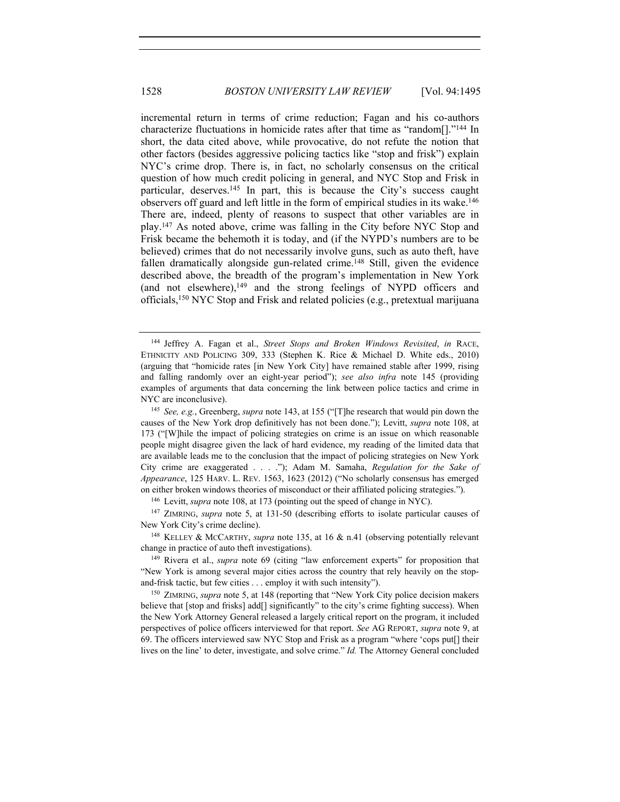incremental return in terms of crime reduction; Fagan and his co-authors characterize fluctuations in homicide rates after that time as "random[]."144 In short, the data cited above, while provocative, do not refute the notion that other factors (besides aggressive policing tactics like "stop and frisk") explain NYC's crime drop. There is, in fact, no scholarly consensus on the critical question of how much credit policing in general, and NYC Stop and Frisk in particular, deserves.145 In part, this is because the City's success caught observers off guard and left little in the form of empirical studies in its wake.146 There are, indeed, plenty of reasons to suspect that other variables are in play.147 As noted above, crime was falling in the City before NYC Stop and Frisk became the behemoth it is today, and (if the NYPD's numbers are to be believed) crimes that do not necessarily involve guns, such as auto theft, have fallen dramatically alongside gun-related crime.<sup>148</sup> Still, given the evidence described above, the breadth of the program's implementation in New York (and not elsewhere), $149$  and the strong feelings of NYPD officers and officials,150 NYC Stop and Frisk and related policies (e.g., pretextual marijuana

<sup>146</sup> Levitt, *supra* note 108, at 173 (pointing out the speed of change in NYC).

<sup>147</sup> ZIMRING, *supra* note 5, at 131-50 (describing efforts to isolate particular causes of New York City's crime decline).<br><sup>148</sup> KELLEY & MCCARTHY, *supra* note 135, at 16 & n.41 (observing potentially relevant

change in practice of auto theft investigations). 149 Rivera et al., *supra* note 69 (citing "law enforcement experts" for proposition that

"New York is among several major cities across the country that rely heavily on the stopand-frisk tactic, but few cities . . . employ it with such intensity").<br><sup>150</sup> ZIMRING, *supra* note 5, at 148 (reporting that "New York City police decision makers

believe that [stop and frisks] add[] significantly" to the city's crime fighting success). When the New York Attorney General released a largely critical report on the program, it included perspectives of police officers interviewed for that report. *See* AG REPORT, *supra* note 9, at 69. The officers interviewed saw NYC Stop and Frisk as a program "where 'cops put[] their lives on the line' to deter, investigate, and solve crime." *Id.* The Attorney General concluded

<sup>144</sup> Jeffrey A. Fagan et al., *Street Stops and Broken Windows Revisited*, *in* RACE, ETHNICITY AND POLICING 309, 333 (Stephen K. Rice & Michael D. White eds., 2010) (arguing that "homicide rates [in New York City] have remained stable after 1999, rising and falling randomly over an eight-year period"); *see also infra* note 145 (providing examples of arguments that data concerning the link between police tactics and crime in NYC are inconclusive). 145 *See, e.g.*, Greenberg, *supra* note 143, at 155 ("[T]he research that would pin down the

causes of the New York drop definitively has not been done."); Levitt, *supra* note 108, at 173 ("[W]hile the impact of policing strategies on crime is an issue on which reasonable people might disagree given the lack of hard evidence, my reading of the limited data that are available leads me to the conclusion that the impact of policing strategies on New York City crime are exaggerated . . . ."); Adam M. Samaha, *Regulation for the Sake of Appearance*, 125 HARV. L. REV. 1563, 1623 (2012) ("No scholarly consensus has emerged on either broken windows theories of misconduct or their affiliated policing strategies.").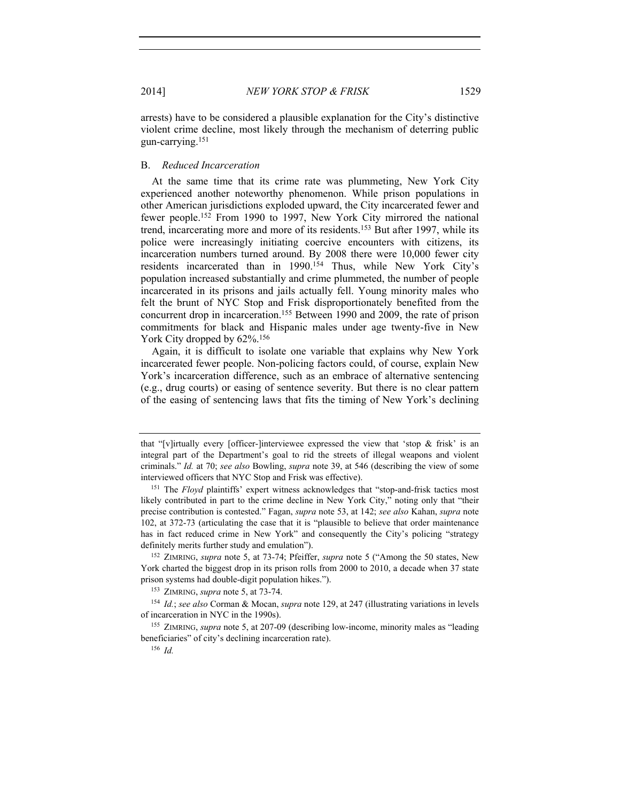arrests) have to be considered a plausible explanation for the City's distinctive violent crime decline, most likely through the mechanism of deterring public gun-carrying.151

#### B. *Reduced Incarceration*

At the same time that its crime rate was plummeting, New York City experienced another noteworthy phenomenon. While prison populations in other American jurisdictions exploded upward, the City incarcerated fewer and fewer people.152 From 1990 to 1997, New York City mirrored the national trend, incarcerating more and more of its residents.153 But after 1997, while its police were increasingly initiating coercive encounters with citizens, its incarceration numbers turned around. By 2008 there were 10,000 fewer city residents incarcerated than in 1990.<sup>154</sup> Thus, while New York City's population increased substantially and crime plummeted, the number of people incarcerated in its prisons and jails actually fell. Young minority males who felt the brunt of NYC Stop and Frisk disproportionately benefited from the concurrent drop in incarceration.155 Between 1990 and 2009, the rate of prison commitments for black and Hispanic males under age twenty-five in New York City dropped by  $62\%$ .<sup>156</sup>

Again, it is difficult to isolate one variable that explains why New York incarcerated fewer people. Non-policing factors could, of course, explain New York's incarceration difference, such as an embrace of alternative sentencing (e.g., drug courts) or easing of sentence severity. But there is no clear pattern of the easing of sentencing laws that fits the timing of New York's declining

that "[v]irtually every [officer-]interviewee expressed the view that 'stop  $\&$  frisk' is an integral part of the Department's goal to rid the streets of illegal weapons and violent criminals." *Id.* at 70; *see also* Bowling, *supra* note 39, at 546 (describing the view of some interviewed officers that NYC Stop and Frisk was effective).

<sup>&</sup>lt;sup>151</sup> The *Floyd* plaintiffs' expert witness acknowledges that "stop-and-frisk tactics most likely contributed in part to the crime decline in New York City," noting only that "their precise contribution is contested." Fagan, *supra* note 53, at 142; *see also* Kahan, *supra* note 102, at 372-73 (articulating the case that it is "plausible to believe that order maintenance has in fact reduced crime in New York" and consequently the City's policing "strategy definitely merits further study and emulation"). 152 ZIMRING, *supra* note 5, at 73-74; Pfeiffer, *supra* note 5 ("Among the 50 states, New

York charted the biggest drop in its prison rolls from 2000 to 2010, a decade when 37 state prison systems had double-digit population hikes."). 153 ZIMRING, *supra* note 5, at 73-74.

<sup>154</sup> *Id.*; *see also* Corman & Mocan, *supra* note 129, at 247 (illustrating variations in levels of incarceration in NYC in the 1990s). 155 ZIMRING, *supra* note 5, at 207-09 (describing low-income, minority males as "leading

beneficiaries" of city's declining incarceration rate).

<sup>156</sup> *Id.*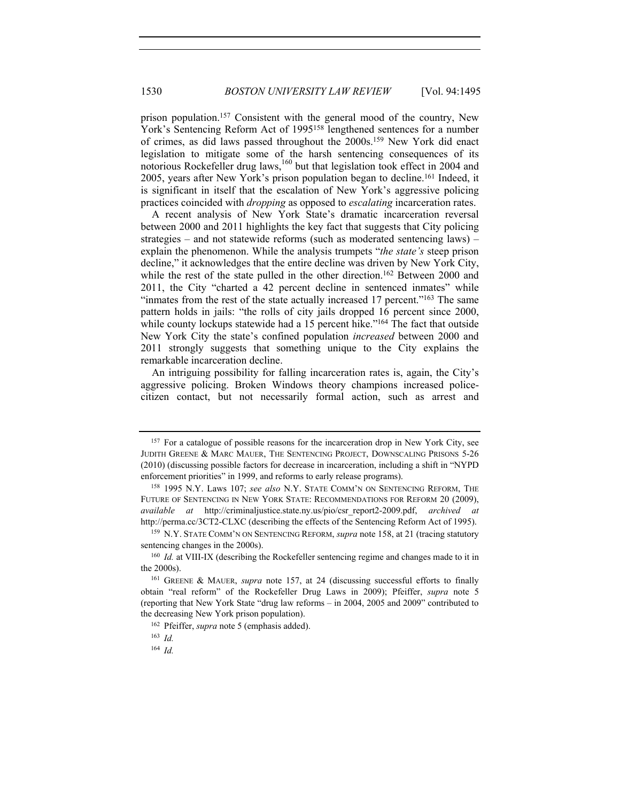prison population.157 Consistent with the general mood of the country, New York's Sentencing Reform Act of 1995158 lengthened sentences for a number of crimes, as did laws passed throughout the 2000s.159 New York did enact legislation to mitigate some of the harsh sentencing consequences of its notorious Rockefeller drug laws,<sup>160</sup> but that legislation took effect in 2004 and 2005, years after New York's prison population began to decline.161 Indeed, it is significant in itself that the escalation of New York's aggressive policing practices coincided with *dropping* as opposed to *escalating* incarceration rates.

A recent analysis of New York State's dramatic incarceration reversal between 2000 and 2011 highlights the key fact that suggests that City policing strategies – and not statewide reforms (such as moderated sentencing laws) – explain the phenomenon. While the analysis trumpets "*the state's* steep prison decline," it acknowledges that the entire decline was driven by New York City, while the rest of the state pulled in the other direction.<sup>162</sup> Between 2000 and 2011, the City "charted a 42 percent decline in sentenced inmates" while "inmates from the rest of the state actually increased 17 percent."163 The same pattern holds in jails: "the rolls of city jails dropped 16 percent since 2000, while county lockups statewide had a 15 percent hike."<sup>164</sup> The fact that outside New York City the state's confined population *increased* between 2000 and 2011 strongly suggests that something unique to the City explains the remarkable incarceration decline.

An intriguing possibility for falling incarceration rates is, again, the City's aggressive policing. Broken Windows theory champions increased policecitizen contact, but not necessarily formal action, such as arrest and

<sup>&</sup>lt;sup>157</sup> For a catalogue of possible reasons for the incarceration drop in New York City, see JUDITH GREENE & MARC MAUER, THE SENTENCING PROJECT, DOWNSCALING PRISONS 5-26 (2010) (discussing possible factors for decrease in incarceration, including a shift in "NYPD enforcement priorities" in 1999, and reforms to early release programs). 158 1995 N.Y. Laws 107; *see also* N.Y. STATE COMM'N ON SENTENCING REFORM, THE

FUTURE OF SENTENCING IN NEW YORK STATE: RECOMMENDATIONS FOR REFORM 20 (2009), *available at* http://criminaljustice.state.ny.us/pio/csr\_report2-2009.pdf, *archived at* http://perma.cc/3CT2-CLXC (describing the effects of the Sentencing Reform Act of 1995). 159 N.Y. STATE COMM'N ON SENTENCING REFORM, *supra* note 158, at 21 (tracing statutory

sentencing changes in the 2000s).<br><sup>160</sup> *Id.* at VIII-IX (describing the Rockefeller sentencing regime and changes made to it in

the 2000s).

<sup>161</sup> GREENE & MAUER, *supra* note 157, at 24 (discussing successful efforts to finally obtain "real reform" of the Rockefeller Drug Laws in 2009); Pfeiffer, *supra* note 5 (reporting that New York State "drug law reforms – in 2004, 2005 and 2009" contributed to the decreasing New York prison population).

<sup>162</sup> Pfeiffer, *supra* note 5 (emphasis added).

<sup>163</sup> *Id.*

<sup>164</sup> *Id.*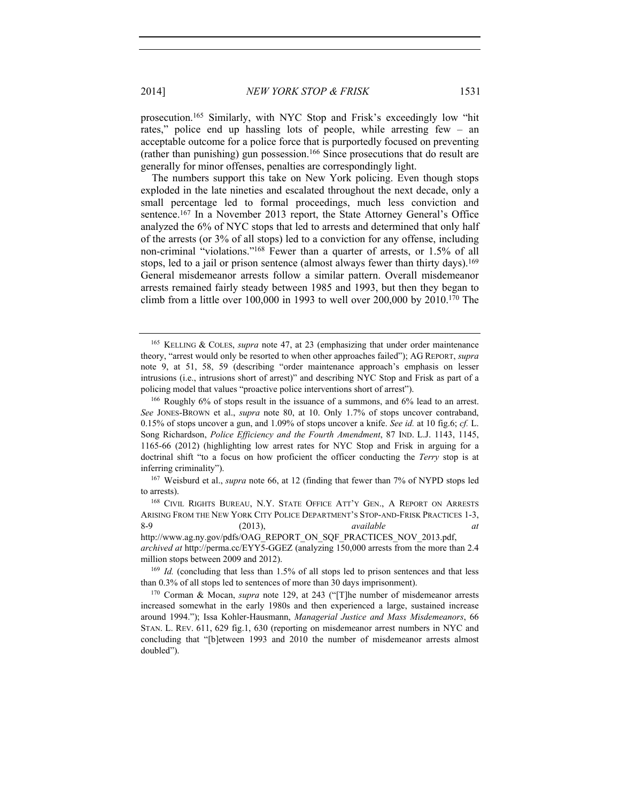2014] *NEW YORK STOP & FRISK* 1531

prosecution.165 Similarly, with NYC Stop and Frisk's exceedingly low "hit rates," police end up hassling lots of people, while arresting few – an acceptable outcome for a police force that is purportedly focused on preventing (rather than punishing) gun possession.166 Since prosecutions that do result are generally for minor offenses, penalties are correspondingly light.

The numbers support this take on New York policing. Even though stops exploded in the late nineties and escalated throughout the next decade, only a small percentage led to formal proceedings, much less conviction and sentence.<sup>167</sup> In a November 2013 report, the State Attorney General's Office analyzed the 6% of NYC stops that led to arrests and determined that only half of the arrests (or 3% of all stops) led to a conviction for any offense, including non-criminal "violations."168 Fewer than a quarter of arrests, or 1.5% of all stops, led to a jail or prison sentence (almost always fewer than thirty days).<sup>169</sup> General misdemeanor arrests follow a similar pattern. Overall misdemeanor arrests remained fairly steady between 1985 and 1993, but then they began to climb from a little over 100,000 in 1993 to well over 200,000 by 2010.170 The

<sup>165</sup> KELLING & COLES, *supra* note 47, at 23 (emphasizing that under order maintenance theory, "arrest would only be resorted to when other approaches failed"); AG REPORT, *supra* note 9, at 51, 58, 59 (describing "order maintenance approach's emphasis on lesser intrusions (i.e., intrusions short of arrest)" and describing NYC Stop and Frisk as part of a policing model that values "proactive police interventions short of arrest").

<sup>166</sup> Roughly 6% of stops result in the issuance of a summons, and 6% lead to an arrest. *See* JONES-BROWN et al., *supra* note 80, at 10. Only 1.7% of stops uncover contraband, 0.15% of stops uncover a gun, and 1.09% of stops uncover a knife. *See id.* at 10 fig.6; *cf.* L. Song Richardson, *Police Efficiency and the Fourth Amendment*, 87 IND. L.J. 1143, 1145, 1165-66 (2012) (highlighting low arrest rates for NYC Stop and Frisk in arguing for a doctrinal shift "to a focus on how proficient the officer conducting the *Terry* stop is at inferring criminality").

<sup>167</sup> Weisburd et al., *supra* note 66, at 12 (finding that fewer than 7% of NYPD stops led to arrests).<br><sup>168</sup> CIVIL RIGHTS BUREAU, N.Y. STATE OFFICE ATT'Y GEN., A REPORT ON ARRESTS

ARISING FROM THE NEW YORK CITY POLICE DEPARTMENT'S STOP-AND-FRISK PRACTICES 1-3, 8-9 (2013), *available at* http://www.ag.ny.gov/pdfs/OAG\_REPORT\_ON\_SQF\_PRACTICES\_NOV\_2013.pdf, *archived at* http://perma.cc/EYY5-GGEZ (analyzing 150,000 arrests from the more than 2.4 million stops between 2009 and 2012).

<sup>169</sup> *Id.* (concluding that less than 1.5% of all stops led to prison sentences and that less than 0.3% of all stops led to sentences of more than 30 days imprisonment).

<sup>&</sup>lt;sup>170</sup> Corman & Mocan, *supra* note 129, at 243 ("The number of misdemeanor arrests increased somewhat in the early 1980s and then experienced a large, sustained increase around 1994."); Issa Kohler-Hausmann, *Managerial Justice and Mass Misdemeanors*, 66 STAN. L. REV. 611, 629 fig.1, 630 (reporting on misdemeanor arrest numbers in NYC and concluding that "[b]etween 1993 and 2010 the number of misdemeanor arrests almost doubled").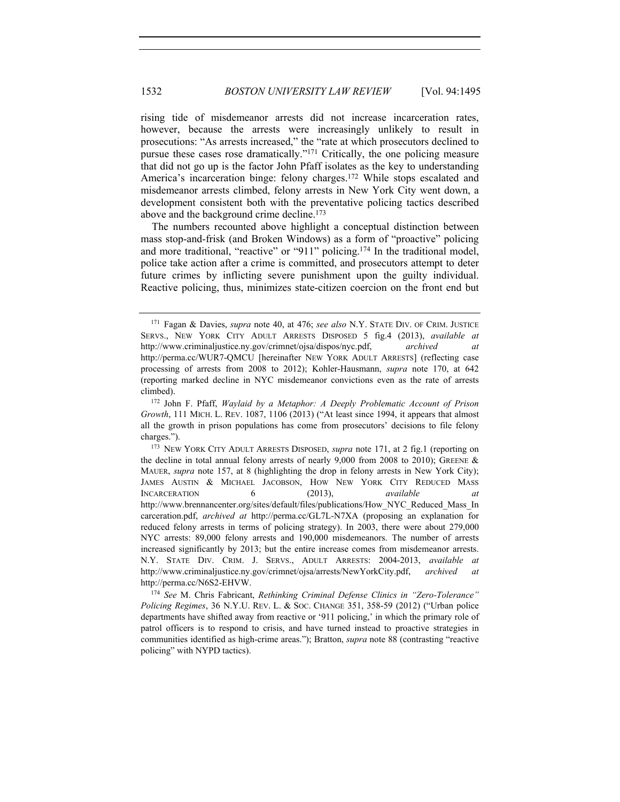rising tide of misdemeanor arrests did not increase incarceration rates, however, because the arrests were increasingly unlikely to result in prosecutions: "As arrests increased," the "rate at which prosecutors declined to pursue these cases rose dramatically."171 Critically, the one policing measure that did not go up is the factor John Pfaff isolates as the key to understanding America's incarceration binge: felony charges.<sup>172</sup> While stops escalated and misdemeanor arrests climbed, felony arrests in New York City went down, a development consistent both with the preventative policing tactics described above and the background crime decline.<sup>173</sup>

The numbers recounted above highlight a conceptual distinction between mass stop-and-frisk (and Broken Windows) as a form of "proactive" policing and more traditional, "reactive" or "911" policing.<sup>174</sup> In the traditional model, police take action after a crime is committed, and prosecutors attempt to deter future crimes by inflicting severe punishment upon the guilty individual. Reactive policing, thus, minimizes state-citizen coercion on the front end but

<sup>171</sup> Fagan & Davies, *supra* note 40, at 476; *see also* N.Y. STATE DIV. OF CRIM. JUSTICE SERVS., NEW YORK CITY ADULT ARRESTS DISPOSED 5 fig.4 (2013), *available at* http://www.criminaljustice.ny.gov/crimnet/ojsa/dispos/nyc.pdf, *archived at*  http://perma.cc/WUR7-QMCU [hereinafter NEW YORK ADULT ARRESTS] (reflecting case processing of arrests from 2008 to 2012); Kohler-Hausmann, *supra* note 170, at 642 (reporting marked decline in NYC misdemeanor convictions even as the rate of arrests climbed). 172 John F. Pfaff, *Waylaid by a Metaphor: A Deeply Problematic Account of Prison* 

*Growth*, 111 MICH. L. REV. 1087, 1106 (2013) ("At least since 1994, it appears that almost all the growth in prison populations has come from prosecutors' decisions to file felony charges."). 173 NEW YORK CITY ADULT ARRESTS DISPOSED, *supra* note 171, at 2 fig.1 (reporting on

the decline in total annual felony arrests of nearly 9,000 from 2008 to 2010); GREENE  $\&$ MAUER, *supra* note 157, at 8 (highlighting the drop in felony arrests in New York City); JAMES AUSTIN & MICHAEL JACOBSON, HOW NEW YORK CITY REDUCED MASS INCARCERATION 6 (2013), *available at*  http://www.brennancenter.org/sites/default/files/publications/How\_NYC\_Reduced\_Mass\_In carceration.pdf, *archived at* http://perma.cc/GL7L-N7XA (proposing an explanation for reduced felony arrests in terms of policing strategy). In 2003, there were about 279,000 NYC arrests: 89,000 felony arrests and 190,000 misdemeanors. The number of arrests increased significantly by 2013; but the entire increase comes from misdemeanor arrests. N.Y. STATE DIV. CRIM. J. SERVS., ADULT ARRESTS: 2004-2013, *available at* http://www.criminaljustice.ny.gov/crimnet/ojsa/arrests/NewYorkCity.pdf, *archived at*

http://perma.cc/N6S2-EHVW. 174 *See* M. Chris Fabricant, *Rethinking Criminal Defense Clinics in "Zero-Tolerance" Policing Regimes*, 36 N.Y.U. REV. L. & SOC. CHANGE 351, 358-59 (2012) ("Urban police departments have shifted away from reactive or '911 policing,' in which the primary role of patrol officers is to respond to crisis, and have turned instead to proactive strategies in communities identified as high-crime areas."); Bratton, *supra* note 88 (contrasting "reactive policing" with NYPD tactics).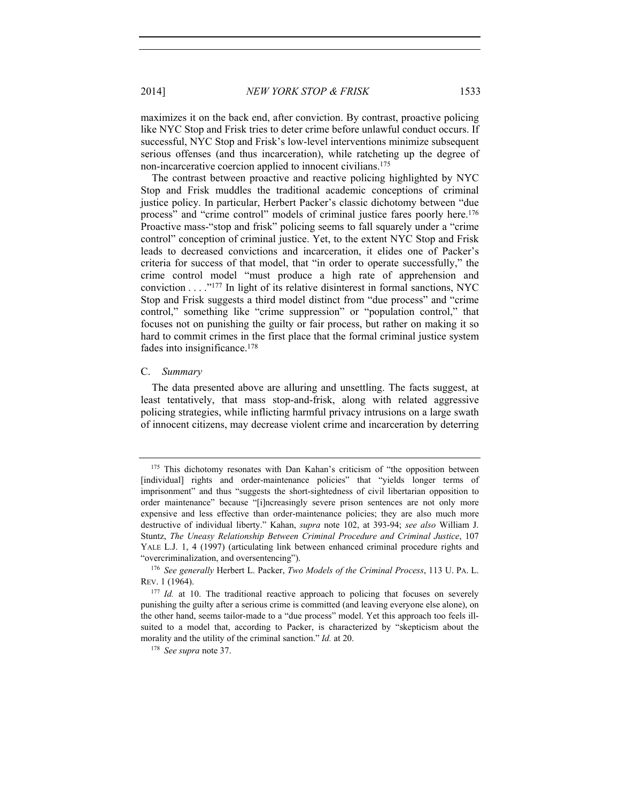2014] *NEW YORK STOP & FRISK* 1533

maximizes it on the back end, after conviction. By contrast, proactive policing like NYC Stop and Frisk tries to deter crime before unlawful conduct occurs. If successful, NYC Stop and Frisk's low-level interventions minimize subsequent serious offenses (and thus incarceration), while ratcheting up the degree of non-incarcerative coercion applied to innocent civilians.175

The contrast between proactive and reactive policing highlighted by NYC Stop and Frisk muddles the traditional academic conceptions of criminal justice policy. In particular, Herbert Packer's classic dichotomy between "due process" and "crime control" models of criminal justice fares poorly here.<sup>176</sup> Proactive mass-"stop and frisk" policing seems to fall squarely under a "crime control" conception of criminal justice. Yet, to the extent NYC Stop and Frisk leads to decreased convictions and incarceration, it elides one of Packer's criteria for success of that model, that "in order to operate successfully," the crime control model "must produce a high rate of apprehension and conviction . . . ."177 In light of its relative disinterest in formal sanctions, NYC Stop and Frisk suggests a third model distinct from "due process" and "crime control," something like "crime suppression" or "population control," that focuses not on punishing the guilty or fair process, but rather on making it so hard to commit crimes in the first place that the formal criminal justice system fades into insignificance.<sup>178</sup>

#### C. *Summary*

The data presented above are alluring and unsettling. The facts suggest, at least tentatively, that mass stop-and-frisk, along with related aggressive policing strategies, while inflicting harmful privacy intrusions on a large swath of innocent citizens, may decrease violent crime and incarceration by deterring

<sup>175</sup> This dichotomy resonates with Dan Kahan's criticism of "the opposition between [individual] rights and order-maintenance policies" that "yields longer terms of imprisonment" and thus "suggests the short-sightedness of civil libertarian opposition to order maintenance" because "[i]ncreasingly severe prison sentences are not only more expensive and less effective than order-maintenance policies; they are also much more destructive of individual liberty." Kahan, *supra* note 102, at 393-94; *see also* William J. Stuntz, *The Uneasy Relationship Between Criminal Procedure and Criminal Justice*, 107 YALE L.J. 1, 4 (1997) (articulating link between enhanced criminal procedure rights and "overcriminalization, and oversentencing"). 176 *See generally* Herbert L. Packer, *Two Models of the Criminal Process*, 113 U. PA. L.

REV. 1 (1964).

<sup>&</sup>lt;sup>177</sup> *Id.* at 10. The traditional reactive approach to policing that focuses on severely punishing the guilty after a serious crime is committed (and leaving everyone else alone), on the other hand, seems tailor-made to a "due process" model. Yet this approach too feels illsuited to a model that, according to Packer, is characterized by "skepticism about the morality and the utility of the criminal sanction." *Id.* at 20.

<sup>178</sup> *See supra* note 37.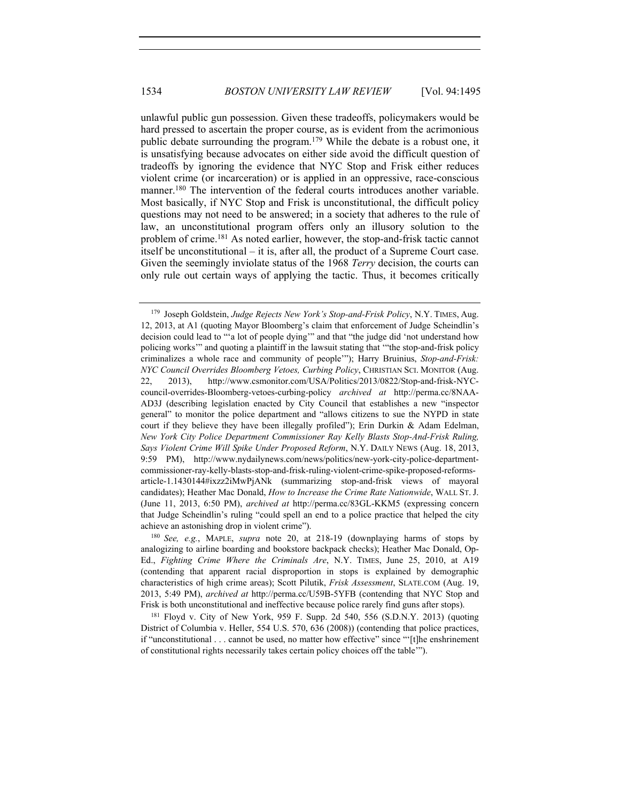unlawful public gun possession. Given these tradeoffs, policymakers would be hard pressed to ascertain the proper course, as is evident from the acrimonious public debate surrounding the program.179 While the debate is a robust one, it is unsatisfying because advocates on either side avoid the difficult question of tradeoffs by ignoring the evidence that NYC Stop and Frisk either reduces violent crime (or incarceration) or is applied in an oppressive, race-conscious manner.<sup>180</sup> The intervention of the federal courts introduces another variable. Most basically, if NYC Stop and Frisk is unconstitutional, the difficult policy questions may not need to be answered; in a society that adheres to the rule of law, an unconstitutional program offers only an illusory solution to the problem of crime.181 As noted earlier, however, the stop-and-frisk tactic cannot itself be unconstitutional – it is, after all, the product of a Supreme Court case. Given the seemingly inviolate status of the 1968 *Terry* decision, the courts can only rule out certain ways of applying the tactic. Thus, it becomes critically

<sup>179</sup> Joseph Goldstein, *Judge Rejects New York's Stop-and-Frisk Policy*, N.Y. TIMES, Aug. 12, 2013, at A1 (quoting Mayor Bloomberg's claim that enforcement of Judge Scheindlin's decision could lead to "'a lot of people dying'" and that "the judge did 'not understand how policing works'" and quoting a plaintiff in the lawsuit stating that '"the stop-and-frisk policy criminalizes a whole race and community of people'"); Harry Bruinius, *Stop-and-Frisk: NYC Council Overrides Bloomberg Vetoes, Curbing Policy*, CHRISTIAN SCI. MONITOR (Aug. 22, 2013), http://www.csmonitor.com/USA/Politics/2013/0822/Stop-and-frisk-NYCcouncil-overrides-Bloomberg-vetoes-curbing-policy *archived at* http://perma.cc/8NAA-AD3J (describing legislation enacted by City Council that establishes a new "inspector general" to monitor the police department and "allows citizens to sue the NYPD in state court if they believe they have been illegally profiled"); Erin Durkin & Adam Edelman, *New York City Police Department Commissioner Ray Kelly Blasts Stop-And-Frisk Ruling, Says Violent Crime Will Spike Under Proposed Reform*, N.Y. DAILY NEWS (Aug. 18, 2013, 9:59 PM), http://www.nydailynews.com/news/politics/new-york-city-police-departmentcommissioner-ray-kelly-blasts-stop-and-frisk-ruling-violent-crime-spike-proposed-reformsarticle-1.1430144#ixzz2iMwPjANk (summarizing stop-and-frisk views of mayoral candidates); Heather Mac Donald, *How to Increase the Crime Rate Nationwide*, WALL ST. J. (June 11, 2013, 6:50 PM), *archived at* http://perma.cc/83GL-KKM5 (expressing concern that Judge Scheindlin's ruling "could spell an end to a police practice that helped the city achieve an astonishing drop in violent crime").

<sup>180</sup> *See, e.g.*, MAPLE, *supra* note 20, at 218-19 (downplaying harms of stops by analogizing to airline boarding and bookstore backpack checks); Heather Mac Donald, Op-Ed., *Fighting Crime Where the Criminals Are*, N.Y. TIMES, June 25, 2010, at A19 (contending that apparent racial disproportion in stops is explained by demographic characteristics of high crime areas); Scott Pilutik, *Frisk Assessment*, SLATE.COM (Aug. 19, 2013, 5:49 PM), *archived at* http://perma.cc/U59B-5YFB (contending that NYC Stop and Frisk is both unconstitutional and ineffective because police rarely find guns after stops).

<sup>181</sup> Floyd v. City of New York, 959 F. Supp. 2d 540, 556 (S.D.N.Y. 2013) (quoting District of Columbia v. Heller, 554 U.S. 570, 636 (2008)) (contending that police practices, if "unconstitutional . . . cannot be used, no matter how effective" since "'[t]he enshrinement of constitutional rights necessarily takes certain policy choices off the table'").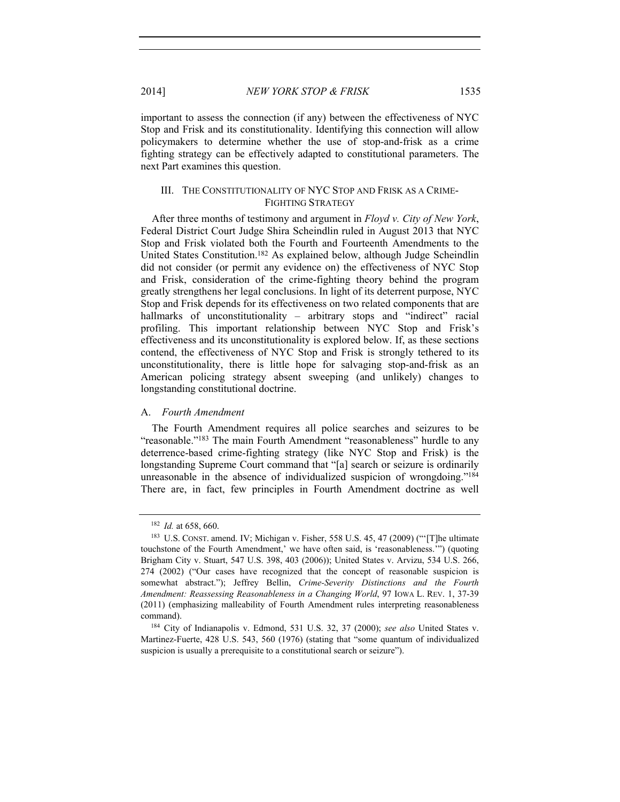important to assess the connection (if any) between the effectiveness of NYC Stop and Frisk and its constitutionality. Identifying this connection will allow policymakers to determine whether the use of stop-and-frisk as a crime fighting strategy can be effectively adapted to constitutional parameters. The next Part examines this question.

### III. THE CONSTITUTIONALITY OF NYC STOP AND FRISK AS A CRIME-FIGHTING STRATEGY

After three months of testimony and argument in *Floyd v. City of New York*, Federal District Court Judge Shira Scheindlin ruled in August 2013 that NYC Stop and Frisk violated both the Fourth and Fourteenth Amendments to the United States Constitution.182 As explained below, although Judge Scheindlin did not consider (or permit any evidence on) the effectiveness of NYC Stop and Frisk, consideration of the crime-fighting theory behind the program greatly strengthens her legal conclusions. In light of its deterrent purpose, NYC Stop and Frisk depends for its effectiveness on two related components that are hallmarks of unconstitutionality – arbitrary stops and "indirect" racial profiling. This important relationship between NYC Stop and Frisk's effectiveness and its unconstitutionality is explored below. If, as these sections contend, the effectiveness of NYC Stop and Frisk is strongly tethered to its unconstitutionality, there is little hope for salvaging stop-and-frisk as an American policing strategy absent sweeping (and unlikely) changes to longstanding constitutional doctrine.

## A. *Fourth Amendment*

The Fourth Amendment requires all police searches and seizures to be "reasonable."<sup>183</sup> The main Fourth Amendment "reasonableness" hurdle to any deterrence-based crime-fighting strategy (like NYC Stop and Frisk) is the longstanding Supreme Court command that "[a] search or seizure is ordinarily unreasonable in the absence of individualized suspicion of wrongdoing."184 There are, in fact, few principles in Fourth Amendment doctrine as well

<sup>&</sup>lt;sup>182</sup> *Id.* at 658, 660. **183** U.S. CONST. amend. IV; Michigan v. Fisher, 558 U.S. 45, 47 (2009) ("The ultimate touchstone of the Fourth Amendment,' we have often said, is 'reasonableness.'") (quoting Brigham City v. Stuart, 547 U.S. 398, 403 (2006)); United States v. Arvizu, 534 U.S. 266, 274 (2002) ("Our cases have recognized that the concept of reasonable suspicion is somewhat abstract."); Jeffrey Bellin, *Crime-Severity Distinctions and the Fourth Amendment: Reassessing Reasonableness in a Changing World*, 97 IOWA L. REV. 1, 37-39 (2011) (emphasizing malleability of Fourth Amendment rules interpreting reasonableness

command). 184 City of Indianapolis v. Edmond, 531 U.S. 32, 37 (2000); *see also* United States v. Martinez-Fuerte, 428 U.S. 543, 560 (1976) (stating that "some quantum of individualized suspicion is usually a prerequisite to a constitutional search or seizure").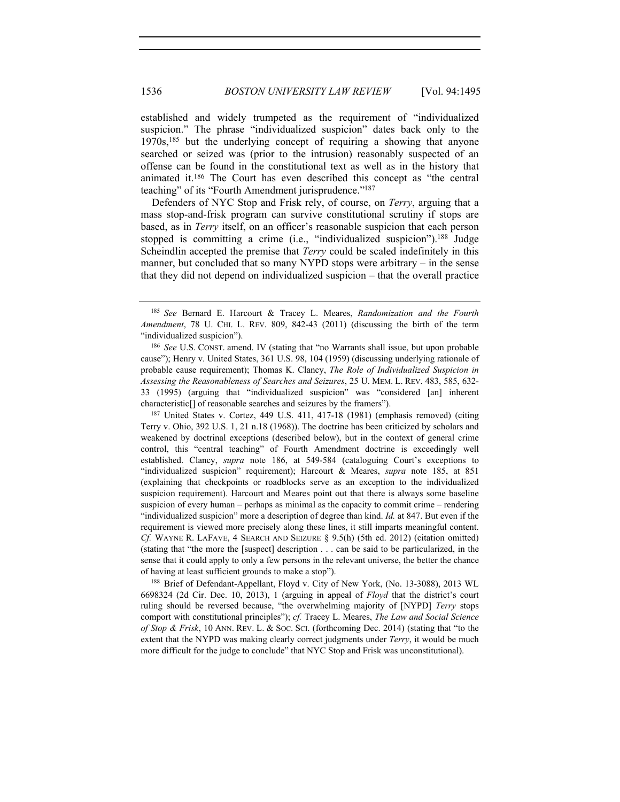established and widely trumpeted as the requirement of "individualized suspicion." The phrase "individualized suspicion" dates back only to the 1970s,185 but the underlying concept of requiring a showing that anyone searched or seized was (prior to the intrusion) reasonably suspected of an offense can be found in the constitutional text as well as in the history that animated it.186 The Court has even described this concept as "the central teaching" of its "Fourth Amendment jurisprudence."<sup>187</sup>

Defenders of NYC Stop and Frisk rely, of course, on *Terry*, arguing that a mass stop-and-frisk program can survive constitutional scrutiny if stops are based, as in *Terry* itself, on an officer's reasonable suspicion that each person stopped is committing a crime (i.e., "individualized suspicion").<sup>188</sup> Judge Scheindlin accepted the premise that *Terry* could be scaled indefinitely in this manner, but concluded that so many NYPD stops were arbitrary – in the sense that they did not depend on individualized suspicion – that the overall practice

Terry v. Ohio, 392 U.S. 1, 21 n.18 (1968)). The doctrine has been criticized by scholars and weakened by doctrinal exceptions (described below), but in the context of general crime control, this "central teaching" of Fourth Amendment doctrine is exceedingly well established. Clancy, *supra* note 186, at 549-584 (cataloguing Court's exceptions to "individualized suspicion" requirement); Harcourt & Meares, *supra* note 185, at 851 (explaining that checkpoints or roadblocks serve as an exception to the individualized suspicion requirement). Harcourt and Meares point out that there is always some baseline suspicion of every human – perhaps as minimal as the capacity to commit crime – rendering "individualized suspicion" more a description of degree than kind. *Id.* at 847. But even if the requirement is viewed more precisely along these lines, it still imparts meaningful content. *Cf.* WAYNE R. LAFAVE, 4 SEARCH AND SEIZURE § 9.5(h) (5th ed. 2012) (citation omitted) (stating that "the more the [suspect] description . . . can be said to be particularized, in the sense that it could apply to only a few persons in the relevant universe, the better the chance of having at least sufficient grounds to make a stop").

<sup>188</sup> Brief of Defendant-Appellant, Floyd v. City of New York, (No. 13-3088), 2013 WL 6698324 (2d Cir. Dec. 10, 2013), 1 (arguing in appeal of *Floyd* that the district's court ruling should be reversed because, "the overwhelming majority of [NYPD] *Terry* stops comport with constitutional principles"); *cf.* Tracey L. Meares, *The Law and Social Science of Stop & Frisk*, 10 ANN. REV. L. & SOC. SCI. (forthcoming Dec. 2014) (stating that "to the extent that the NYPD was making clearly correct judgments under *Terry*, it would be much more difficult for the judge to conclude" that NYC Stop and Frisk was unconstitutional).

<sup>185</sup> *See* Bernard E. Harcourt & Tracey L. Meares, *Randomization and the Fourth Amendment*, 78 U. CHI. L. REV. 809, 842-43 (2011) (discussing the birth of the term "individualized suspicion").

<sup>186</sup> *See* U.S. CONST. amend. IV (stating that "no Warrants shall issue, but upon probable cause"); Henry v. United States, 361 U.S. 98, 104 (1959) (discussing underlying rationale of probable cause requirement); Thomas K. Clancy, *The Role of Individualized Suspicion in Assessing the Reasonableness of Searches and Seizures*, 25 U. MEM. L. REV. 483, 585, 632- 33 (1995) (arguing that "individualized suspicion" was "considered [an] inherent characteristic[] of reasonable searches and seizures by the framers"). 187 United States v. Cortez, 449 U.S. 411, 417-18 (1981) (emphasis removed) (citing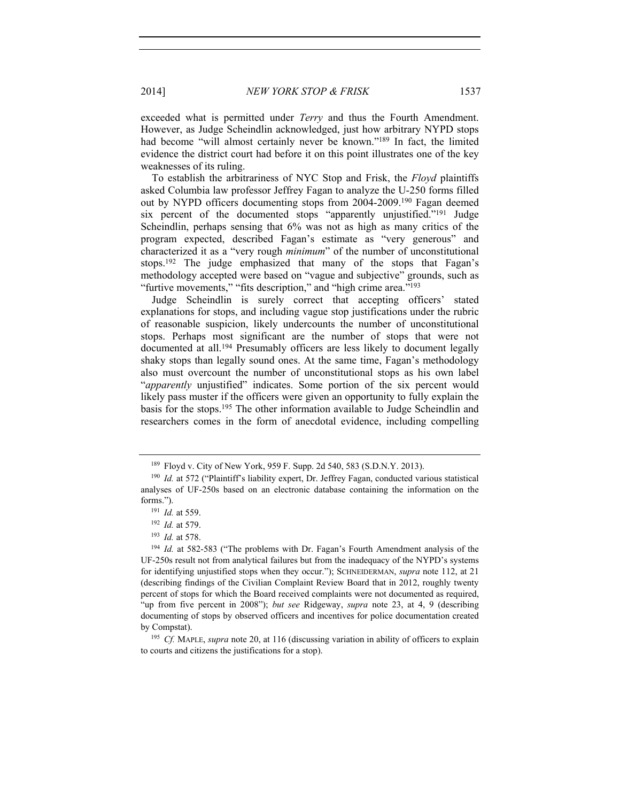exceeded what is permitted under *Terry* and thus the Fourth Amendment. However, as Judge Scheindlin acknowledged, just how arbitrary NYPD stops had become "will almost certainly never be known."<sup>189</sup> In fact, the limited evidence the district court had before it on this point illustrates one of the key weaknesses of its ruling.

To establish the arbitrariness of NYC Stop and Frisk, the *Floyd* plaintiffs asked Columbia law professor Jeffrey Fagan to analyze the U-250 forms filled out by NYPD officers documenting stops from 2004-2009.190 Fagan deemed six percent of the documented stops "apparently unjustified."191 Judge Scheindlin, perhaps sensing that 6% was not as high as many critics of the program expected, described Fagan's estimate as "very generous" and characterized it as a "very rough *minimum*" of the number of unconstitutional stops.192 The judge emphasized that many of the stops that Fagan's methodology accepted were based on "vague and subjective" grounds, such as "furtive movements," "fits description," and "high crime area."<sup>193</sup>

Judge Scheindlin is surely correct that accepting officers' stated explanations for stops, and including vague stop justifications under the rubric of reasonable suspicion, likely undercounts the number of unconstitutional stops. Perhaps most significant are the number of stops that were not documented at all.194 Presumably officers are less likely to document legally shaky stops than legally sound ones. At the same time, Fagan's methodology also must overcount the number of unconstitutional stops as his own label "*apparently* unjustified" indicates. Some portion of the six percent would likely pass muster if the officers were given an opportunity to fully explain the basis for the stops.195 The other information available to Judge Scheindlin and researchers comes in the form of anecdotal evidence, including compelling

<sup>&</sup>lt;sup>189</sup> Floyd v. City of New York, 959 F. Supp. 2d 540, 583 (S.D.N.Y. 2013).<br><sup>190</sup> *Id.* at 572 ("Plaintiff"s liability expert, Dr. Jeffrey Fagan, conducted various statistical analyses of UF-250s based on an electronic database containing the information on the forms."). 191 *Id.* at 559.

<sup>192</sup> *Id.* at 579.

<sup>193</sup> *Id.* at 578.

<sup>194</sup> *Id.* at 582-583 ("The problems with Dr. Fagan's Fourth Amendment analysis of the UF-250s result not from analytical failures but from the inadequacy of the NYPD's systems for identifying unjustified stops when they occur."); SCHNEIDERMAN, *supra* note 112, at 21 (describing findings of the Civilian Complaint Review Board that in 2012, roughly twenty percent of stops for which the Board received complaints were not documented as required, "up from five percent in 2008"); *but see* Ridgeway, *supra* note 23, at 4, 9 (describing documenting of stops by observed officers and incentives for police documentation created by Compstat). 195 *Cf.* MAPLE, *supra* note 20, at 116 (discussing variation in ability of officers to explain

to courts and citizens the justifications for a stop).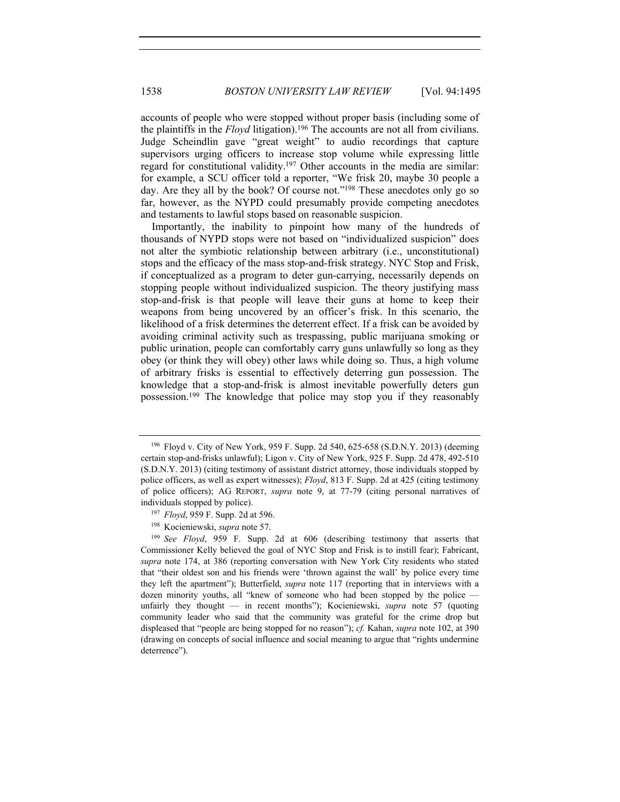accounts of people who were stopped without proper basis (including some of the plaintiffs in the *Floyd* litigation).196 The accounts are not all from civilians. Judge Scheindlin gave "great weight" to audio recordings that capture supervisors urging officers to increase stop volume while expressing little regard for constitutional validity.197 Other accounts in the media are similar: for example, a SCU officer told a reporter, "We frisk 20, maybe 30 people a day. Are they all by the book? Of course not."198 These anecdotes only go so far, however, as the NYPD could presumably provide competing anecdotes and testaments to lawful stops based on reasonable suspicion.

Importantly, the inability to pinpoint how many of the hundreds of thousands of NYPD stops were not based on "individualized suspicion" does not alter the symbiotic relationship between arbitrary (i.e., unconstitutional) stops and the efficacy of the mass stop-and-frisk strategy. NYC Stop and Frisk, if conceptualized as a program to deter gun-carrying, necessarily depends on stopping people without individualized suspicion. The theory justifying mass stop-and-frisk is that people will leave their guns at home to keep their weapons from being uncovered by an officer's frisk. In this scenario, the likelihood of a frisk determines the deterrent effect. If a frisk can be avoided by avoiding criminal activity such as trespassing, public marijuana smoking or public urination, people can comfortably carry guns unlawfully so long as they obey (or think they will obey) other laws while doing so. Thus, a high volume of arbitrary frisks is essential to effectively deterring gun possession. The knowledge that a stop-and-frisk is almost inevitable powerfully deters gun possession.199 The knowledge that police may stop you if they reasonably

<sup>196</sup> Floyd v. City of New York, 959 F. Supp. 2d 540, 625-658 (S.D.N.Y. 2013) (deeming certain stop-and-frisks unlawful); Ligon v. City of New York, 925 F. Supp. 2d 478, 492-510 (S.D.N.Y. 2013) (citing testimony of assistant district attorney, those individuals stopped by police officers, as well as expert witnesses); *Floyd*, 813 F. Supp. 2d at 425 (citing testimony of police officers); AG REPORT, *supra* note 9, at 77-79 (citing personal narratives of individuals stopped by police). 197 *Floyd*, 959 F. Supp. 2d at 596.

<sup>198</sup> Kocieniewski, *supra* note 57.

<sup>199</sup> *See Floyd*, 959 F. Supp. 2d at 606 (describing testimony that asserts that Commissioner Kelly believed the goal of NYC Stop and Frisk is to instill fear); Fabricant, *supra* note 174, at 386 (reporting conversation with New York City residents who stated that "their oldest son and his friends were 'thrown against the wall' by police every time they left the apartment"); Butterfield, *supra* note 117 (reporting that in interviews with a dozen minority youths, all "knew of someone who had been stopped by the police unfairly they thought — in recent months"); Kocieniewski, *supra* note 57 (quoting community leader who said that the community was grateful for the crime drop but displeased that "people are being stopped for no reason"); *cf.* Kahan, *supra* note 102, at 390 (drawing on concepts of social influence and social meaning to argue that "rights undermine deterrence").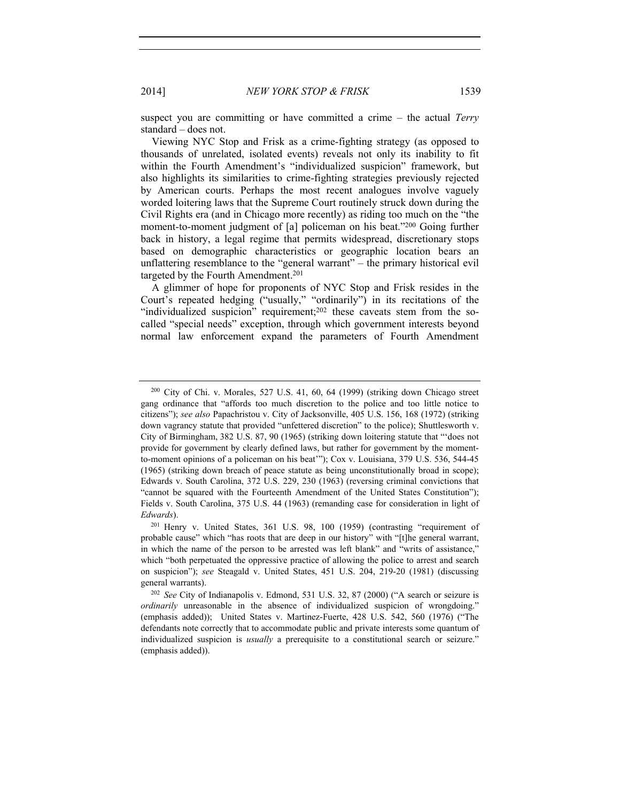suspect you are committing or have committed a crime – the actual *Terry* standard – does not.

Viewing NYC Stop and Frisk as a crime-fighting strategy (as opposed to thousands of unrelated, isolated events) reveals not only its inability to fit within the Fourth Amendment's "individualized suspicion" framework, but also highlights its similarities to crime-fighting strategies previously rejected by American courts. Perhaps the most recent analogues involve vaguely worded loitering laws that the Supreme Court routinely struck down during the Civil Rights era (and in Chicago more recently) as riding too much on the "the moment-to-moment judgment of [a] policeman on his beat."200 Going further back in history, a legal regime that permits widespread, discretionary stops based on demographic characteristics or geographic location bears an unflattering resemblance to the "general warrant" – the primary historical evil targeted by the Fourth Amendment.<sup>201</sup>

A glimmer of hope for proponents of NYC Stop and Frisk resides in the Court's repeated hedging ("usually," "ordinarily") in its recitations of the "individualized suspicion" requirement;<sup>202</sup> these caveats stem from the socalled "special needs" exception, through which government interests beyond normal law enforcement expand the parameters of Fourth Amendment

<sup>200</sup> City of Chi. v. Morales, 527 U.S. 41, 60, 64 (1999) (striking down Chicago street gang ordinance that "affords too much discretion to the police and too little notice to citizens"); *see also* Papachristou v. City of Jacksonville, 405 U.S. 156, 168 (1972) (striking down vagrancy statute that provided "unfettered discretion" to the police); Shuttlesworth v. City of Birmingham, 382 U.S. 87, 90 (1965) (striking down loitering statute that "'does not provide for government by clearly defined laws, but rather for government by the momentto-moment opinions of a policeman on his beat'"); Cox v. Louisiana, 379 U.S. 536, 544-45 (1965) (striking down breach of peace statute as being unconstitutionally broad in scope); Edwards v. South Carolina, 372 U.S. 229, 230 (1963) (reversing criminal convictions that "cannot be squared with the Fourteenth Amendment of the United States Constitution"); Fields v. South Carolina, 375 U.S. 44 (1963) (remanding case for consideration in light of *Edwards*).<br><sup>201</sup> Henry v. United States, 361 U.S. 98, 100 (1959) (contrasting "requirement of

probable cause" which "has roots that are deep in our history" with "[t]he general warrant, in which the name of the person to be arrested was left blank" and "writs of assistance," which "both perpetuated the oppressive practice of allowing the police to arrest and search on suspicion"); *see* Steagald v. United States, 451 U.S. 204, 219-20 (1981) (discussing general warrants).<br><sup>202</sup> *See* City of Indianapolis v. Edmond, 531 U.S. 32, 87 (2000) ("A search or seizure is

*ordinarily* unreasonable in the absence of individualized suspicion of wrongdoing." (emphasis added)); United States v. Martinez-Fuerte, 428 U.S. 542, 560 (1976) ("The defendants note correctly that to accommodate public and private interests some quantum of individualized suspicion is *usually* a prerequisite to a constitutional search or seizure." (emphasis added)).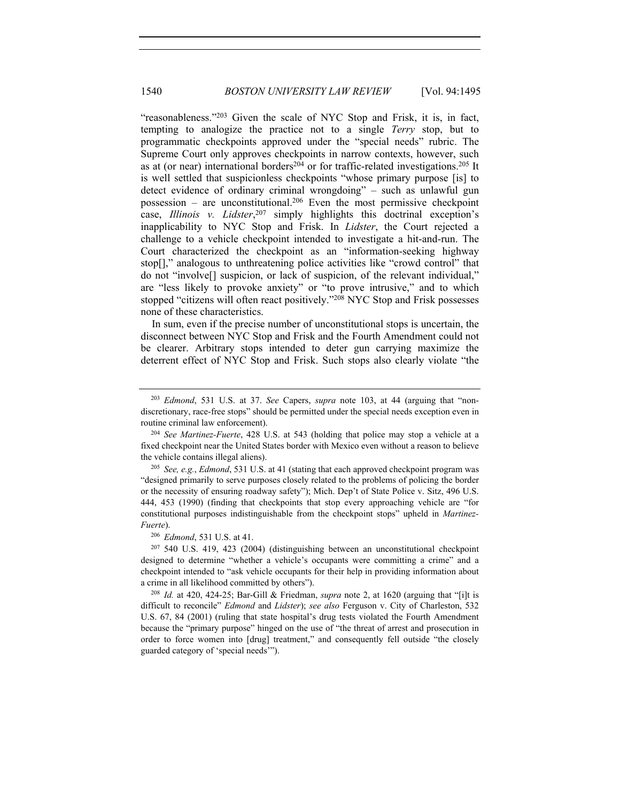"reasonableness."203 Given the scale of NYC Stop and Frisk, it is, in fact, tempting to analogize the practice not to a single *Terry* stop, but to programmatic checkpoints approved under the "special needs" rubric. The Supreme Court only approves checkpoints in narrow contexts, however, such as at (or near) international borders<sup>204</sup> or for traffic-related investigations.<sup>205</sup> It is well settled that suspicionless checkpoints "whose primary purpose [is] to detect evidence of ordinary criminal wrongdoing" – such as unlawful gun possession – are unconstitutional.<sup>206</sup> Even the most permissive checkpoint case, *Illinois v. Lidster*, 207 simply highlights this doctrinal exception's inapplicability to NYC Stop and Frisk. In *Lidster*, the Court rejected a challenge to a vehicle checkpoint intended to investigate a hit-and-run. The Court characterized the checkpoint as an "information-seeking highway stop[]," analogous to unthreatening police activities like "crowd control" that do not "involve[] suspicion, or lack of suspicion, of the relevant individual," are "less likely to provoke anxiety" or "to prove intrusive," and to which stopped "citizens will often react positively."208 NYC Stop and Frisk possesses none of these characteristics.

In sum, even if the precise number of unconstitutional stops is uncertain, the disconnect between NYC Stop and Frisk and the Fourth Amendment could not be clearer. Arbitrary stops intended to deter gun carrying maximize the deterrent effect of NYC Stop and Frisk. Such stops also clearly violate "the

<sup>203</sup> *Edmond*, 531 U.S. at 37. *See* Capers, *supra* note 103, at 44 (arguing that "nondiscretionary, race-free stops" should be permitted under the special needs exception even in routine criminal law enforcement).

<sup>204</sup> *See Martinez-Fuerte*, 428 U.S. at 543 (holding that police may stop a vehicle at a fixed checkpoint near the United States border with Mexico even without a reason to believe the vehicle contains illegal aliens).

<sup>205</sup> *See, e.g.*, *Edmond*, 531 U.S. at 41 (stating that each approved checkpoint program was "designed primarily to serve purposes closely related to the problems of policing the border or the necessity of ensuring roadway safety"); Mich. Dep't of State Police v. Sitz, 496 U.S. 444, 453 (1990) (finding that checkpoints that stop every approaching vehicle are "for constitutional purposes indistinguishable from the checkpoint stops" upheld in *Martinez-Fuerte*). 206 *Edmond*, 531 U.S. at 41.

<sup>207</sup> 540 U.S. 419, 423 (2004) (distinguishing between an unconstitutional checkpoint designed to determine "whether a vehicle's occupants were committing a crime" and a checkpoint intended to "ask vehicle occupants for their help in providing information about a crime in all likelihood committed by others"). 208 *Id.* at 420, 424-25; Bar-Gill & Friedman, *supra* note 2, at 1620 (arguing that "[i]t is

difficult to reconcile" *Edmond* and *Lidster*); *see also* Ferguson v. City of Charleston, 532 U.S. 67, 84 (2001) (ruling that state hospital's drug tests violated the Fourth Amendment because the "primary purpose" hinged on the use of "the threat of arrest and prosecution in order to force women into [drug] treatment," and consequently fell outside "the closely guarded category of 'special needs'").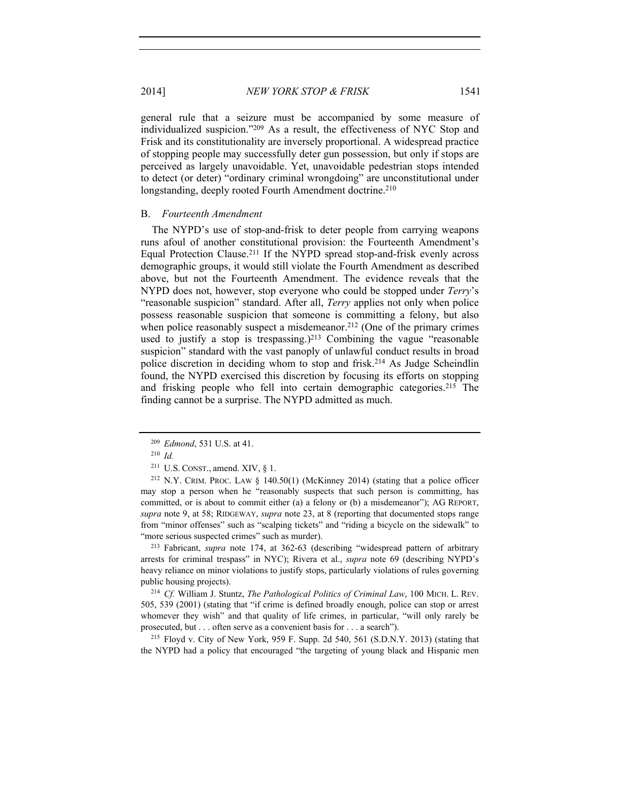2014] *NEW YORK STOP & FRISK* 1541

general rule that a seizure must be accompanied by some measure of individualized suspicion."209 As a result, the effectiveness of NYC Stop and Frisk and its constitutionality are inversely proportional. A widespread practice of stopping people may successfully deter gun possession, but only if stops are perceived as largely unavoidable. Yet, unavoidable pedestrian stops intended to detect (or deter) "ordinary criminal wrongdoing" are unconstitutional under longstanding, deeply rooted Fourth Amendment doctrine.<sup>210</sup>

#### B. *Fourteenth Amendment*

The NYPD's use of stop-and-frisk to deter people from carrying weapons runs afoul of another constitutional provision: the Fourteenth Amendment's Equal Protection Clause.<sup>211</sup> If the NYPD spread stop-and-frisk evenly across demographic groups, it would still violate the Fourth Amendment as described above, but not the Fourteenth Amendment. The evidence reveals that the NYPD does not, however, stop everyone who could be stopped under *Terry*'s "reasonable suspicion" standard. After all, *Terry* applies not only when police possess reasonable suspicion that someone is committing a felony, but also when police reasonably suspect a misdemeanor.<sup>212</sup> (One of the primary crimes used to justify a stop is trespassing.)<sup>213</sup> Combining the vague "reasonable suspicion" standard with the vast panoply of unlawful conduct results in broad police discretion in deciding whom to stop and frisk.214 As Judge Scheindlin found, the NYPD exercised this discretion by focusing its efforts on stopping and frisking people who fell into certain demographic categories.215 The finding cannot be a surprise. The NYPD admitted as much.

arrests for criminal trespass" in NYC); Rivera et al., *supra* note 69 (describing NYPD's heavy reliance on minor violations to justify stops, particularly violations of rules governing public housing projects). 214 *Cf.* William J. Stuntz, *The Pathological Politics of Criminal Law*, 100 MICH. L. REV.

505, 539 (2001) (stating that "if crime is defined broadly enough, police can stop or arrest whomever they wish" and that quality of life crimes, in particular, "will only rarely be prosecuted, but . . . often serve as a convenient basis for . . . a search").<br><sup>215</sup> Floyd v. City of New York, 959 F. Supp. 2d 540, 561 (S.D.N.Y. 2013) (stating that

the NYPD had a policy that encouraged "the targeting of young black and Hispanic men

<sup>209</sup> *Edmond*, 531 U.S. at 41.

<sup>210</sup> *Id.*

 $211$  U.S. CONST., amend. XIV, § 1.

<sup>212</sup> N.Y. CRIM. PROC. LAW § 140.50(1) (McKinney 2014) (stating that a police officer may stop a person when he "reasonably suspects that such person is committing, has committed, or is about to commit either (a) a felony or (b) a misdemeanor"); AG REPORT, *supra* note 9, at 58; RIDGEWAY, *supra* note 23, at 8 (reporting that documented stops range from "minor offenses" such as "scalping tickets" and "riding a bicycle on the sidewalk" to "more serious suspected crimes" such as murder). 213 Fabricant, *supra* note 174, at 362-63 (describing "widespread pattern of arbitrary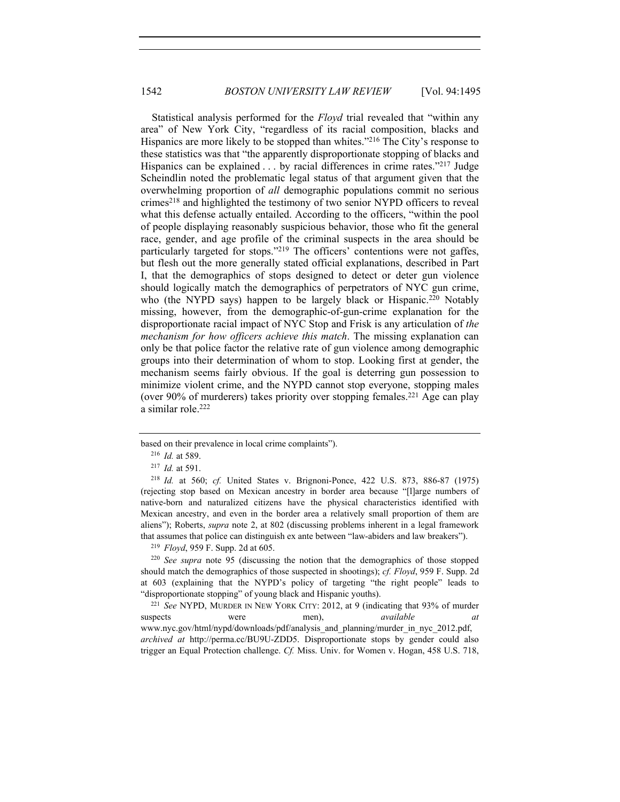Statistical analysis performed for the *Floyd* trial revealed that "within any area" of New York City, "regardless of its racial composition, blacks and Hispanics are more likely to be stopped than whites."216 The City's response to these statistics was that "the apparently disproportionate stopping of blacks and Hispanics can be explained . . . by racial differences in crime rates."<sup>217</sup> Judge Scheindlin noted the problematic legal status of that argument given that the overwhelming proportion of *all* demographic populations commit no serious crimes218 and highlighted the testimony of two senior NYPD officers to reveal what this defense actually entailed. According to the officers, "within the pool of people displaying reasonably suspicious behavior, those who fit the general race, gender, and age profile of the criminal suspects in the area should be particularly targeted for stops."219 The officers' contentions were not gaffes, but flesh out the more generally stated official explanations, described in Part I, that the demographics of stops designed to detect or deter gun violence should logically match the demographics of perpetrators of NYC gun crime, who (the NYPD says) happen to be largely black or Hispanic.<sup>220</sup> Notably missing, however, from the demographic-of-gun-crime explanation for the disproportionate racial impact of NYC Stop and Frisk is any articulation of *the mechanism for how officers achieve this match*. The missing explanation can only be that police factor the relative rate of gun violence among demographic groups into their determination of whom to stop. Looking first at gender, the mechanism seems fairly obvious. If the goal is deterring gun possession to minimize violent crime, and the NYPD cannot stop everyone, stopping males (over 90% of murderers) takes priority over stopping females.221 Age can play a similar role.222

<sup>218</sup> *Id.* at 560; *cf.* United States v. Brignoni-Ponce, 422 U.S. 873, 886-87 (1975) (rejecting stop based on Mexican ancestry in border area because "[l]arge numbers of native-born and naturalized citizens have the physical characteristics identified with Mexican ancestry, and even in the border area a relatively small proportion of them are aliens"); Roberts, *supra* note 2, at 802 (discussing problems inherent in a legal framework that assumes that police can distinguish ex ante between "law-abiders and law breakers"). 219 *Floyd*, 959 F. Supp. 2d at 605.

<sup>220</sup> *See supra* note 95 (discussing the notion that the demographics of those stopped should match the demographics of those suspected in shootings); *cf. Floyd*, 959 F. Supp. 2d at 603 (explaining that the NYPD's policy of targeting "the right people" leads to "disproportionate stopping" of young black and Hispanic youths). 221 *See* NYPD, MURDER IN NEW YORK CITY: 2012, at 9 (indicating that 93% of murder

suspects were men), *available at* www.nyc.gov/html/nypd/downloads/pdf/analysis\_and\_planning/murder\_in\_nyc\_2012.pdf, *archived at* http://perma.cc/BU9U-ZDD5. Disproportionate stops by gender could also trigger an Equal Protection challenge. *Cf.* Miss. Univ. for Women v. Hogan, 458 U.S. 718,

based on their prevalence in local crime complaints").

<sup>216</sup> *Id.* at 589.

<sup>217</sup> *Id.* at 591.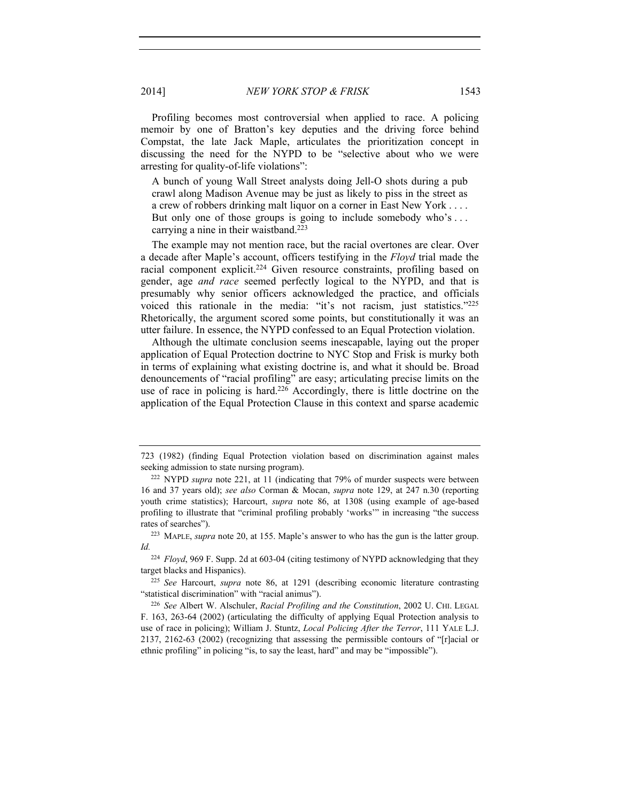2014] *NEW YORK STOP & FRISK* 1543

Profiling becomes most controversial when applied to race. A policing memoir by one of Bratton's key deputies and the driving force behind Compstat, the late Jack Maple, articulates the prioritization concept in discussing the need for the NYPD to be "selective about who we were arresting for quality-of-life violations":

A bunch of young Wall Street analysts doing Jell-O shots during a pub crawl along Madison Avenue may be just as likely to piss in the street as a crew of robbers drinking malt liquor on a corner in East New York . . . . But only one of those groups is going to include somebody who's ... carrying a nine in their waistband.223

The example may not mention race, but the racial overtones are clear. Over a decade after Maple's account, officers testifying in the *Floyd* trial made the racial component explicit.<sup>224</sup> Given resource constraints, profiling based on gender, age *and race* seemed perfectly logical to the NYPD, and that is presumably why senior officers acknowledged the practice, and officials voiced this rationale in the media: "it's not racism, just statistics."225 Rhetorically, the argument scored some points, but constitutionally it was an utter failure. In essence, the NYPD confessed to an Equal Protection violation.

Although the ultimate conclusion seems inescapable, laying out the proper application of Equal Protection doctrine to NYC Stop and Frisk is murky both in terms of explaining what existing doctrine is, and what it should be. Broad denouncements of "racial profiling" are easy; articulating precise limits on the use of race in policing is hard.226 Accordingly, there is little doctrine on the application of the Equal Protection Clause in this context and sparse academic

<sup>723 (1982) (</sup>finding Equal Protection violation based on discrimination against males seeking admission to state nursing program).<br><sup>222</sup> NYPD *supra* note 221, at 11 (indicating that 79% of murder suspects were between

<sup>16</sup> and 37 years old); *see also* Corman & Mocan, *supra* note 129, at 247 n.30 (reporting youth crime statistics); Harcourt, *supra* note 86, at 1308 (using example of age-based profiling to illustrate that "criminal profiling probably 'works'" in increasing "the success rates of searches").<br><sup>223</sup> MAPLE, *supra* note 20, at 155. Maple's answer to who has the gun is the latter group.

*Id.*

<sup>224</sup> *Floyd*, 969 F. Supp. 2d at 603-04 (citing testimony of NYPD acknowledging that they target blacks and Hispanics).

<sup>225</sup> *See* Harcourt, *supra* note 86, at 1291 (describing economic literature contrasting "statistical discrimination" with "racial animus"). 226 *See* Albert W. Alschuler, *Racial Profiling and the Constitution*, 2002 U. CHI. LEGAL

F. 163, 263-64 (2002) (articulating the difficulty of applying Equal Protection analysis to use of race in policing); William J. Stuntz, *Local Policing After the Terror*, 111 YALE L.J. 2137, 2162-63 (2002) (recognizing that assessing the permissible contours of "[r]acial or ethnic profiling" in policing "is, to say the least, hard" and may be "impossible").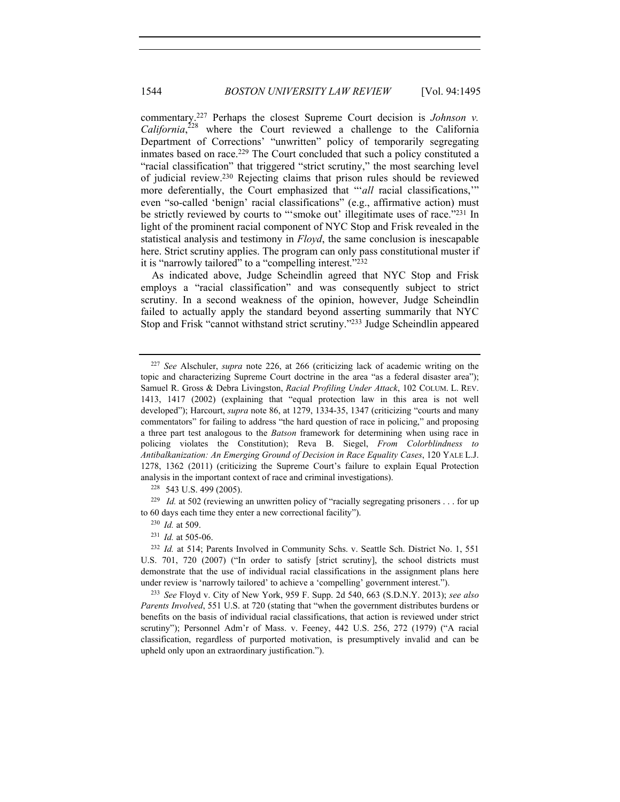commentary.227 Perhaps the closest Supreme Court decision is *Johnson v.*  California,<sup>228</sup> where the Court reviewed a challenge to the California Department of Corrections' "unwritten" policy of temporarily segregating inmates based on race.229 The Court concluded that such a policy constituted a "racial classification" that triggered "strict scrutiny," the most searching level of judicial review.230 Rejecting claims that prison rules should be reviewed more deferentially, the Court emphasized that "*'all* racial classifications," even "so-called 'benign' racial classifications" (e.g., affirmative action) must be strictly reviewed by courts to "'smoke out' illegitimate uses of race."<sup>231</sup> In light of the prominent racial component of NYC Stop and Frisk revealed in the statistical analysis and testimony in *Floyd*, the same conclusion is inescapable here. Strict scrutiny applies. The program can only pass constitutional muster if it is "narrowly tailored" to a "compelling interest."232

As indicated above, Judge Scheindlin agreed that NYC Stop and Frisk employs a "racial classification" and was consequently subject to strict scrutiny. In a second weakness of the opinion, however, Judge Scheindlin failed to actually apply the standard beyond asserting summarily that NYC Stop and Frisk "cannot withstand strict scrutiny."233 Judge Scheindlin appeared

228 543 U.S. 499 (2005).

<sup>229</sup> *Id.* at 502 (reviewing an unwritten policy of "racially segregating prisoners . . . for up to 60 days each time they enter a new correctional facility"). 230 *Id.* at 509.

<sup>227</sup> *See* Alschuler, *supra* note 226, at 266 (criticizing lack of academic writing on the topic and characterizing Supreme Court doctrine in the area "as a federal disaster area"); Samuel R. Gross & Debra Livingston, *Racial Profiling Under Attack*, 102 COLUM. L. REV. 1413, 1417 (2002) (explaining that "equal protection law in this area is not well developed"); Harcourt, *supra* note 86, at 1279, 1334-35, 1347 (criticizing "courts and many commentators" for failing to address "the hard question of race in policing," and proposing a three part test analogous to the *Batson* framework for determining when using race in policing violates the Constitution); Reva B. Siegel, *From Colorblindness to Antibalkanization: An Emerging Ground of Decision in Race Equality Cases*, 120 YALE L.J. 1278, 1362 (2011) (criticizing the Supreme Court's failure to explain Equal Protection analysis in the important context of race and criminal investigations).

<sup>231</sup> *Id.* at 505-06.

<sup>232</sup> *Id.* at 514; Parents Involved in Community Schs. v. Seattle Sch. District No. 1, 551 U.S. 701, 720 (2007) ("In order to satisfy [strict scrutiny], the school districts must demonstrate that the use of individual racial classifications in the assignment plans here

under review is 'narrowly tailored' to achieve a 'compelling' government interest."). 233 *See* Floyd v. City of New York, 959 F. Supp. 2d 540, 663 (S.D.N.Y. 2013); *see also Parents Involved*, 551 U.S. at 720 (stating that "when the government distributes burdens or benefits on the basis of individual racial classifications, that action is reviewed under strict scrutiny"); Personnel Adm'r of Mass. v. Feeney, 442 U.S. 256, 272 (1979) ("A racial classification, regardless of purported motivation, is presumptively invalid and can be upheld only upon an extraordinary justification.").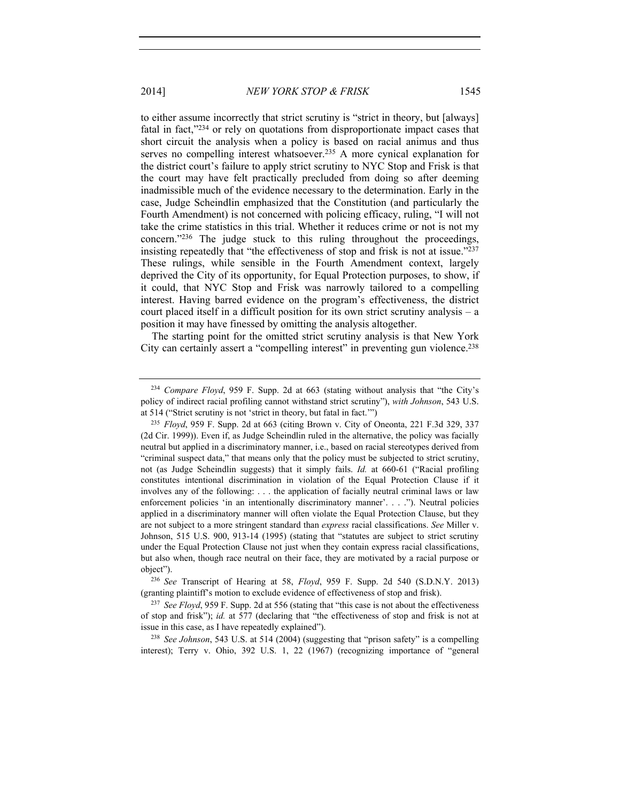to either assume incorrectly that strict scrutiny is "strict in theory, but [always] fatal in fact,"234 or rely on quotations from disproportionate impact cases that short circuit the analysis when a policy is based on racial animus and thus serves no compelling interest whatsoever.<sup>235</sup> A more cynical explanation for the district court's failure to apply strict scrutiny to NYC Stop and Frisk is that the court may have felt practically precluded from doing so after deeming inadmissible much of the evidence necessary to the determination. Early in the case, Judge Scheindlin emphasized that the Constitution (and particularly the Fourth Amendment) is not concerned with policing efficacy, ruling, "I will not take the crime statistics in this trial. Whether it reduces crime or not is not my concern."236 The judge stuck to this ruling throughout the proceedings, insisting repeatedly that "the effectiveness of stop and frisk is not at issue."237 These rulings, while sensible in the Fourth Amendment context, largely deprived the City of its opportunity, for Equal Protection purposes, to show, if it could, that NYC Stop and Frisk was narrowly tailored to a compelling interest. Having barred evidence on the program's effectiveness, the district court placed itself in a difficult position for its own strict scrutiny analysis – a position it may have finessed by omitting the analysis altogether.

The starting point for the omitted strict scrutiny analysis is that New York City can certainly assert a "compelling interest" in preventing gun violence.238

interest); Terry v. Ohio, 392 U.S. 1, 22 (1967) (recognizing importance of "general

<sup>234</sup> *Compare Floyd*, 959 F. Supp. 2d at 663 (stating without analysis that "the City's policy of indirect racial profiling cannot withstand strict scrutiny"), *with Johnson*, 543 U.S.

at 514 ("Strict scrutiny is not 'strict in theory, but fatal in fact.'") 235 *Floyd*, 959 F. Supp. 2d at 663 (citing Brown v. City of Oneonta, 221 F.3d 329, 337 (2d Cir. 1999)). Even if, as Judge Scheindlin ruled in the alternative, the policy was facially neutral but applied in a discriminatory manner, i.e., based on racial stereotypes derived from "criminal suspect data," that means only that the policy must be subjected to strict scrutiny, not (as Judge Scheindlin suggests) that it simply fails. *Id.* at 660-61 ("Racial profiling constitutes intentional discrimination in violation of the Equal Protection Clause if it involves any of the following: . . . the application of facially neutral criminal laws or law enforcement policies 'in an intentionally discriminatory manner'. . . ."). Neutral policies applied in a discriminatory manner will often violate the Equal Protection Clause, but they are not subject to a more stringent standard than *express* racial classifications. *See* Miller v. Johnson, 515 U.S. 900, 913-14 (1995) (stating that "statutes are subject to strict scrutiny under the Equal Protection Clause not just when they contain express racial classifications, but also when, though race neutral on their face, they are motivated by a racial purpose or object"). 236 *See* Transcript of Hearing at 58, *Floyd*, 959 F. Supp. 2d 540 (S.D.N.Y. 2013)

<sup>(</sup>granting plaintiff's motion to exclude evidence of effectiveness of stop and frisk).

<sup>237</sup> *See Floyd*, 959 F. Supp. 2d at 556 (stating that "this case is not about the effectiveness of stop and frisk"); *id.* at 577 (declaring that "the effectiveness of stop and frisk is not at issue in this case, as I have repeatedly explained"). 238 *See Johnson*, 543 U.S. at 514 (2004) (suggesting that "prison safety" is a compelling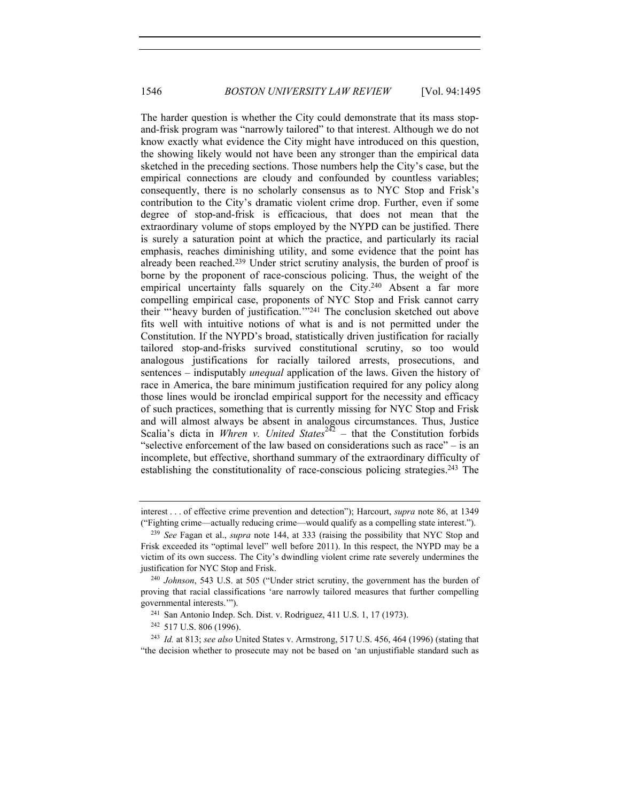The harder question is whether the City could demonstrate that its mass stopand-frisk program was "narrowly tailored" to that interest. Although we do not know exactly what evidence the City might have introduced on this question, the showing likely would not have been any stronger than the empirical data sketched in the preceding sections. Those numbers help the City's case, but the empirical connections are cloudy and confounded by countless variables; consequently, there is no scholarly consensus as to NYC Stop and Frisk's contribution to the City's dramatic violent crime drop. Further, even if some degree of stop-and-frisk is efficacious, that does not mean that the extraordinary volume of stops employed by the NYPD can be justified. There is surely a saturation point at which the practice, and particularly its racial emphasis, reaches diminishing utility, and some evidence that the point has already been reached.239 Under strict scrutiny analysis, the burden of proof is borne by the proponent of race-conscious policing. Thus, the weight of the empirical uncertainty falls squarely on the City.<sup>240</sup> Absent a far more compelling empirical case, proponents of NYC Stop and Frisk cannot carry their "'heavy burden of justification.'"241 The conclusion sketched out above fits well with intuitive notions of what is and is not permitted under the Constitution. If the NYPD's broad, statistically driven justification for racially tailored stop-and-frisks survived constitutional scrutiny, so too would analogous justifications for racially tailored arrests, prosecutions, and sentences – indisputably *unequal* application of the laws. Given the history of race in America, the bare minimum justification required for any policy along those lines would be ironclad empirical support for the necessity and efficacy of such practices, something that is currently missing for NYC Stop and Frisk and will almost always be absent in analogous circumstances. Thus, Justice Scalia's dicta in *Whren v. United States*<sup>242</sup> – that the Constitution forbids "selective enforcement of the law based on considerations such as race" – is an incomplete, but effective, shorthand summary of the extraordinary difficulty of establishing the constitutionality of race-conscious policing strategies.<sup>243</sup> The

interest . . . of effective crime prevention and detection"); Harcourt, *supra* note 86, at 1349 ("Fighting crime—actually reducing crime—would qualify as a compelling state interest.").

<sup>239</sup> *See* Fagan et al., *supra* note 144, at 333 (raising the possibility that NYC Stop and Frisk exceeded its "optimal level" well before 2011). In this respect, the NYPD may be a victim of its own success. The City's dwindling violent crime rate severely undermines the justification for NYC Stop and Frisk.

<sup>240</sup> *Johnson*, 543 U.S. at 505 ("Under strict scrutiny, the government has the burden of proving that racial classifications 'are narrowly tailored measures that further compelling governmental interests.'").<br><sup>241</sup> San Antonio Indep. Sch. Dist. v. Rodriguez, 411 U.S. 1, 17 (1973).

<sup>242</sup> 517 U.S. 806 (1996).

<sup>243</sup> *Id.* at 813; *see also* United States v. Armstrong, 517 U.S. 456, 464 (1996) (stating that "the decision whether to prosecute may not be based on 'an unjustifiable standard such as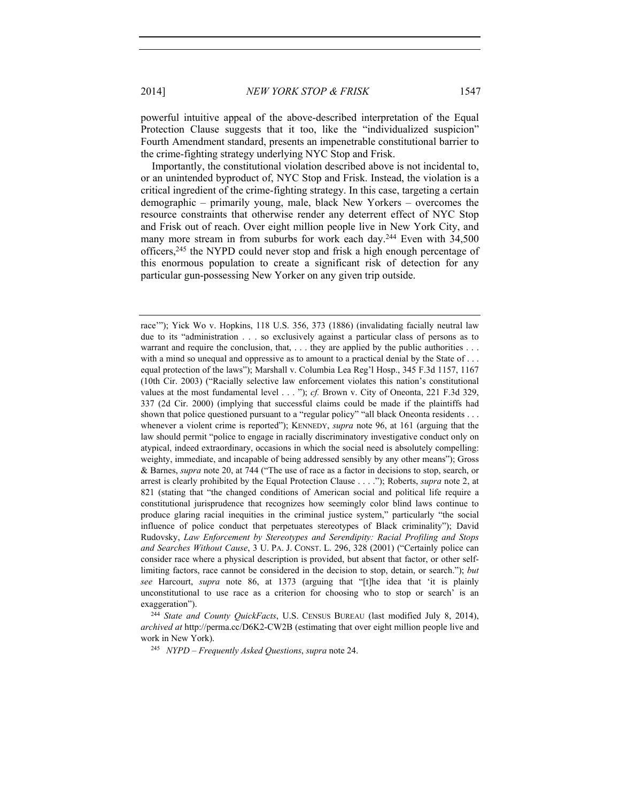2014] *NEW YORK STOP & FRISK* 1547

powerful intuitive appeal of the above-described interpretation of the Equal Protection Clause suggests that it too, like the "individualized suspicion" Fourth Amendment standard, presents an impenetrable constitutional barrier to the crime-fighting strategy underlying NYC Stop and Frisk.

Importantly, the constitutional violation described above is not incidental to, or an unintended byproduct of, NYC Stop and Frisk. Instead, the violation is a critical ingredient of the crime-fighting strategy. In this case, targeting a certain demographic – primarily young, male, black New Yorkers – overcomes the resource constraints that otherwise render any deterrent effect of NYC Stop and Frisk out of reach. Over eight million people live in New York City, and many more stream in from suburbs for work each day.<sup>244</sup> Even with 34,500 officers,245 the NYPD could never stop and frisk a high enough percentage of this enormous population to create a significant risk of detection for any particular gun-possessing New Yorker on any given trip outside.

race'"); Yick Wo v. Hopkins, 118 U.S. 356, 373 (1886) (invalidating facially neutral law due to its "administration . . . so exclusively against a particular class of persons as to warrant and require the conclusion, that,  $\dots$  they are applied by the public authorities  $\dots$ with a mind so unequal and oppressive as to amount to a practical denial by the State of ... equal protection of the laws"); Marshall v. Columbia Lea Reg'l Hosp., 345 F.3d 1157, 1167 (10th Cir. 2003) ("Racially selective law enforcement violates this nation's constitutional values at the most fundamental level . . . "); *cf.* Brown v. City of Oneonta, 221 F.3d 329, 337 (2d Cir. 2000) (implying that successful claims could be made if the plaintiffs had shown that police questioned pursuant to a "regular policy" "all black Oneonta residents . . . whenever a violent crime is reported"); KENNEDY, *supra* note 96, at 161 (arguing that the law should permit "police to engage in racially discriminatory investigative conduct only on atypical, indeed extraordinary, occasions in which the social need is absolutely compelling: weighty, immediate, and incapable of being addressed sensibly by any other means"); Gross & Barnes, *supra* note 20, at 744 ("The use of race as a factor in decisions to stop, search, or arrest is clearly prohibited by the Equal Protection Clause . . . ."); Roberts, *supra* note 2, at 821 (stating that "the changed conditions of American social and political life require a constitutional jurisprudence that recognizes how seemingly color blind laws continue to produce glaring racial inequities in the criminal justice system," particularly "the social influence of police conduct that perpetuates stereotypes of Black criminality"); David Rudovsky, *Law Enforcement by Stereotypes and Serendipity: Racial Profiling and Stops and Searches Without Cause*, 3 U. PA. J. CONST. L. 296, 328 (2001) ("Certainly police can consider race where a physical description is provided, but absent that factor, or other selflimiting factors, race cannot be considered in the decision to stop, detain, or search."); *but see* Harcourt, *supra* note 86, at 1373 (arguing that "[t]he idea that 'it is plainly unconstitutional to use race as a criterion for choosing who to stop or search' is an

exaggeration"). 244 *State and County QuickFacts*, U.S. CENSUS BUREAU (last modified July 8, 2014), *archived at* http://perma.cc/D6K2-CW2B (estimating that over eight million people live and work in New York).

<sup>245</sup> *NYPD – Frequently Asked Questions*, *supra* note 24.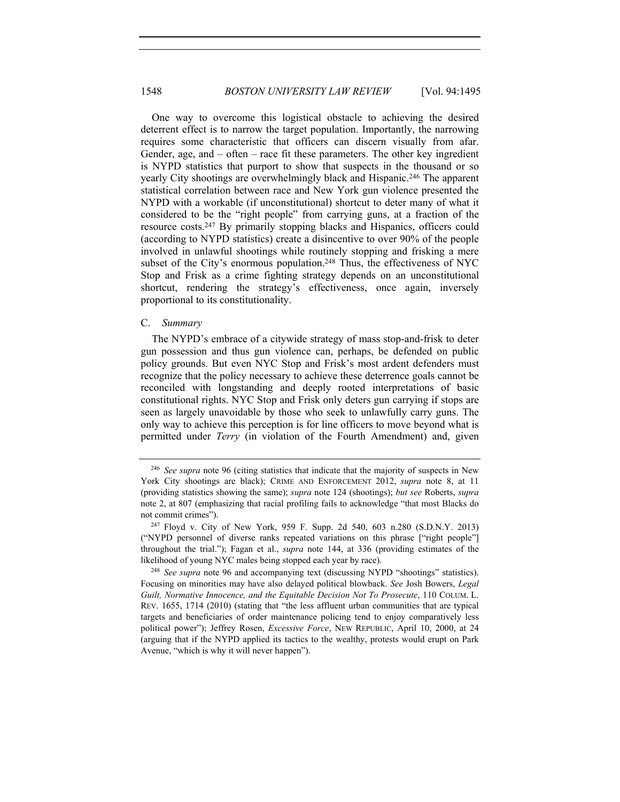One way to overcome this logistical obstacle to achieving the desired deterrent effect is to narrow the target population. Importantly, the narrowing requires some characteristic that officers can discern visually from afar. Gender, age, and – often – race fit these parameters. The other key ingredient is NYPD statistics that purport to show that suspects in the thousand or so yearly City shootings are overwhelmingly black and Hispanic.246 The apparent statistical correlation between race and New York gun violence presented the NYPD with a workable (if unconstitutional) shortcut to deter many of what it considered to be the "right people" from carrying guns, at a fraction of the resource costs.247 By primarily stopping blacks and Hispanics, officers could (according to NYPD statistics) create a disincentive to over 90% of the people involved in unlawful shootings while routinely stopping and frisking a mere subset of the City's enormous population.<sup>248</sup> Thus, the effectiveness of NYC Stop and Frisk as a crime fighting strategy depends on an unconstitutional shortcut, rendering the strategy's effectiveness, once again, inversely proportional to its constitutionality.

#### C. *Summary*

The NYPD's embrace of a citywide strategy of mass stop-and-frisk to deter gun possession and thus gun violence can, perhaps, be defended on public policy grounds. But even NYC Stop and Frisk's most ardent defenders must recognize that the policy necessary to achieve these deterrence goals cannot be reconciled with longstanding and deeply rooted interpretations of basic constitutional rights. NYC Stop and Frisk only deters gun carrying if stops are seen as largely unavoidable by those who seek to unlawfully carry guns. The only way to achieve this perception is for line officers to move beyond what is permitted under *Terry* (in violation of the Fourth Amendment) and, given

<sup>246</sup> *See supra* note 96 (citing statistics that indicate that the majority of suspects in New York City shootings are black); CRIME AND ENFORCEMENT 2012, *supra* note 8, at 11 (providing statistics showing the same); *supra* note 124 (shootings); *but see* Roberts, *supra* note 2, at 807 (emphasizing that racial profiling fails to acknowledge "that most Blacks do not commit crimes").<br><sup>247</sup> Floyd v. City of New York, 959 F. Supp. 2d 540, 603 n.280 (S.D.N.Y. 2013)

<sup>(&</sup>quot;NYPD personnel of diverse ranks repeated variations on this phrase ["right people"] throughout the trial."); Fagan et al., *supra* note 144, at 336 (providing estimates of the likelihood of young NYC males being stopped each year by race). 248 *See supra* note 96 and accompanying text (discussing NYPD "shootings" statistics).

Focusing on minorities may have also delayed political blowback. *See* Josh Bowers, *Legal Guilt, Normative Innocence, and the Equitable Decision Not To Prosecute*, 110 COLUM. L. REV. 1655, 1714 (2010) (stating that "the less affluent urban communities that are typical targets and beneficiaries of order maintenance policing tend to enjoy comparatively less political power"); Jeffrey Rosen, *Excessive Force*, NEW REPUBLIC, April 10, 2000, at 24 (arguing that if the NYPD applied its tactics to the wealthy, protests would erupt on Park Avenue, "which is why it will never happen").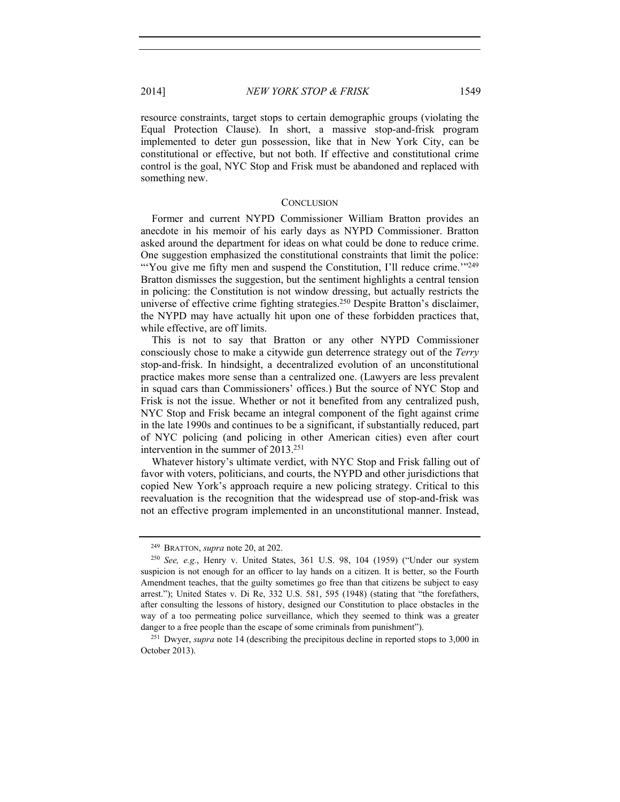resource constraints, target stops to certain demographic groups (violating the Equal Protection Clause). In short, a massive stop-and-frisk program implemented to deter gun possession, like that in New York City, can be constitutional or effective, but not both. If effective and constitutional crime control is the goal, NYC Stop and Frisk must be abandoned and replaced with something new.

#### **CONCLUSION**

Former and current NYPD Commissioner William Bratton provides an anecdote in his memoir of his early days as NYPD Commissioner. Bratton asked around the department for ideas on what could be done to reduce crime. One suggestion emphasized the constitutional constraints that limit the police: "You give me fifty men and suspend the Constitution, I'll reduce crime."<sup>249</sup> Bratton dismisses the suggestion, but the sentiment highlights a central tension in policing: the Constitution is not window dressing, but actually restricts the universe of effective crime fighting strategies.250 Despite Bratton's disclaimer, the NYPD may have actually hit upon one of these forbidden practices that, while effective, are off limits.

This is not to say that Bratton or any other NYPD Commissioner consciously chose to make a citywide gun deterrence strategy out of the *Terry* stop-and-frisk. In hindsight, a decentralized evolution of an unconstitutional practice makes more sense than a centralized one. (Lawyers are less prevalent in squad cars than Commissioners' offices.) But the source of NYC Stop and Frisk is not the issue. Whether or not it benefited from any centralized push, NYC Stop and Frisk became an integral component of the fight against crime in the late 1990s and continues to be a significant, if substantially reduced, part of NYC policing (and policing in other American cities) even after court intervention in the summer of 2013.251

Whatever history's ultimate verdict, with NYC Stop and Frisk falling out of favor with voters, politicians, and courts, the NYPD and other jurisdictions that copied New York's approach require a new policing strategy. Critical to this reevaluation is the recognition that the widespread use of stop-and-frisk was not an effective program implemented in an unconstitutional manner. Instead,

<sup>249</sup> BRATTON, *supra* note 20, at 202.

<sup>250</sup> *See, e.g.*, Henry v. United States, 361 U.S. 98, 104 (1959) ("Under our system suspicion is not enough for an officer to lay hands on a citizen. It is better, so the Fourth Amendment teaches, that the guilty sometimes go free than that citizens be subject to easy arrest."); United States v. Di Re, 332 U.S. 581, 595 (1948) (stating that "the forefathers, after consulting the lessons of history, designed our Constitution to place obstacles in the way of a too permeating police surveillance, which they seemed to think was a greater danger to a free people than the escape of some criminals from punishment").<br><sup>251</sup> Dwyer, *supra* note 14 (describing the precipitous decline in reported stops to 3,000 in

October 2013).